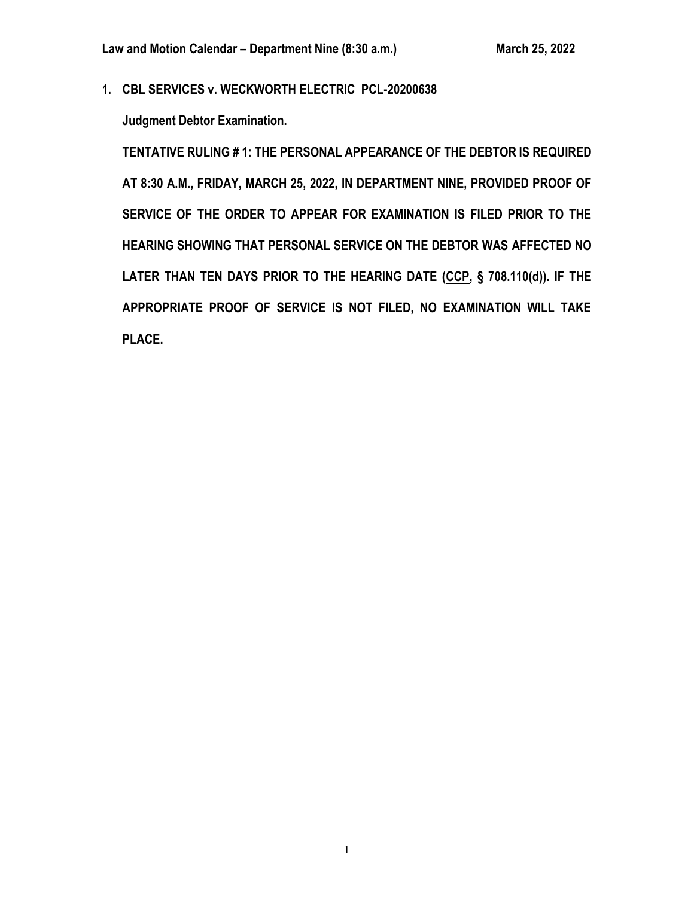**1. CBL SERVICES v. WECKWORTH ELECTRIC PCL-20200638**

**Judgment Debtor Examination.**

**TENTATIVE RULING # 1: THE PERSONAL APPEARANCE OF THE DEBTOR IS REQUIRED AT 8:30 A.M., FRIDAY, MARCH 25, 2022, IN DEPARTMENT NINE, PROVIDED PROOF OF SERVICE OF THE ORDER TO APPEAR FOR EXAMINATION IS FILED PRIOR TO THE HEARING SHOWING THAT PERSONAL SERVICE ON THE DEBTOR WAS AFFECTED NO LATER THAN TEN DAYS PRIOR TO THE HEARING DATE (CCP, § 708.110(d)). IF THE APPROPRIATE PROOF OF SERVICE IS NOT FILED, NO EXAMINATION WILL TAKE PLACE.**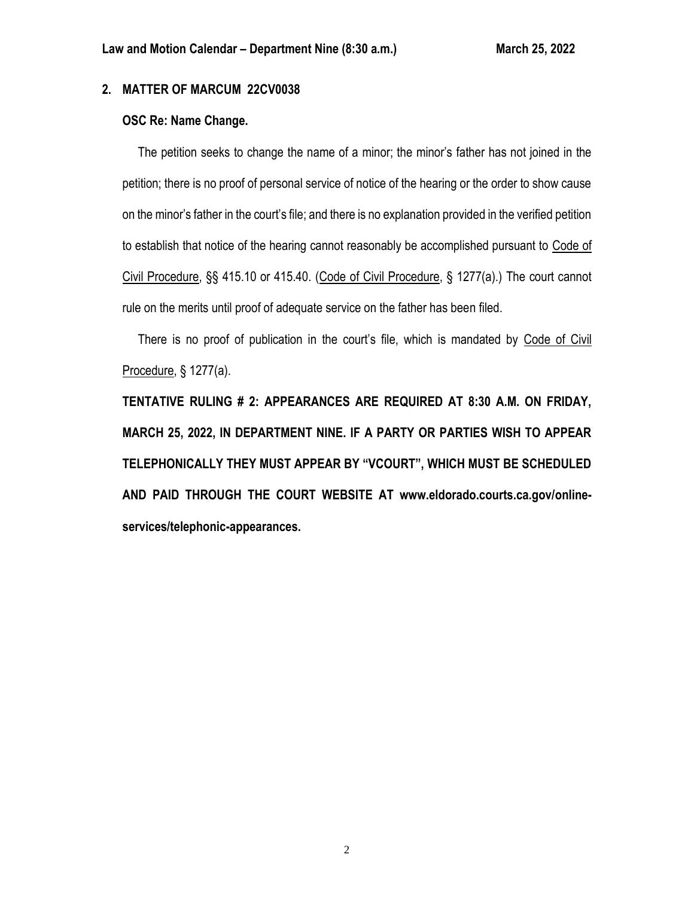# **2. MATTER OF MARCUM 22CV0038**

# **OSC Re: Name Change.**

 The petition seeks to change the name of a minor; the minor's father has not joined in the petition; there is no proof of personal service of notice of the hearing or the order to show cause on the minor's father in the court's file; and there is no explanation provided in the verified petition to establish that notice of the hearing cannot reasonably be accomplished pursuant to Code of Civil Procedure, §§ 415.10 or 415.40. (Code of Civil Procedure, § 1277(a).) The court cannot rule on the merits until proof of adequate service on the father has been filed.

There is no proof of publication in the court's file, which is mandated by Code of Civil Procedure, § 1277(a).

**TENTATIVE RULING # 2: APPEARANCES ARE REQUIRED AT 8:30 A.M. ON FRIDAY, MARCH 25, 2022, IN DEPARTMENT NINE. IF A PARTY OR PARTIES WISH TO APPEAR TELEPHONICALLY THEY MUST APPEAR BY "VCOURT", WHICH MUST BE SCHEDULED AND PAID THROUGH THE COURT WEBSITE AT www.eldorado.courts.ca.gov/onlineservices/telephonic-appearances.**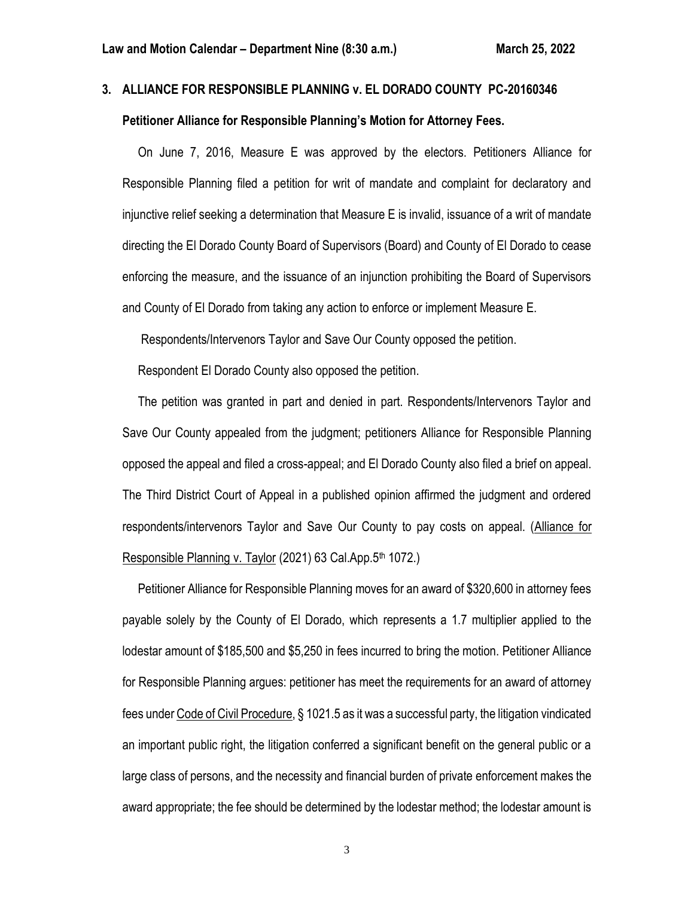# **3. ALLIANCE FOR RESPONSIBLE PLANNING v. EL DORADO COUNTY PC-20160346 Petitioner Alliance for Responsible Planning's Motion for Attorney Fees.**

 On June 7, 2016, Measure E was approved by the electors. Petitioners Alliance for Responsible Planning filed a petition for writ of mandate and complaint for declaratory and injunctive relief seeking a determination that Measure E is invalid, issuance of a writ of mandate directing the El Dorado County Board of Supervisors (Board) and County of El Dorado to cease enforcing the measure, and the issuance of an injunction prohibiting the Board of Supervisors and County of El Dorado from taking any action to enforce or implement Measure E.

Respondents/Intervenors Taylor and Save Our County opposed the petition.

Respondent El Dorado County also opposed the petition.

 The petition was granted in part and denied in part. Respondents/Intervenors Taylor and Save Our County appealed from the judgment; petitioners Alliance for Responsible Planning opposed the appeal and filed a cross-appeal; and El Dorado County also filed a brief on appeal. The Third District Court of Appeal in a published opinion affirmed the judgment and ordered respondents/intervenors Taylor and Save Our County to pay costs on appeal. (Alliance for Responsible Planning v. Taylor (2021) 63 Cal.App.5<sup>th</sup> 1072.)

 Petitioner Alliance for Responsible Planning moves for an award of \$320,600 in attorney fees payable solely by the County of El Dorado, which represents a 1.7 multiplier applied to the lodestar amount of \$185,500 and \$5,250 in fees incurred to bring the motion. Petitioner Alliance for Responsible Planning argues: petitioner has meet the requirements for an award of attorney fees under Code of Civil Procedure, § 1021.5 as it was a successful party, the litigation vindicated an important public right, the litigation conferred a significant benefit on the general public or a large class of persons, and the necessity and financial burden of private enforcement makes the award appropriate; the fee should be determined by the lodestar method; the lodestar amount is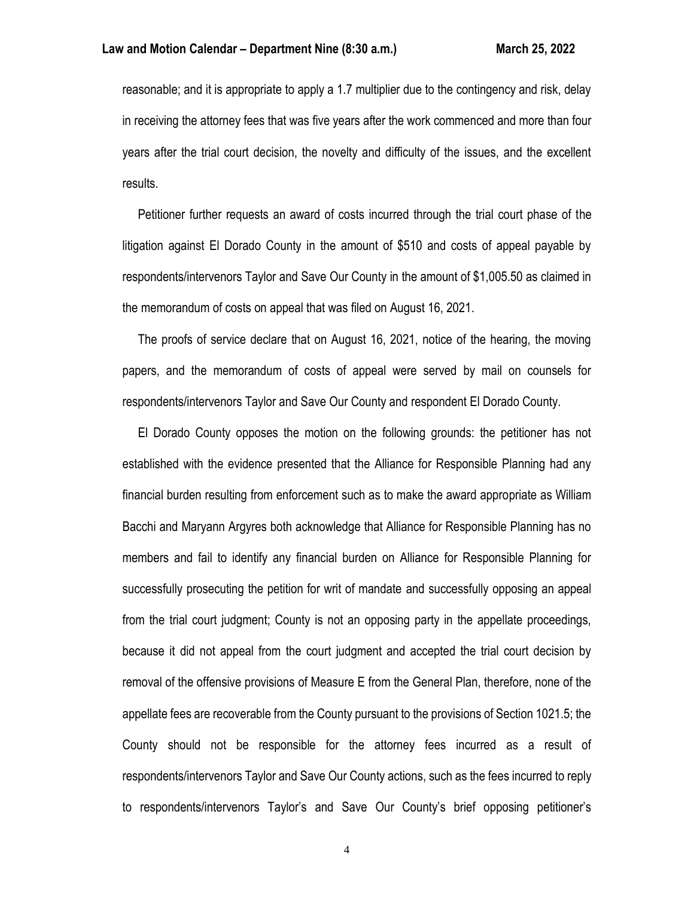reasonable; and it is appropriate to apply a 1.7 multiplier due to the contingency and risk, delay in receiving the attorney fees that was five years after the work commenced and more than four years after the trial court decision, the novelty and difficulty of the issues, and the excellent results.

 Petitioner further requests an award of costs incurred through the trial court phase of the litigation against El Dorado County in the amount of \$510 and costs of appeal payable by respondents/intervenors Taylor and Save Our County in the amount of \$1,005.50 as claimed in the memorandum of costs on appeal that was filed on August 16, 2021.

 The proofs of service declare that on August 16, 2021, notice of the hearing, the moving papers, and the memorandum of costs of appeal were served by mail on counsels for respondents/intervenors Taylor and Save Our County and respondent El Dorado County.

 El Dorado County opposes the motion on the following grounds: the petitioner has not established with the evidence presented that the Alliance for Responsible Planning had any financial burden resulting from enforcement such as to make the award appropriate as William Bacchi and Maryann Argyres both acknowledge that Alliance for Responsible Planning has no members and fail to identify any financial burden on Alliance for Responsible Planning for successfully prosecuting the petition for writ of mandate and successfully opposing an appeal from the trial court judgment; County is not an opposing party in the appellate proceedings, because it did not appeal from the court judgment and accepted the trial court decision by removal of the offensive provisions of Measure E from the General Plan, therefore, none of the appellate fees are recoverable from the County pursuant to the provisions of Section 1021.5; the County should not be responsible for the attorney fees incurred as a result of respondents/intervenors Taylor and Save Our County actions, such as the fees incurred to reply to respondents/intervenors Taylor's and Save Our County's brief opposing petitioner's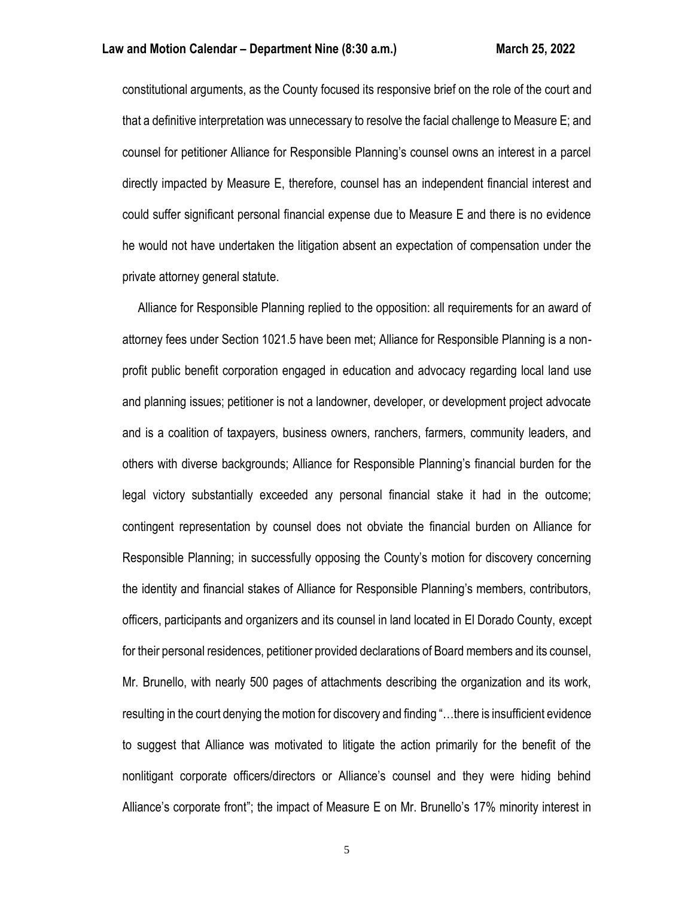constitutional arguments, as the County focused its responsive brief on the role of the court and that a definitive interpretation was unnecessary to resolve the facial challenge to Measure E; and counsel for petitioner Alliance for Responsible Planning's counsel owns an interest in a parcel directly impacted by Measure E, therefore, counsel has an independent financial interest and could suffer significant personal financial expense due to Measure E and there is no evidence he would not have undertaken the litigation absent an expectation of compensation under the private attorney general statute.

 Alliance for Responsible Planning replied to the opposition: all requirements for an award of attorney fees under Section 1021.5 have been met; Alliance for Responsible Planning is a nonprofit public benefit corporation engaged in education and advocacy regarding local land use and planning issues; petitioner is not a landowner, developer, or development project advocate and is a coalition of taxpayers, business owners, ranchers, farmers, community leaders, and others with diverse backgrounds; Alliance for Responsible Planning's financial burden for the legal victory substantially exceeded any personal financial stake it had in the outcome; contingent representation by counsel does not obviate the financial burden on Alliance for Responsible Planning; in successfully opposing the County's motion for discovery concerning the identity and financial stakes of Alliance for Responsible Planning's members, contributors, officers, participants and organizers and its counsel in land located in El Dorado County, except for their personal residences, petitioner provided declarations of Board members and its counsel, Mr. Brunello, with nearly 500 pages of attachments describing the organization and its work, resulting in the court denying the motion for discovery and finding "…there is insufficient evidence to suggest that Alliance was motivated to litigate the action primarily for the benefit of the nonlitigant corporate officers/directors or Alliance's counsel and they were hiding behind Alliance's corporate front"; the impact of Measure E on Mr. Brunello's 17% minority interest in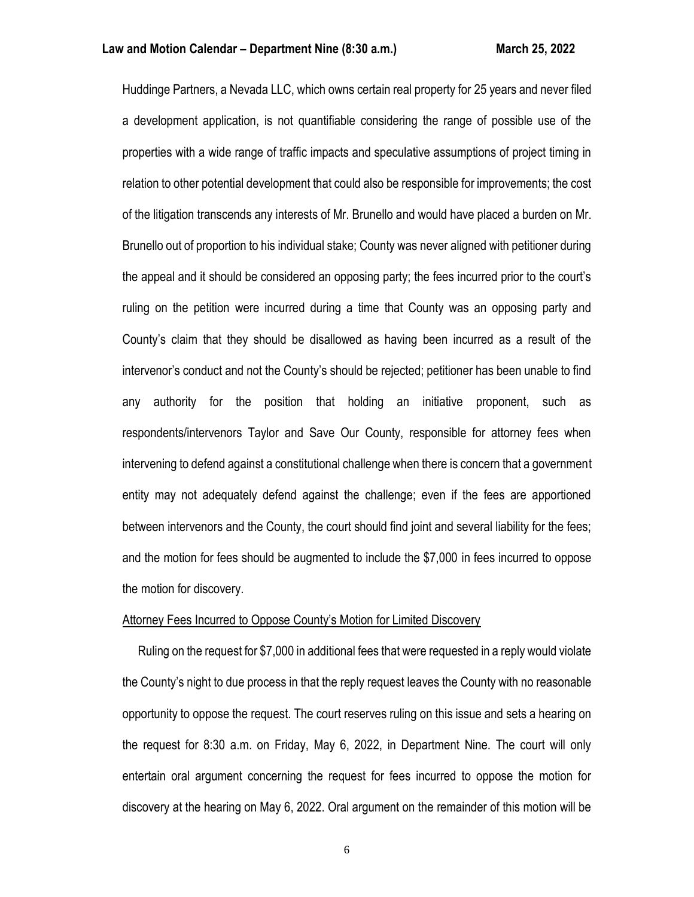Huddinge Partners, a Nevada LLC, which owns certain real property for 25 years and never filed a development application, is not quantifiable considering the range of possible use of the properties with a wide range of traffic impacts and speculative assumptions of project timing in relation to other potential development that could also be responsible for improvements; the cost of the litigation transcends any interests of Mr. Brunello and would have placed a burden on Mr. Brunello out of proportion to his individual stake; County was never aligned with petitioner during the appeal and it should be considered an opposing party; the fees incurred prior to the court's ruling on the petition were incurred during a time that County was an opposing party and County's claim that they should be disallowed as having been incurred as a result of the intervenor's conduct and not the County's should be rejected; petitioner has been unable to find any authority for the position that holding an initiative proponent, such as respondents/intervenors Taylor and Save Our County, responsible for attorney fees when intervening to defend against a constitutional challenge when there is concern that a government entity may not adequately defend against the challenge; even if the fees are apportioned between intervenors and the County, the court should find joint and several liability for the fees; and the motion for fees should be augmented to include the \$7,000 in fees incurred to oppose the motion for discovery.

#### Attorney Fees Incurred to Oppose County's Motion for Limited Discovery

 Ruling on the request for \$7,000 in additional fees that were requested in a reply would violate the County's night to due process in that the reply request leaves the County with no reasonable opportunity to oppose the request. The court reserves ruling on this issue and sets a hearing on the request for 8:30 a.m. on Friday, May 6, 2022, in Department Nine. The court will only entertain oral argument concerning the request for fees incurred to oppose the motion for discovery at the hearing on May 6, 2022. Oral argument on the remainder of this motion will be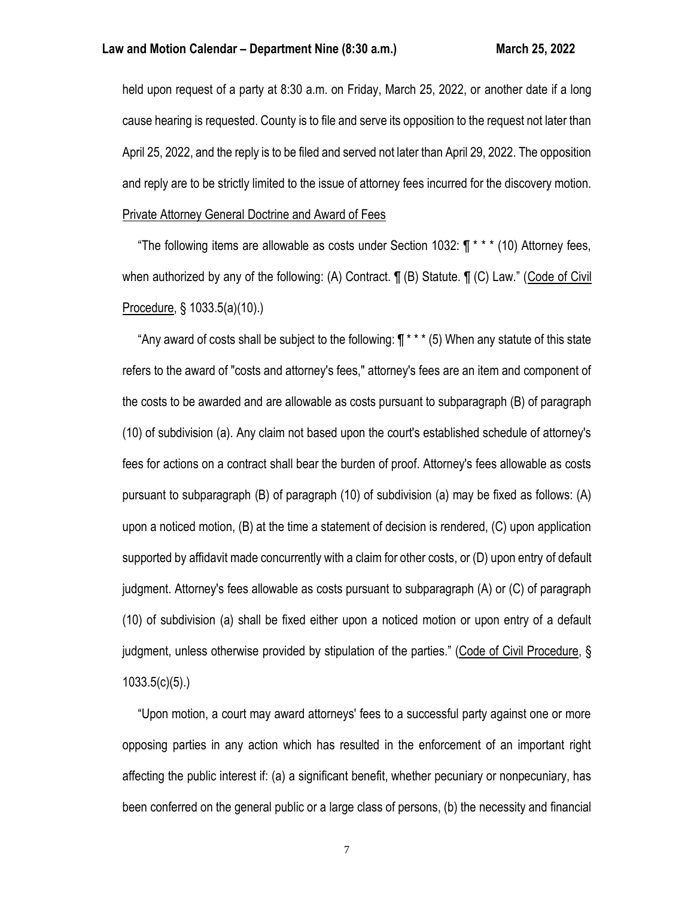held upon request of a party at 8:30 a.m. on Friday, March 25, 2022, or another date if a long cause hearing is requested. County is to file and serve its opposition to the request not later than April 25, 2022, and the reply is to be filed and served not later than April 29, 2022. The opposition and reply are to be strictly limited to the issue of attorney fees incurred for the discovery motion. Private Attorney General Doctrine and Award of Fees

"The following items are allowable as costs under Section 1032:  $\P$  \* \* \* (10) Attorney fees, when authorized by any of the following: (A) Contract. ¶ (B) Statute. ¶ (C) Law." (Code of Civil Procedure, § 1033.5(a)(10).)

 "Any award of costs shall be subject to the following: ¶ \* \* \* (5) When any statute of this state refers to the award of "costs and attorney's fees," attorney's fees are an item and component of the costs to be awarded and are allowable as costs pursuant to subparagraph (B) of paragraph (10) of subdivision (a). Any claim not based upon the court's established schedule of attorney's fees for actions on a contract shall bear the burden of proof. Attorney's fees allowable as costs pursuant to subparagraph (B) of paragraph (10) of subdivision (a) may be fixed as follows: (A) upon a noticed motion, (B) at the time a statement of decision is rendered, (C) upon application supported by affidavit made concurrently with a claim for other costs, or (D) upon entry of default judgment. Attorney's fees allowable as costs pursuant to subparagraph (A) or (C) of paragraph (10) of subdivision (a) shall be fixed either upon a noticed motion or upon entry of a default judgment, unless otherwise provided by stipulation of the parties." (Code of Civil Procedure, §  $1033.5(c)(5)$ .)

 "Upon motion, a court may award attorneys' fees to a successful party against one or more opposing parties in any action which has resulted in the enforcement of an important right affecting the public interest if: (a) a significant benefit, whether pecuniary or nonpecuniary, has been conferred on the general public or a large class of persons, (b) the necessity and financial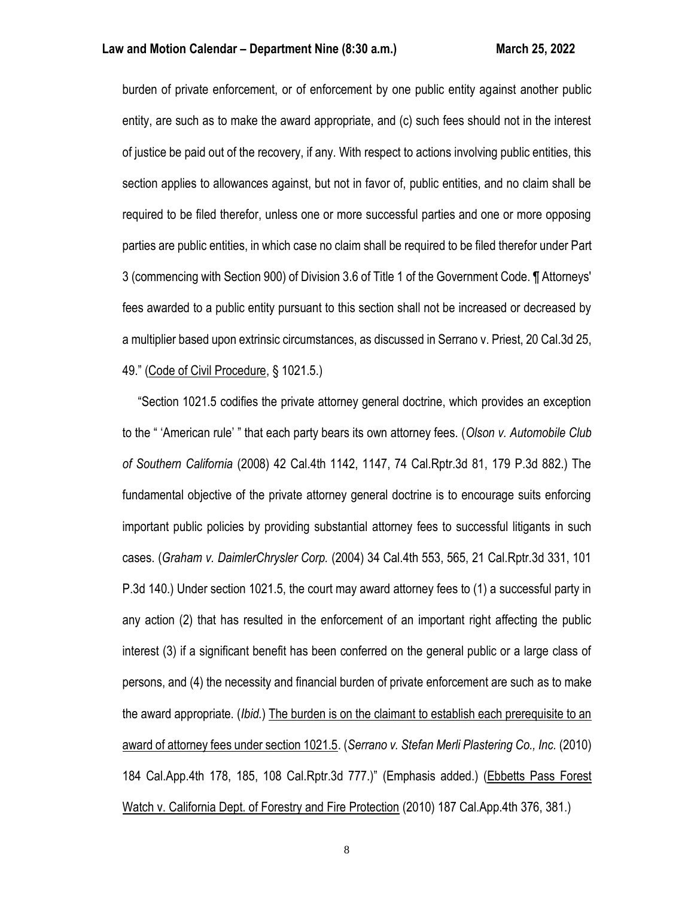#### **Law and Motion Calendar – Department Nine (8:30 a.m.) March 25, 2022**

burden of private enforcement, or of enforcement by one public entity against another public entity, are such as to make the award appropriate, and (c) such fees should not in the interest of justice be paid out of the recovery, if any. With respect to actions involving public entities, this section applies to allowances against, but not in favor of, public entities, and no claim shall be required to be filed therefor, unless one or more successful parties and one or more opposing parties are public entities, in which case no claim shall be required to be filed therefor under Part 3 (commencing with Section 900) of Division 3.6 of Title 1 of the Government Code. ¶ Attorneys' fees awarded to a public entity pursuant to this section shall not be increased or decreased by a multiplier based upon extrinsic circumstances, as discussed in Serrano v. Priest, 20 Cal.3d 25, 49." (Code of Civil Procedure, § 1021.5.)

 "Section 1021.5 codifies the private attorney general doctrine, which provides an exception to the " 'American rule' " that each party bears its own attorney fees. (*Olson v. Automobile Club of Southern California* (2008) 42 Cal.4th 1142, 1147, 74 Cal.Rptr.3d 81, 179 P.3d 882.) The fundamental objective of the private attorney general doctrine is to encourage suits enforcing important public policies by providing substantial attorney fees to successful litigants in such cases. (*Graham v. DaimlerChrysler Corp.* (2004) 34 Cal.4th 553, 565, 21 Cal.Rptr.3d 331, 101 P.3d 140.) Under section 1021.5, the court may award attorney fees to (1) a successful party in any action (2) that has resulted in the enforcement of an important right affecting the public interest (3) if a significant benefit has been conferred on the general public or a large class of persons, and (4) the necessity and financial burden of private enforcement are such as to make the award appropriate. (*Ibid.*) The burden is on the claimant to establish each prerequisite to an award of attorney fees under section 1021.5. (*Serrano v. Stefan Merli Plastering Co., Inc.* (2010) 184 Cal.App.4th 178, 185, 108 Cal.Rptr.3d 777.)" (Emphasis added.) (Ebbetts Pass Forest Watch v. California Dept. of Forestry and Fire Protection (2010) 187 Cal.App.4th 376, 381.)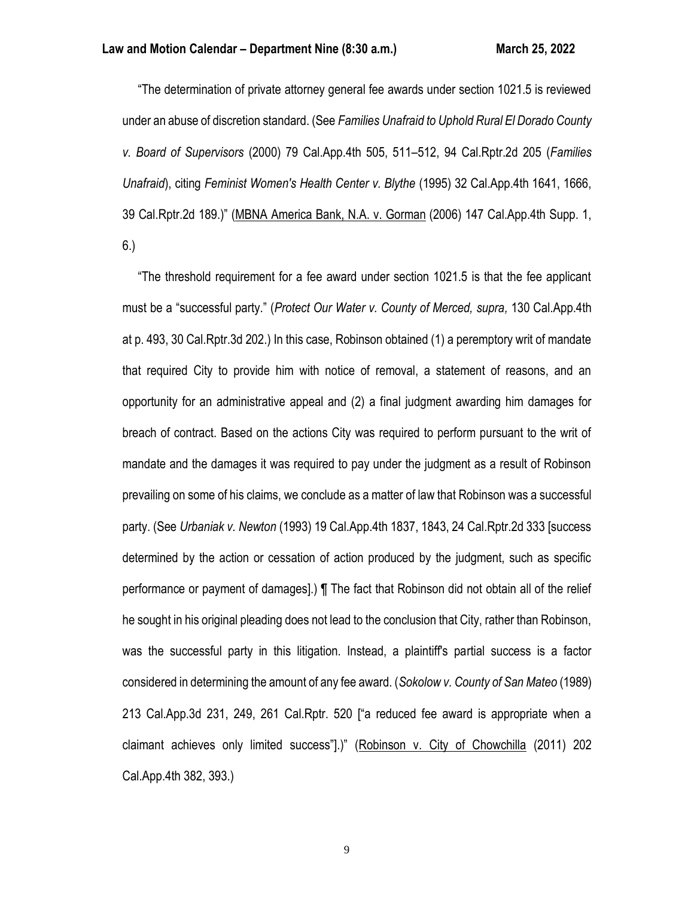"The determination of private attorney general fee awards under section 1021.5 is reviewed under an abuse of discretion standard. (See *Families Unafraid to Uphold Rural El Dorado County v. Board of Supervisors* (2000) 79 Cal.App.4th 505, 511–512, 94 Cal.Rptr.2d 205 (*Families Unafraid*), citing *Feminist Women's Health Center v. Blythe* (1995) 32 Cal.App.4th 1641, 1666, 39 Cal.Rptr.2d 189.)" (MBNA America Bank, N.A. v. Gorman (2006) 147 Cal.App.4th Supp. 1, 6.)

 "The threshold requirement for a fee award under section 1021.5 is that the fee applicant must be a "successful party." (*Protect Our Water v. County of Merced, supra,* 130 Cal.App.4th at p. 493, 30 Cal.Rptr.3d 202.) In this case, Robinson obtained (1) a peremptory writ of mandate that required City to provide him with notice of removal, a statement of reasons, and an opportunity for an administrative appeal and (2) a final judgment awarding him damages for breach of contract. Based on the actions City was required to perform pursuant to the writ of mandate and the damages it was required to pay under the judgment as a result of Robinson prevailing on some of his claims, we conclude as a matter of law that Robinson was a successful party. (See *Urbaniak v. Newton* (1993) 19 Cal.App.4th 1837, 1843, 24 Cal.Rptr.2d 333 [success determined by the action or cessation of action produced by the judgment, such as specific performance or payment of damages].) ¶ The fact that Robinson did not obtain all of the relief he sought in his original pleading does not lead to the conclusion that City, rather than Robinson, was the successful party in this litigation. Instead, a plaintiff's partial success is a factor considered in determining the amount of any fee award. (*Sokolow v. County of San Mateo* (1989) 213 Cal.App.3d 231, 249, 261 Cal.Rptr. 520 ["a reduced fee award is appropriate when a claimant achieves only limited success"].)" (Robinson v. City of Chowchilla (2011) 202 Cal.App.4th 382, 393.)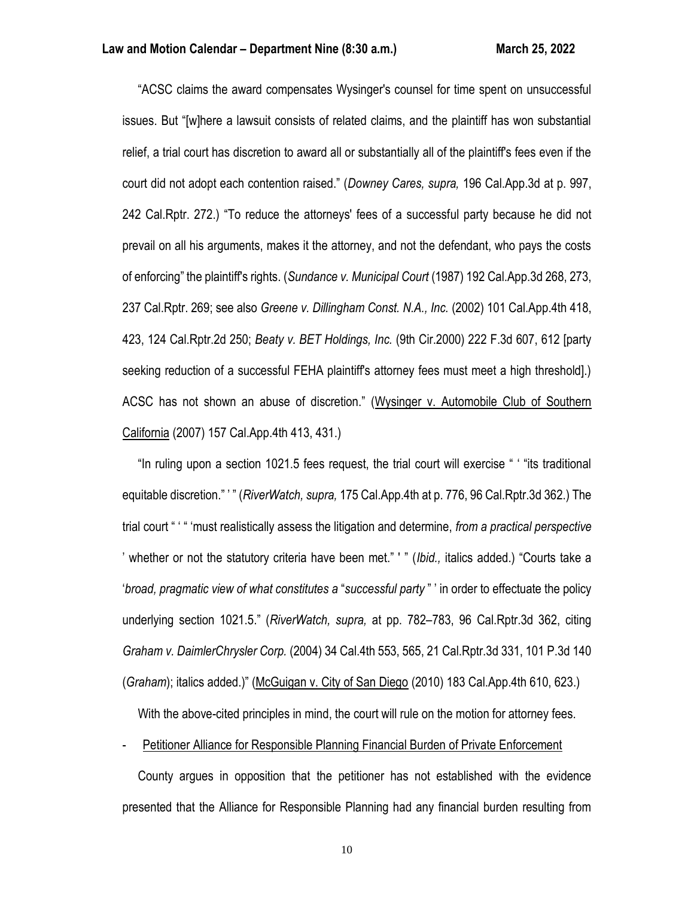"ACSC claims the award compensates Wysinger's counsel for time spent on unsuccessful issues. But "[w]here a lawsuit consists of related claims, and the plaintiff has won substantial relief, a trial court has discretion to award all or substantially all of the plaintiff's fees even if the court did not adopt each contention raised." (*Downey Cares, supra,* 196 Cal.App.3d at p. 997, 242 Cal.Rptr. 272.) "To reduce the attorneys' fees of a successful party because he did not prevail on all his arguments, makes it the attorney, and not the defendant, who pays the costs of enforcing" the plaintiff's rights. (*Sundance v. Municipal Court* (1987) 192 Cal.App.3d 268, 273, 237 Cal.Rptr. 269; see also *Greene v. Dillingham Const. N.A., Inc.* (2002) 101 Cal.App.4th 418, 423, 124 Cal.Rptr.2d 250; *Beaty v. BET Holdings, Inc.* (9th Cir.2000) 222 F.3d 607, 612 [party seeking reduction of a successful FEHA plaintiff's attorney fees must meet a high threshold].) ACSC has not shown an abuse of discretion." (Wysinger v. Automobile Club of Southern California (2007) 157 Cal.App.4th 413, 431.)

 "In ruling upon a section 1021.5 fees request, the trial court will exercise " ' "its traditional equitable discretion." ' " (*RiverWatch, supra,* 175 Cal.App.4th at p. 776, 96 Cal.Rptr.3d 362.) The trial court " ' " 'must realistically assess the litigation and determine, *from a practical perspective* ' whether or not the statutory criteria have been met." ' " (*Ibid.,* italics added.) "Courts take a '*broad, pragmatic view of what constitutes a* "*successful party* " ' in order to effectuate the policy underlying section 1021.5." (*RiverWatch, supra,* at pp. 782–783, 96 Cal.Rptr.3d 362, citing *Graham v. DaimlerChrysler Corp.* (2004) 34 Cal.4th 553, 565, 21 Cal.Rptr.3d 331, 101 P.3d 140 (*Graham*); italics added.)" (McGuigan v. City of San Diego (2010) 183 Cal.App.4th 610, 623.) With the above-cited principles in mind, the court will rule on the motion for attorney fees.

#### Petitioner Alliance for Responsible Planning Financial Burden of Private Enforcement

 County argues in opposition that the petitioner has not established with the evidence presented that the Alliance for Responsible Planning had any financial burden resulting from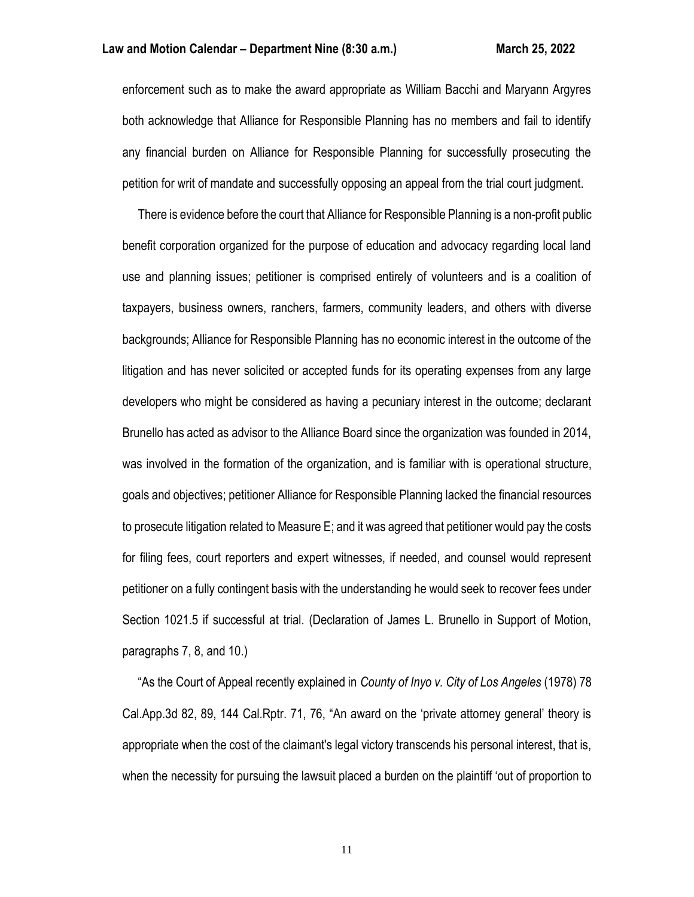enforcement such as to make the award appropriate as William Bacchi and Maryann Argyres both acknowledge that Alliance for Responsible Planning has no members and fail to identify any financial burden on Alliance for Responsible Planning for successfully prosecuting the petition for writ of mandate and successfully opposing an appeal from the trial court judgment.

 There is evidence before the court that Alliance for Responsible Planning is a non-profit public benefit corporation organized for the purpose of education and advocacy regarding local land use and planning issues; petitioner is comprised entirely of volunteers and is a coalition of taxpayers, business owners, ranchers, farmers, community leaders, and others with diverse backgrounds; Alliance for Responsible Planning has no economic interest in the outcome of the litigation and has never solicited or accepted funds for its operating expenses from any large developers who might be considered as having a pecuniary interest in the outcome; declarant Brunello has acted as advisor to the Alliance Board since the organization was founded in 2014, was involved in the formation of the organization, and is familiar with is operational structure, goals and objectives; petitioner Alliance for Responsible Planning lacked the financial resources to prosecute litigation related to Measure E; and it was agreed that petitioner would pay the costs for filing fees, court reporters and expert witnesses, if needed, and counsel would represent petitioner on a fully contingent basis with the understanding he would seek to recover fees under Section 1021.5 if successful at trial. (Declaration of James L. Brunello in Support of Motion, paragraphs 7, 8, and 10.)

 "As the Court of Appeal recently explained in *County of Inyo v. City of Los Angeles* (1978) 78 Cal.App.3d 82, 89, 144 Cal.Rptr. 71, 76, "An award on the 'private attorney general' theory is appropriate when the cost of the claimant's legal victory transcends his personal interest, that is, when the necessity for pursuing the lawsuit placed a burden on the plaintiff 'out of proportion to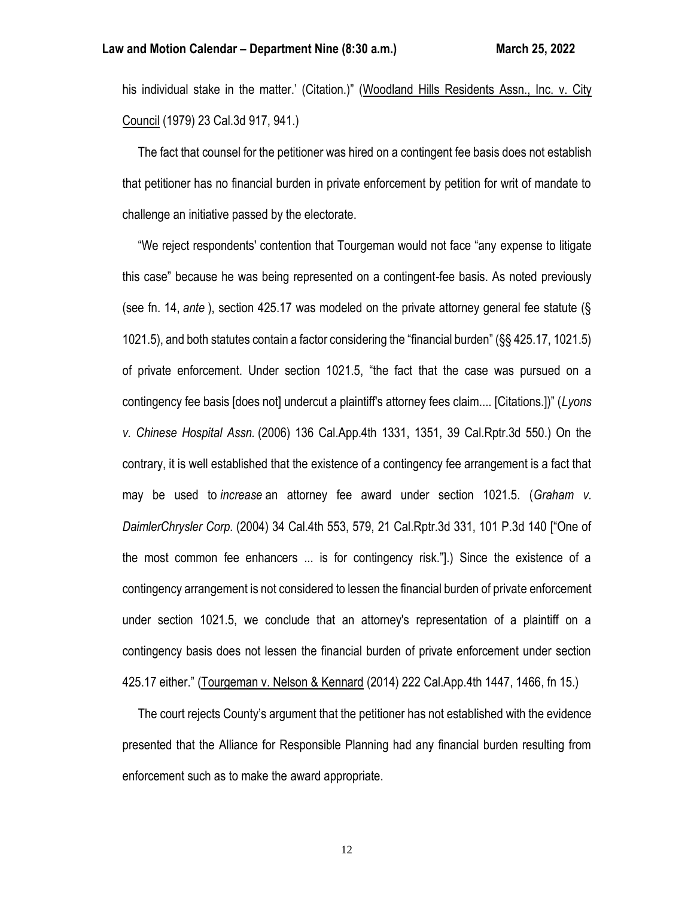his individual stake in the matter.' (Citation.)" (Woodland Hills Residents Assn., Inc. v. City Council (1979) 23 Cal.3d 917, 941.)

 The fact that counsel for the petitioner was hired on a contingent fee basis does not establish that petitioner has no financial burden in private enforcement by petition for writ of mandate to challenge an initiative passed by the electorate.

 "We reject respondents' contention that Tourgeman would not face "any expense to litigate this case" because he was being represented on a contingent-fee basis. As noted previously (see fn. 14, *ante* ), section 425.17 was modeled on the private attorney general fee statute (§ 1021.5), and both statutes contain a factor considering the "financial burden" (§§ 425.17, 1021.5) of private enforcement. Under section 1021.5, "the fact that the case was pursued on a contingency fee basis [does not] undercut a plaintiff's attorney fees claim.... [Citations.])" (*Lyons v. Chinese Hospital Assn.* (2006) 136 Cal.App.4th 1331, 1351, 39 Cal.Rptr.3d 550.) On the contrary, it is well established that the existence of a contingency fee arrangement is a fact that may be used to *increase* an attorney fee award under section 1021.5. (*Graham v. DaimlerChrysler Corp.* (2004) 34 Cal.4th 553, 579, 21 Cal.Rptr.3d 331, 101 P.3d 140 ["One of the most common fee enhancers ... is for contingency risk."].) Since the existence of a contingency arrangement is not considered to lessen the financial burden of private enforcement under section 1021.5, we conclude that an attorney's representation of a plaintiff on a contingency basis does not lessen the financial burden of private enforcement under section 425.17 either." (Tourgeman v. Nelson & Kennard (2014) 222 Cal.App.4th 1447, 1466, fn 15.)

 The court rejects County's argument that the petitioner has not established with the evidence presented that the Alliance for Responsible Planning had any financial burden resulting from enforcement such as to make the award appropriate.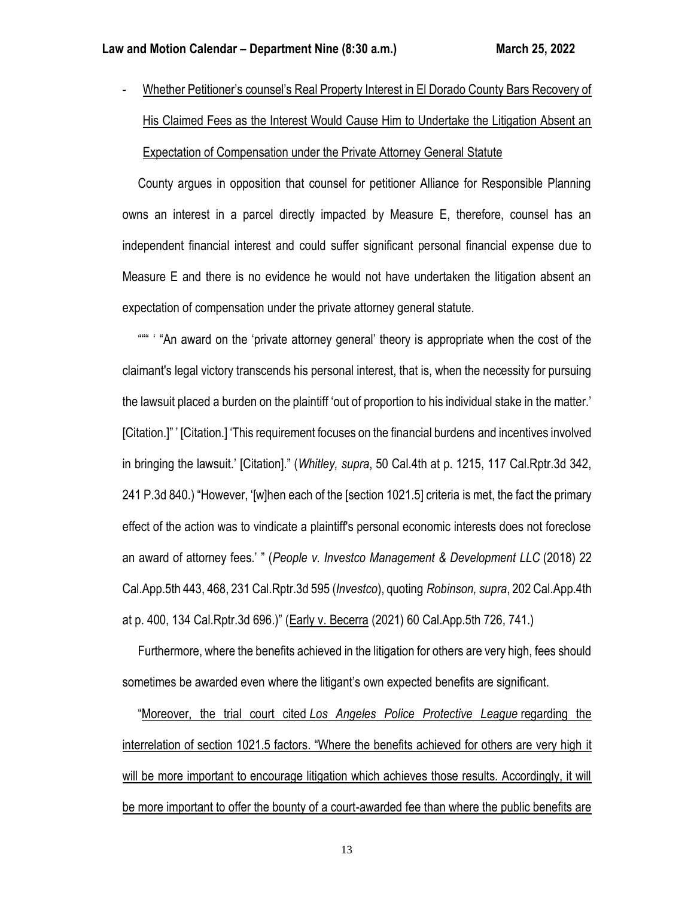- Whether Petitioner's counsel's Real Property Interest in El Dorado County Bars Recovery of His Claimed Fees as the Interest Would Cause Him to Undertake the Litigation Absent an Expectation of Compensation under the Private Attorney General Statute

 County argues in opposition that counsel for petitioner Alliance for Responsible Planning owns an interest in a parcel directly impacted by Measure E, therefore, counsel has an independent financial interest and could suffer significant personal financial expense due to Measure E and there is no evidence he would not have undertaken the litigation absent an expectation of compensation under the private attorney general statute.

""" "An award on the 'private attorney general' theory is appropriate when the cost of the claimant's legal victory transcends his personal interest, that is, when the necessity for pursuing the lawsuit placed a burden on the plaintiff 'out of proportion to his individual stake in the matter.' [Citation.]" ' [Citation.] 'This requirement focuses on the financial burdens and incentives involved in bringing the lawsuit.' [Citation]." (*Whitley, supra*, 50 Cal.4th at p. 1215, 117 Cal.Rptr.3d 342, 241 P.3d 840.) "However, '[w]hen each of the [section 1021.5] criteria is met, the fact the primary effect of the action was to vindicate a plaintiff's personal economic interests does not foreclose an award of attorney fees.' " (*People v. Investco Management & Development LLC* (2018) 22 Cal.App.5th 443, 468, 231 Cal.Rptr.3d 595 (*Investco*), quoting *Robinson, supra*, 202 Cal.App.4th at p. 400, 134 Cal.Rptr.3d 696.)" (Early v. Becerra (2021) 60 Cal.App.5th 726, 741.)

 Furthermore, where the benefits achieved in the litigation for others are very high, fees should sometimes be awarded even where the litigant's own expected benefits are significant.

 "Moreover, the trial court cited *Los Angeles Police Protective League* regarding the interrelation of section 1021.5 factors. "Where the benefits achieved for others are very high it will be more important to encourage litigation which achieves those results. Accordingly, it will be more important to offer the bounty of a court-awarded fee than where the public benefits are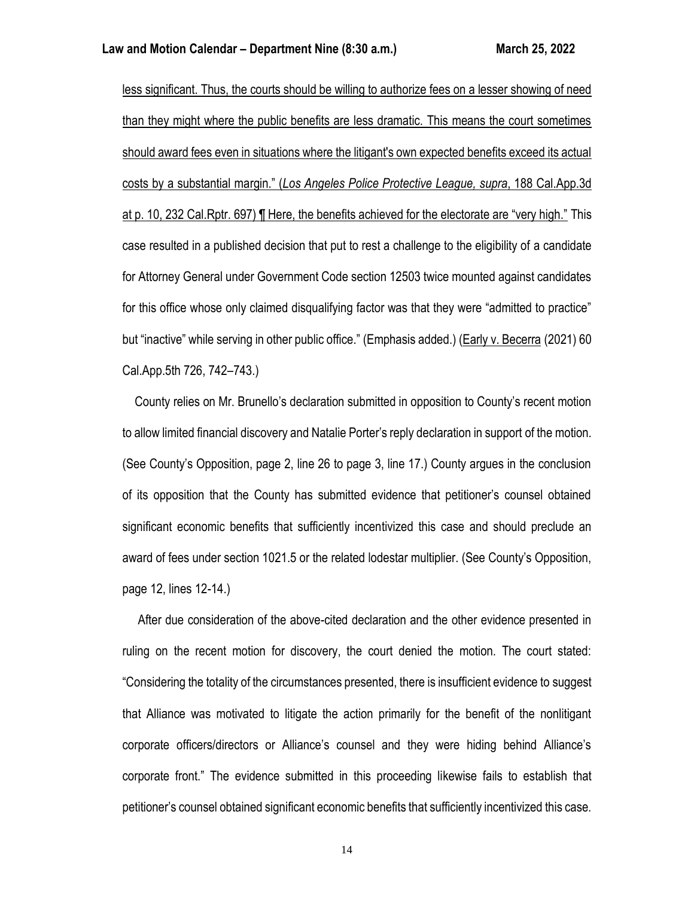less significant. Thus, the courts should be willing to authorize fees on a lesser showing of need than they might where the public benefits are less dramatic. This means the court sometimes should award fees even in situations where the litigant's own expected benefits exceed its actual costs by a substantial margin." (*Los Angeles Police Protective League, supra*, 188 Cal.App.3d at p. 10, 232 Cal.Rptr. 697) ¶ Here, the benefits achieved for the electorate are "very high." This case resulted in a published decision that put to rest a challenge to the eligibility of a candidate for Attorney General under Government Code section 12503 twice mounted against candidates for this office whose only claimed disqualifying factor was that they were "admitted to practice" but "inactive" while serving in other public office." (Emphasis added.) (Early v. Becerra (2021) 60 Cal.App.5th 726, 742–743.)

 County relies on Mr. Brunello's declaration submitted in opposition to County's recent motion to allow limited financial discovery and Natalie Porter's reply declaration in support of the motion. (See County's Opposition, page 2, line 26 to page 3, line 17.) County argues in the conclusion of its opposition that the County has submitted evidence that petitioner's counsel obtained significant economic benefits that sufficiently incentivized this case and should preclude an award of fees under section 1021.5 or the related lodestar multiplier. (See County's Opposition, page 12, lines 12-14.)

 After due consideration of the above-cited declaration and the other evidence presented in ruling on the recent motion for discovery, the court denied the motion. The court stated: "Considering the totality of the circumstances presented, there is insufficient evidence to suggest that Alliance was motivated to litigate the action primarily for the benefit of the nonlitigant corporate officers/directors or Alliance's counsel and they were hiding behind Alliance's corporate front." The evidence submitted in this proceeding likewise fails to establish that petitioner's counsel obtained significant economic benefits that sufficiently incentivized this case.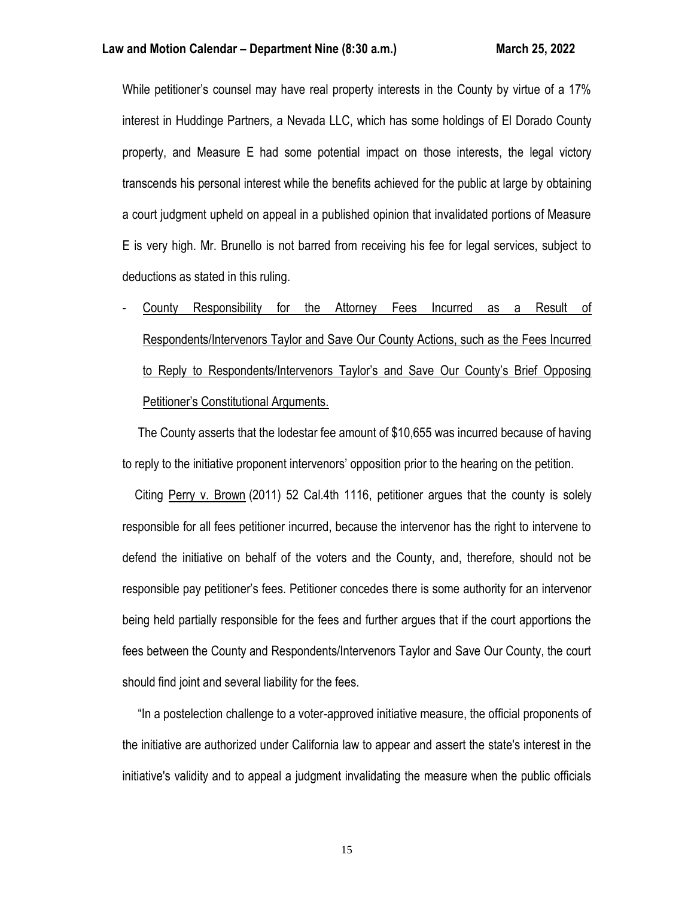While petitioner's counsel may have real property interests in the County by virtue of a 17% interest in Huddinge Partners, a Nevada LLC, which has some holdings of El Dorado County property, and Measure E had some potential impact on those interests, the legal victory transcends his personal interest while the benefits achieved for the public at large by obtaining a court judgment upheld on appeal in a published opinion that invalidated portions of Measure E is very high. Mr. Brunello is not barred from receiving his fee for legal services, subject to deductions as stated in this ruling.

- County Responsibility for the Attorney Fees Incurred as a Result of Respondents/Intervenors Taylor and Save Our County Actions, such as the Fees Incurred to Reply to Respondents/Intervenors Taylor's and Save Our County's Brief Opposing Petitioner's Constitutional Arguments.

 The County asserts that the lodestar fee amount of \$10,655 was incurred because of having to reply to the initiative proponent intervenors' opposition prior to the hearing on the petition.

 Citing Perry v. Brown (2011) 52 Cal.4th 1116, petitioner argues that the county is solely responsible for all fees petitioner incurred, because the intervenor has the right to intervene to defend the initiative on behalf of the voters and the County, and, therefore, should not be responsible pay petitioner's fees. Petitioner concedes there is some authority for an intervenor being held partially responsible for the fees and further argues that if the court apportions the fees between the County and Respondents/Intervenors Taylor and Save Our County, the court should find joint and several liability for the fees.

 "In a postelection challenge to a voter-approved initiative measure, the official proponents of the initiative are authorized under California law to appear and assert the state's interest in the initiative's validity and to appeal a judgment invalidating the measure when the public officials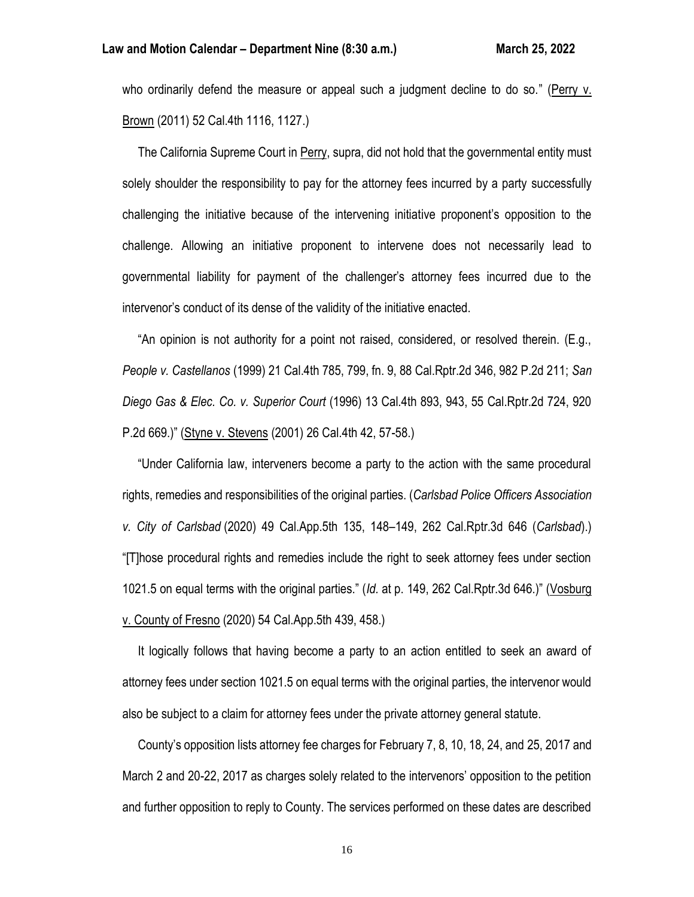who ordinarily defend the measure or appeal such a judgment decline to do so." (Perry v. Brown (2011) 52 Cal.4th 1116, 1127.)

 The California Supreme Court in Perry, supra, did not hold that the governmental entity must solely shoulder the responsibility to pay for the attorney fees incurred by a party successfully challenging the initiative because of the intervening initiative proponent's opposition to the challenge. Allowing an initiative proponent to intervene does not necessarily lead to governmental liability for payment of the challenger's attorney fees incurred due to the intervenor's conduct of its dense of the validity of the initiative enacted.

 "An opinion is not authority for a point not raised, considered, or resolved therein. (E.g., *People v. Castellanos* (1999) 21 Cal.4th 785, 799, fn. 9, 88 Cal.Rptr.2d 346, 982 P.2d 211; *San Diego Gas & Elec. Co. v. Superior Court* (1996) 13 Cal.4th 893, 943, 55 Cal.Rptr.2d 724, 920 P.2d 669.)" (Styne v. Stevens (2001) 26 Cal.4th 42, 57-58.)

 "Under California law, interveners become a party to the action with the same procedural rights, remedies and responsibilities of the original parties. (*Carlsbad Police Officers Association v. City of Carlsbad* (2020) 49 Cal.App.5th 135, 148–149, 262 Cal.Rptr.3d 646 (*Carlsbad*).) "[T]hose procedural rights and remedies include the right to seek attorney fees under section 1021.5 on equal terms with the original parties." (*Id.* at p. 149, 262 Cal.Rptr.3d 646.)" (Vosburg v. County of Fresno (2020) 54 Cal.App.5th 439, 458.)

 It logically follows that having become a party to an action entitled to seek an award of attorney fees under section 1021.5 on equal terms with the original parties, the intervenor would also be subject to a claim for attorney fees under the private attorney general statute.

 County's opposition lists attorney fee charges for February 7, 8, 10, 18, 24, and 25, 2017 and March 2 and 20-22, 2017 as charges solely related to the intervenors' opposition to the petition and further opposition to reply to County. The services performed on these dates are described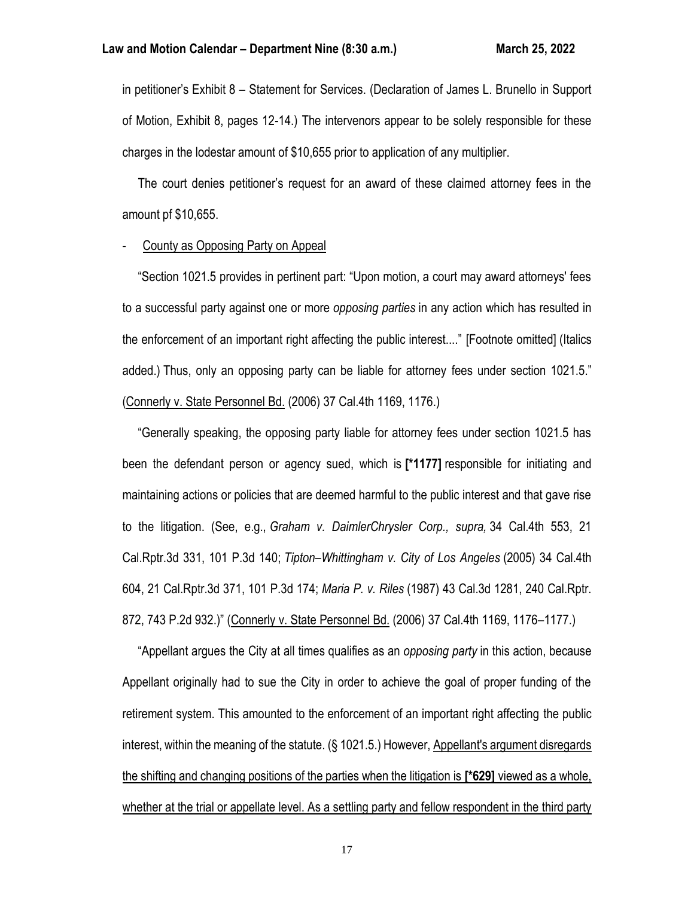in petitioner's Exhibit 8 – Statement for Services. (Declaration of James L. Brunello in Support of Motion, Exhibit 8, pages 12-14.) The intervenors appear to be solely responsible for these charges in the lodestar amount of \$10,655 prior to application of any multiplier.

 The court denies petitioner's request for an award of these claimed attorney fees in the amount pf \$10,655.

#### County as Opposing Party on Appeal

 "Section 1021.5 provides in pertinent part: "Upon motion, a court may award attorneys' fees to a successful party against one or more *opposing parties* in any action which has resulted in the enforcement of an important right affecting the public interest...." [Footnote omitted] (Italics added.) Thus, only an opposing party can be liable for attorney fees under section 1021.5." (Connerly v. State Personnel Bd. (2006) 37 Cal.4th 1169, 1176.)

 "Generally speaking, the opposing party liable for attorney fees under section 1021.5 has been the defendant person or agency sued, which is **[\*1177]** responsible for initiating and maintaining actions or policies that are deemed harmful to the public interest and that gave rise to the litigation. (See, e.g., *Graham v. DaimlerChrysler Corp., supra,* 34 Cal.4th 553, 21 Cal.Rptr.3d 331, 101 P.3d 140; *Tipton–Whittingham v. City of Los Angeles* (2005) 34 Cal.4th 604, 21 Cal.Rptr.3d 371, 101 P.3d 174; *Maria P. v. Riles* (1987) 43 Cal.3d 1281, 240 Cal.Rptr. 872, 743 P.2d 932.)" (Connerly v. State Personnel Bd. (2006) 37 Cal.4th 1169, 1176–1177.)

 "Appellant argues the City at all times qualifies as an *opposing party* in this action, because Appellant originally had to sue the City in order to achieve the goal of proper funding of the retirement system. This amounted to the enforcement of an important right affecting the public interest, within the meaning of the statute. (§ 1021.5.) However, Appellant's argument disregards the shifting and changing positions of the parties when the litigation is **[\*629]** viewed as a whole, whether at the trial or appellate level. As a settling party and fellow respondent in the third party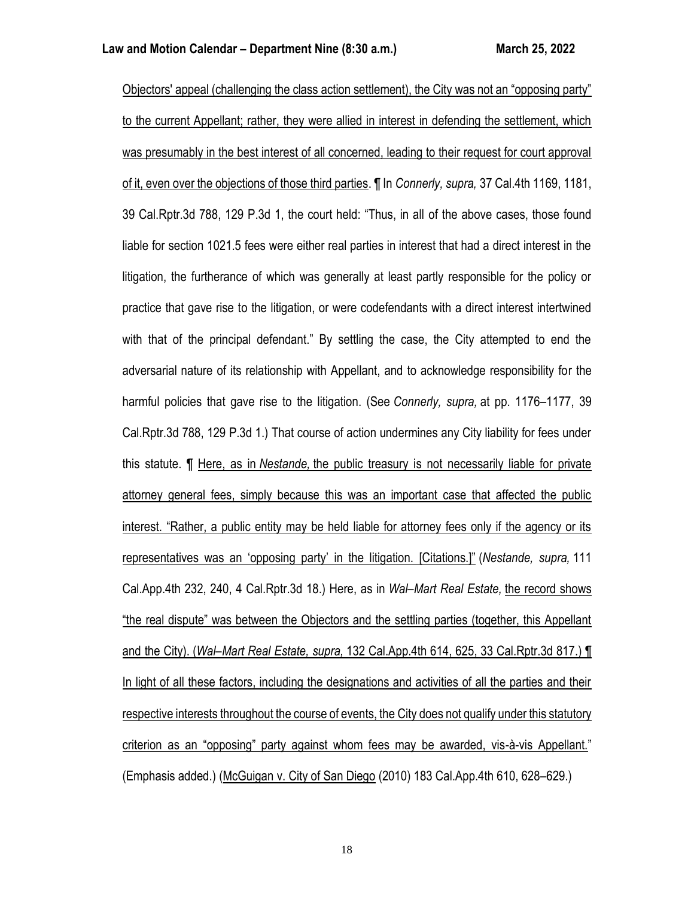Objectors' appeal (challenging the class action settlement), the City was not an "opposing party" to the current Appellant; rather, they were allied in interest in defending the settlement, which was presumably in the best interest of all concerned, leading to their request for court approval of it, even over the objections of those third parties. ¶ In *Connerly, supra,* 37 Cal.4th 1169, 1181, 39 Cal.Rptr.3d 788, 129 P.3d 1, the court held: "Thus, in all of the above cases, those found liable for section 1021.5 fees were either real parties in interest that had a direct interest in the litigation, the furtherance of which was generally at least partly responsible for the policy or practice that gave rise to the litigation, or were codefendants with a direct interest intertwined with that of the principal defendant." By settling the case, the City attempted to end the adversarial nature of its relationship with Appellant, and to acknowledge responsibility for the harmful policies that gave rise to the litigation. (See *Connerly, supra,* at pp. 1176–1177, 39 Cal.Rptr.3d 788, 129 P.3d 1.) That course of action undermines any City liability for fees under this statute. ¶ Here, as in *Nestande,* the public treasury is not necessarily liable for private attorney general fees, simply because this was an important case that affected the public interest. "Rather, a public entity may be held liable for attorney fees only if the agency or its representatives was an 'opposing party' in the litigation. [Citations.]" (*Nestande, supra,* 111 Cal.App.4th 232, 240, 4 Cal.Rptr.3d 18.) Here, as in *Wal–Mart Real Estate,* the record shows "the real dispute" was between the Objectors and the settling parties (together, this Appellant and the City). (*Wal–Mart Real Estate, supra,* 132 Cal.App.4th 614, 625, 33 Cal.Rptr.3d 817.) ¶ In light of all these factors, including the designations and activities of all the parties and their respective interests throughout the course of events, the City does not qualify under this statutory criterion as an "opposing" party against whom fees may be awarded, vis-à-vis Appellant." (Emphasis added.) (McGuigan v. City of San Diego (2010) 183 Cal.App.4th 610, 628–629.)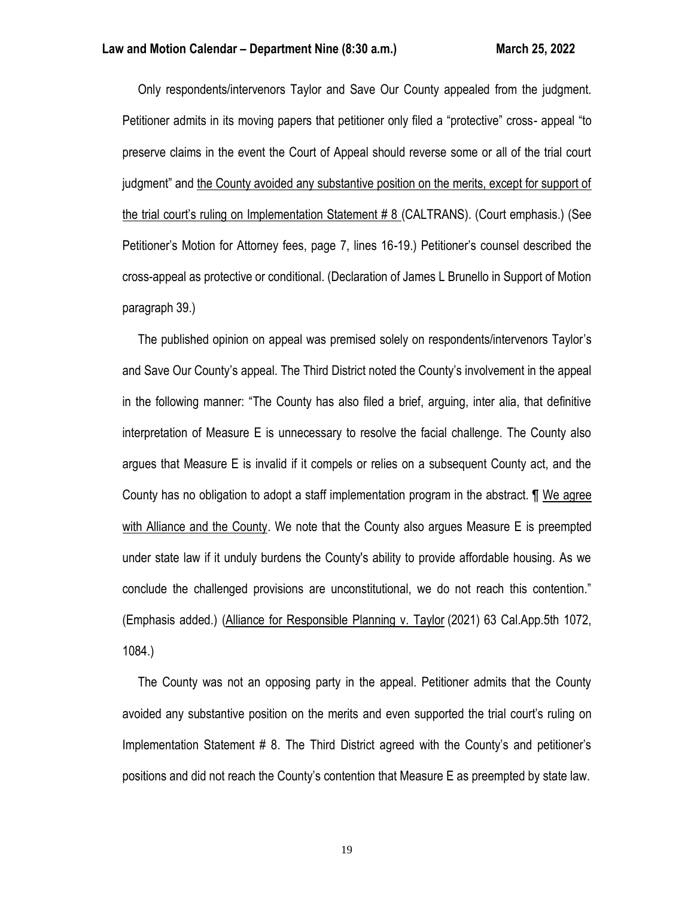Only respondents/intervenors Taylor and Save Our County appealed from the judgment. Petitioner admits in its moving papers that petitioner only filed a "protective" cross- appeal "to preserve claims in the event the Court of Appeal should reverse some or all of the trial court judgment" and the County avoided any substantive position on the merits, except for support of the trial court's ruling on Implementation Statement # 8 (CALTRANS). (Court emphasis.) (See Petitioner's Motion for Attorney fees, page 7, lines 16-19.) Petitioner's counsel described the cross-appeal as protective or conditional. (Declaration of James L Brunello in Support of Motion paragraph 39.)

 The published opinion on appeal was premised solely on respondents/intervenors Taylor's and Save Our County's appeal. The Third District noted the County's involvement in the appeal in the following manner: "The County has also filed a brief, arguing, inter alia, that definitive interpretation of Measure E is unnecessary to resolve the facial challenge. The County also argues that Measure E is invalid if it compels or relies on a subsequent County act, and the County has no obligation to adopt a staff implementation program in the abstract. ¶ We agree with Alliance and the County. We note that the County also argues Measure E is preempted under state law if it unduly burdens the County's ability to provide affordable housing. As we conclude the challenged provisions are unconstitutional, we do not reach this contention." (Emphasis added.) (Alliance for Responsible Planning v. Taylor (2021) 63 Cal.App.5th 1072, 1084.)

 The County was not an opposing party in the appeal. Petitioner admits that the County avoided any substantive position on the merits and even supported the trial court's ruling on Implementation Statement # 8. The Third District agreed with the County's and petitioner's positions and did not reach the County's contention that Measure E as preempted by state law.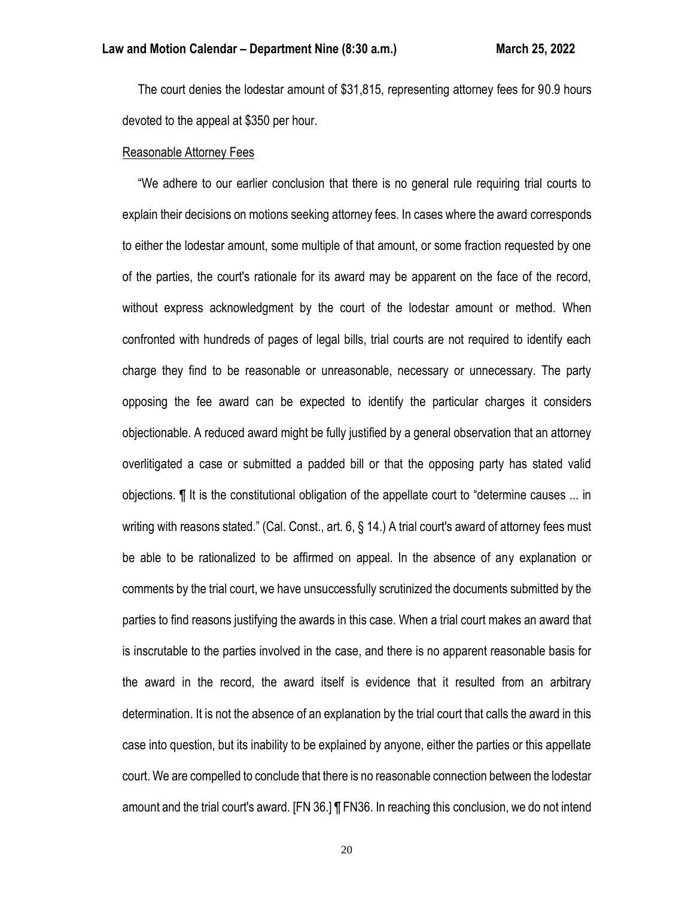The court denies the lodestar amount of \$31,815, representing attorney fees for 90.9 hours devoted to the appeal at \$350 per hour.

#### Reasonable Attorney Fees

 "We adhere to our earlier conclusion that there is no general rule requiring trial courts to explain their decisions on motions seeking attorney fees. In cases where the award corresponds to either the lodestar amount, some multiple of that amount, or some fraction requested by one of the parties, the court's rationale for its award may be apparent on the face of the record, without express acknowledgment by the court of the lodestar amount or method. When confronted with hundreds of pages of legal bills, trial courts are not required to identify each charge they find to be reasonable or unreasonable, necessary or unnecessary. The party opposing the fee award can be expected to identify the particular charges it considers objectionable. A reduced award might be fully justified by a general observation that an attorney overlitigated a case or submitted a padded bill or that the opposing party has stated valid objections. ¶ It is the constitutional obligation of the appellate court to "determine causes ... in writing with reasons stated." (Cal. Const., art. 6, § 14.) A trial court's award of attorney fees must be able to be rationalized to be affirmed on appeal. In the absence of any explanation or comments by the trial court, we have unsuccessfully scrutinized the documents submitted by the parties to find reasons justifying the awards in this case. When a trial court makes an award that is inscrutable to the parties involved in the case, and there is no apparent reasonable basis for the award in the record, the award itself is evidence that it resulted from an arbitrary determination. It is not the absence of an explanation by the trial court that calls the award in this case into question, but its inability to be explained by anyone, either the parties or this appellate court. We are compelled to conclude that there is no reasonable connection between the lodestar amount and the trial court's award. [FN 36.] ¶ FN36. In reaching this conclusion, we do not intend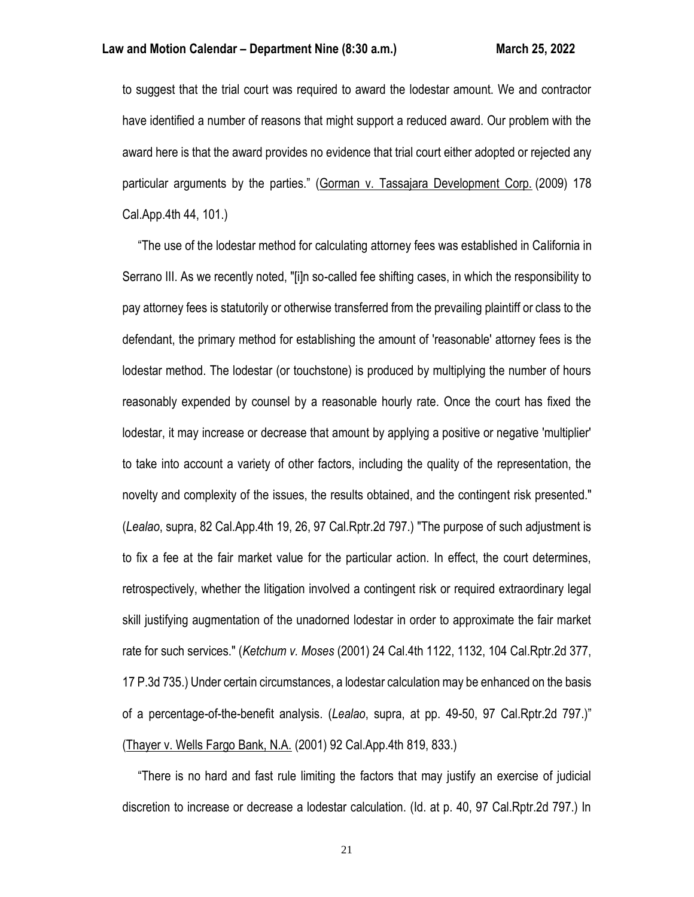to suggest that the trial court was required to award the lodestar amount. We and contractor have identified a number of reasons that might support a reduced award. Our problem with the award here is that the award provides no evidence that trial court either adopted or rejected any particular arguments by the parties." (Gorman v. Tassajara Development Corp. (2009) 178 Cal.App.4th 44, 101.)

 "The use of the lodestar method for calculating attorney fees was established in California in Serrano III. As we recently noted, "[i]n so-called fee shifting cases, in which the responsibility to pay attorney fees is statutorily or otherwise transferred from the prevailing plaintiff or class to the defendant, the primary method for establishing the amount of 'reasonable' attorney fees is the lodestar method. The lodestar (or touchstone) is produced by multiplying the number of hours reasonably expended by counsel by a reasonable hourly rate. Once the court has fixed the lodestar, it may increase or decrease that amount by applying a positive or negative 'multiplier' to take into account a variety of other factors, including the quality of the representation, the novelty and complexity of the issues, the results obtained, and the contingent risk presented." (*Lealao*, supra, 82 Cal.App.4th 19, 26, 97 Cal.Rptr.2d 797.) "The purpose of such adjustment is to fix a fee at the fair market value for the particular action. In effect, the court determines, retrospectively, whether the litigation involved a contingent risk or required extraordinary legal skill justifying augmentation of the unadorned lodestar in order to approximate the fair market rate for such services." (*Ketchum v. Moses* (2001) 24 Cal.4th 1122, 1132, 104 Cal.Rptr.2d 377, 17 P.3d 735.) Under certain circumstances, a lodestar calculation may be enhanced on the basis of a percentage-of-the-benefit analysis. (*Lealao*, supra, at pp. 49-50, 97 Cal.Rptr.2d 797.)" (Thayer v. Wells Fargo Bank, N.A. (2001) 92 Cal.App.4th 819, 833.)

 "There is no hard and fast rule limiting the factors that may justify an exercise of judicial discretion to increase or decrease a lodestar calculation. (Id. at p. 40, 97 Cal.Rptr.2d 797.) In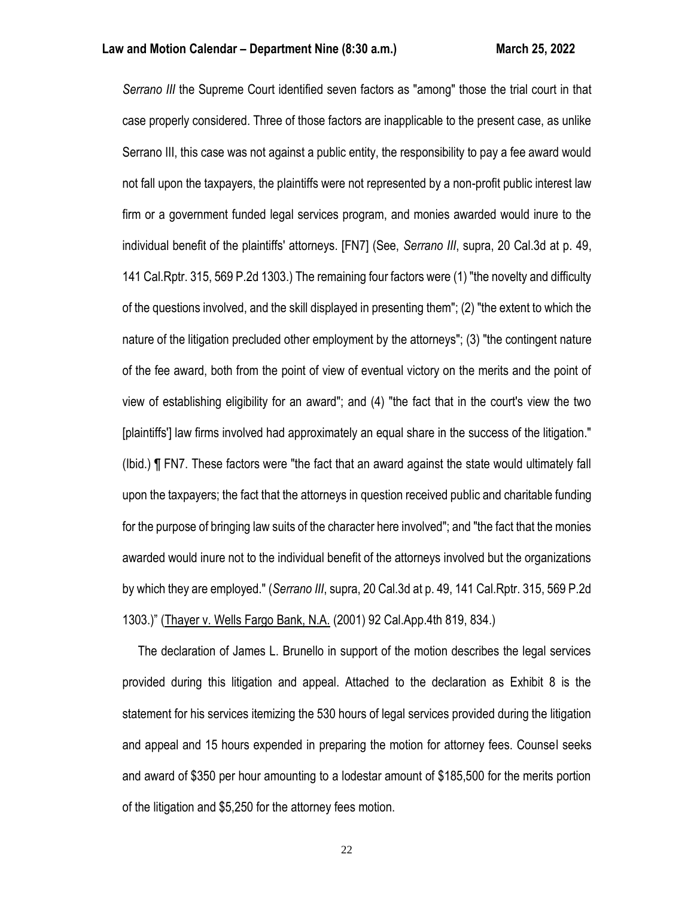*Serrano III* the Supreme Court identified seven factors as "among" those the trial court in that case properly considered. Three of those factors are inapplicable to the present case, as unlike Serrano III, this case was not against a public entity, the responsibility to pay a fee award would not fall upon the taxpayers, the plaintiffs were not represented by a non-profit public interest law firm or a government funded legal services program, and monies awarded would inure to the individual benefit of the plaintiffs' attorneys. [FN7] (See, *Serrano III*, supra, 20 Cal.3d at p. 49, 141 Cal.Rptr. 315, 569 P.2d 1303.) The remaining four factors were (1) "the novelty and difficulty of the questions involved, and the skill displayed in presenting them"; (2) "the extent to which the nature of the litigation precluded other employment by the attorneys"; (3) "the contingent nature of the fee award, both from the point of view of eventual victory on the merits and the point of view of establishing eligibility for an award"; and (4) "the fact that in the court's view the two [plaintiffs'] law firms involved had approximately an equal share in the success of the litigation." (Ibid.) ¶ FN7. These factors were "the fact that an award against the state would ultimately fall upon the taxpayers; the fact that the attorneys in question received public and charitable funding for the purpose of bringing law suits of the character here involved"; and "the fact that the monies awarded would inure not to the individual benefit of the attorneys involved but the organizations by which they are employed." (*Serrano III*, supra, 20 Cal.3d at p. 49, 141 Cal.Rptr. 315, 569 P.2d 1303.)" (Thayer v. Wells Fargo Bank, N.A. (2001) 92 Cal.App.4th 819, 834.)

 The declaration of James L. Brunello in support of the motion describes the legal services provided during this litigation and appeal. Attached to the declaration as Exhibit 8 is the statement for his services itemizing the 530 hours of legal services provided during the litigation and appeal and 15 hours expended in preparing the motion for attorney fees. Counsel seeks and award of \$350 per hour amounting to a lodestar amount of \$185,500 for the merits portion of the litigation and \$5,250 for the attorney fees motion.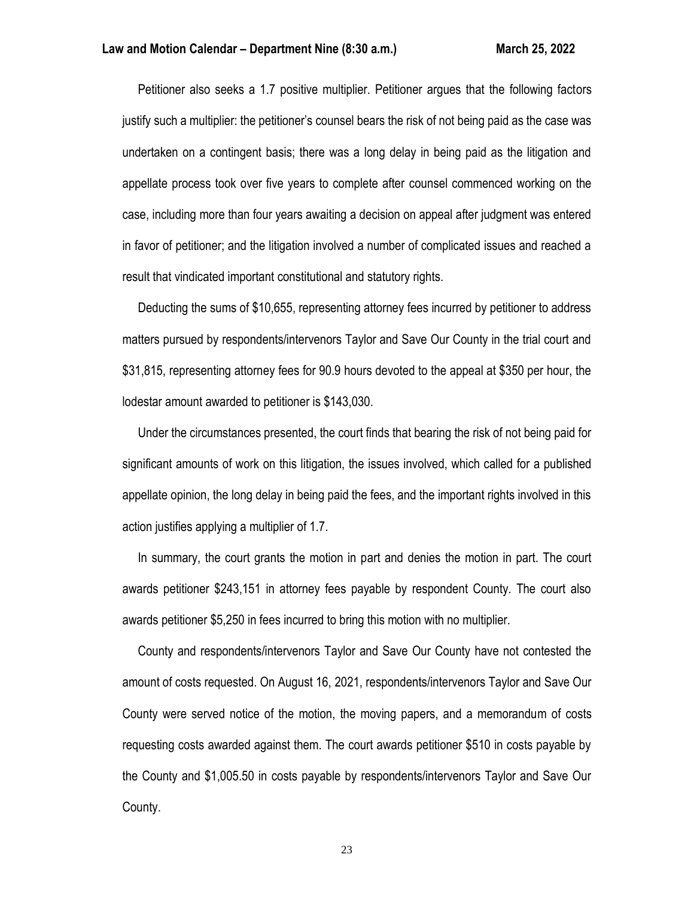Petitioner also seeks a 1.7 positive multiplier. Petitioner argues that the following factors justify such a multiplier: the petitioner's counsel bears the risk of not being paid as the case was undertaken on a contingent basis; there was a long delay in being paid as the litigation and appellate process took over five years to complete after counsel commenced working on the case, including more than four years awaiting a decision on appeal after judgment was entered in favor of petitioner; and the litigation involved a number of complicated issues and reached a result that vindicated important constitutional and statutory rights.

 Deducting the sums of \$10,655, representing attorney fees incurred by petitioner to address matters pursued by respondents/intervenors Taylor and Save Our County in the trial court and \$31,815, representing attorney fees for 90.9 hours devoted to the appeal at \$350 per hour, the lodestar amount awarded to petitioner is \$143,030.

 Under the circumstances presented, the court finds that bearing the risk of not being paid for significant amounts of work on this litigation, the issues involved, which called for a published appellate opinion, the long delay in being paid the fees, and the important rights involved in this action justifies applying a multiplier of 1.7.

 In summary, the court grants the motion in part and denies the motion in part. The court awards petitioner \$243,151 in attorney fees payable by respondent County. The court also awards petitioner \$5,250 in fees incurred to bring this motion with no multiplier.

 County and respondents/intervenors Taylor and Save Our County have not contested the amount of costs requested. On August 16, 2021, respondents/intervenors Taylor and Save Our County were served notice of the motion, the moving papers, and a memorandum of costs requesting costs awarded against them. The court awards petitioner \$510 in costs payable by the County and \$1,005.50 in costs payable by respondents/intervenors Taylor and Save Our County.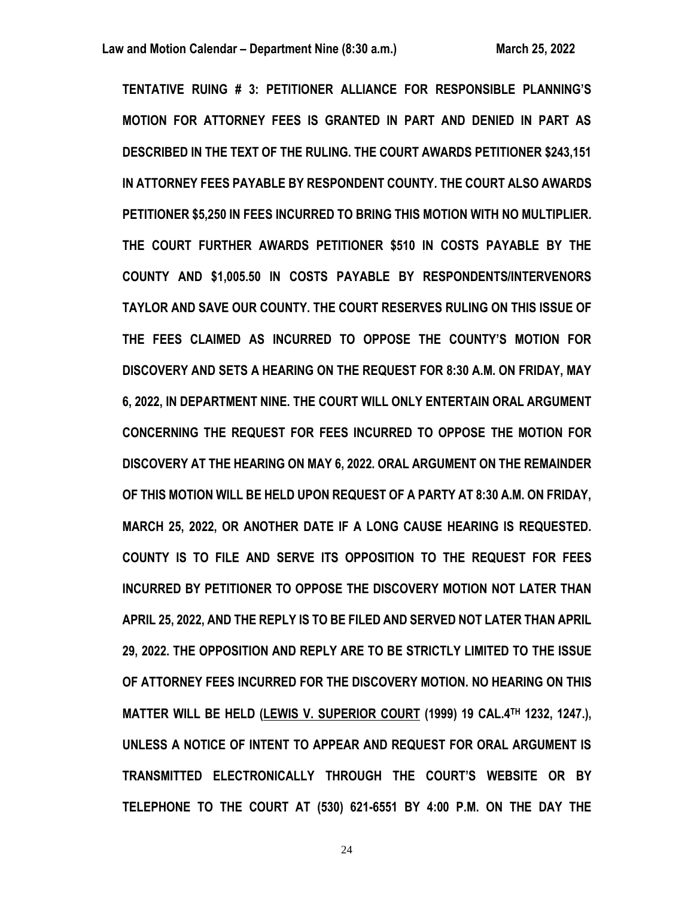**TENTATIVE RUING # 3: PETITIONER ALLIANCE FOR RESPONSIBLE PLANNING'S MOTION FOR ATTORNEY FEES IS GRANTED IN PART AND DENIED IN PART AS DESCRIBED IN THE TEXT OF THE RULING. THE COURT AWARDS PETITIONER \$243,151 IN ATTORNEY FEES PAYABLE BY RESPONDENT COUNTY. THE COURT ALSO AWARDS PETITIONER \$5,250 IN FEES INCURRED TO BRING THIS MOTION WITH NO MULTIPLIER. THE COURT FURTHER AWARDS PETITIONER \$510 IN COSTS PAYABLE BY THE COUNTY AND \$1,005.50 IN COSTS PAYABLE BY RESPONDENTS/INTERVENORS TAYLOR AND SAVE OUR COUNTY. THE COURT RESERVES RULING ON THIS ISSUE OF THE FEES CLAIMED AS INCURRED TO OPPOSE THE COUNTY'S MOTION FOR DISCOVERY AND SETS A HEARING ON THE REQUEST FOR 8:30 A.M. ON FRIDAY, MAY 6, 2022, IN DEPARTMENT NINE. THE COURT WILL ONLY ENTERTAIN ORAL ARGUMENT CONCERNING THE REQUEST FOR FEES INCURRED TO OPPOSE THE MOTION FOR DISCOVERY AT THE HEARING ON MAY 6, 2022. ORAL ARGUMENT ON THE REMAINDER OF THIS MOTION WILL BE HELD UPON REQUEST OF A PARTY AT 8:30 A.M. ON FRIDAY, MARCH 25, 2022, OR ANOTHER DATE IF A LONG CAUSE HEARING IS REQUESTED. COUNTY IS TO FILE AND SERVE ITS OPPOSITION TO THE REQUEST FOR FEES INCURRED BY PETITIONER TO OPPOSE THE DISCOVERY MOTION NOT LATER THAN APRIL 25, 2022, AND THE REPLY IS TO BE FILED AND SERVED NOT LATER THAN APRIL 29, 2022. THE OPPOSITION AND REPLY ARE TO BE STRICTLY LIMITED TO THE ISSUE OF ATTORNEY FEES INCURRED FOR THE DISCOVERY MOTION. NO HEARING ON THIS MATTER WILL BE HELD (LEWIS V. SUPERIOR COURT (1999) 19 CAL.4TH 1232, 1247.), UNLESS A NOTICE OF INTENT TO APPEAR AND REQUEST FOR ORAL ARGUMENT IS TRANSMITTED ELECTRONICALLY THROUGH THE COURT'S WEBSITE OR BY TELEPHONE TO THE COURT AT (530) 621-6551 BY 4:00 P.M. ON THE DAY THE**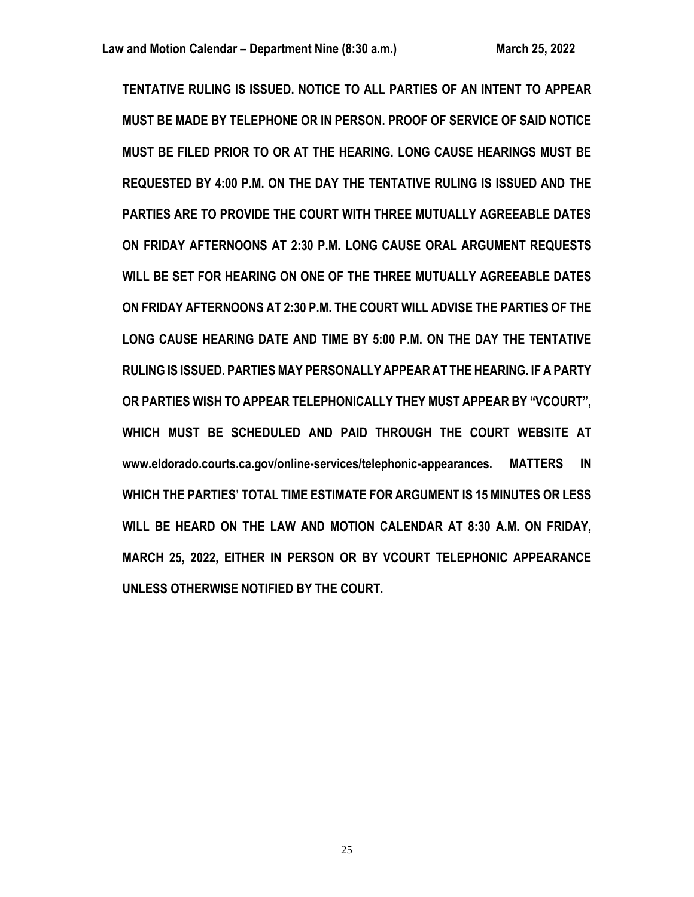**TENTATIVE RULING IS ISSUED. NOTICE TO ALL PARTIES OF AN INTENT TO APPEAR MUST BE MADE BY TELEPHONE OR IN PERSON. PROOF OF SERVICE OF SAID NOTICE MUST BE FILED PRIOR TO OR AT THE HEARING. LONG CAUSE HEARINGS MUST BE REQUESTED BY 4:00 P.M. ON THE DAY THE TENTATIVE RULING IS ISSUED AND THE PARTIES ARE TO PROVIDE THE COURT WITH THREE MUTUALLY AGREEABLE DATES ON FRIDAY AFTERNOONS AT 2:30 P.M. LONG CAUSE ORAL ARGUMENT REQUESTS WILL BE SET FOR HEARING ON ONE OF THE THREE MUTUALLY AGREEABLE DATES ON FRIDAY AFTERNOONS AT 2:30 P.M. THE COURT WILL ADVISE THE PARTIES OF THE LONG CAUSE HEARING DATE AND TIME BY 5:00 P.M. ON THE DAY THE TENTATIVE RULING IS ISSUED. PARTIES MAY PERSONALLY APPEAR AT THE HEARING. IF A PARTY OR PARTIES WISH TO APPEAR TELEPHONICALLY THEY MUST APPEAR BY "VCOURT", WHICH MUST BE SCHEDULED AND PAID THROUGH THE COURT WEBSITE AT www.eldorado.courts.ca.gov/online-services/telephonic-appearances. MATTERS IN WHICH THE PARTIES' TOTAL TIME ESTIMATE FOR ARGUMENT IS 15 MINUTES OR LESS WILL BE HEARD ON THE LAW AND MOTION CALENDAR AT 8:30 A.M. ON FRIDAY, MARCH 25, 2022, EITHER IN PERSON OR BY VCOURT TELEPHONIC APPEARANCE UNLESS OTHERWISE NOTIFIED BY THE COURT.**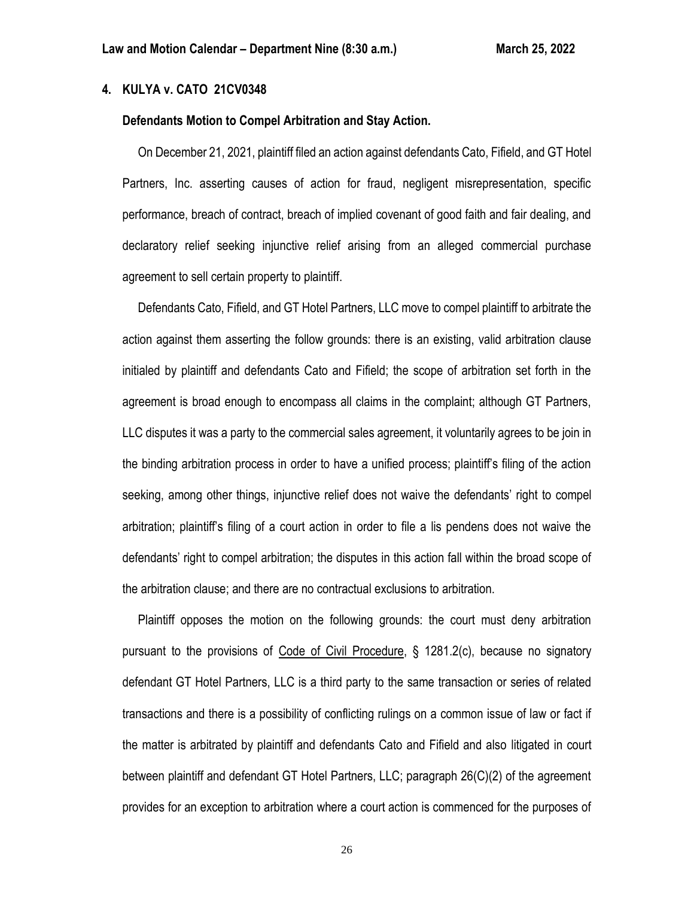## **4. KULYA v. CATO 21CV0348**

#### **Defendants Motion to Compel Arbitration and Stay Action.**

 On December 21, 2021, plaintiff filed an action against defendants Cato, Fifield, and GT Hotel Partners, Inc. asserting causes of action for fraud, negligent misrepresentation, specific performance, breach of contract, breach of implied covenant of good faith and fair dealing, and declaratory relief seeking injunctive relief arising from an alleged commercial purchase agreement to sell certain property to plaintiff.

 Defendants Cato, Fifield, and GT Hotel Partners, LLC move to compel plaintiff to arbitrate the action against them asserting the follow grounds: there is an existing, valid arbitration clause initialed by plaintiff and defendants Cato and Fifield; the scope of arbitration set forth in the agreement is broad enough to encompass all claims in the complaint; although GT Partners, LLC disputes it was a party to the commercial sales agreement, it voluntarily agrees to be join in the binding arbitration process in order to have a unified process; plaintiff's filing of the action seeking, among other things, injunctive relief does not waive the defendants' right to compel arbitration; plaintiff's filing of a court action in order to file a lis pendens does not waive the defendants' right to compel arbitration; the disputes in this action fall within the broad scope of the arbitration clause; and there are no contractual exclusions to arbitration.

 Plaintiff opposes the motion on the following grounds: the court must deny arbitration pursuant to the provisions of Code of Civil Procedure, § 1281.2(c), because no signatory defendant GT Hotel Partners, LLC is a third party to the same transaction or series of related transactions and there is a possibility of conflicting rulings on a common issue of law or fact if the matter is arbitrated by plaintiff and defendants Cato and Fifield and also litigated in court between plaintiff and defendant GT Hotel Partners, LLC; paragraph 26(C)(2) of the agreement provides for an exception to arbitration where a court action is commenced for the purposes of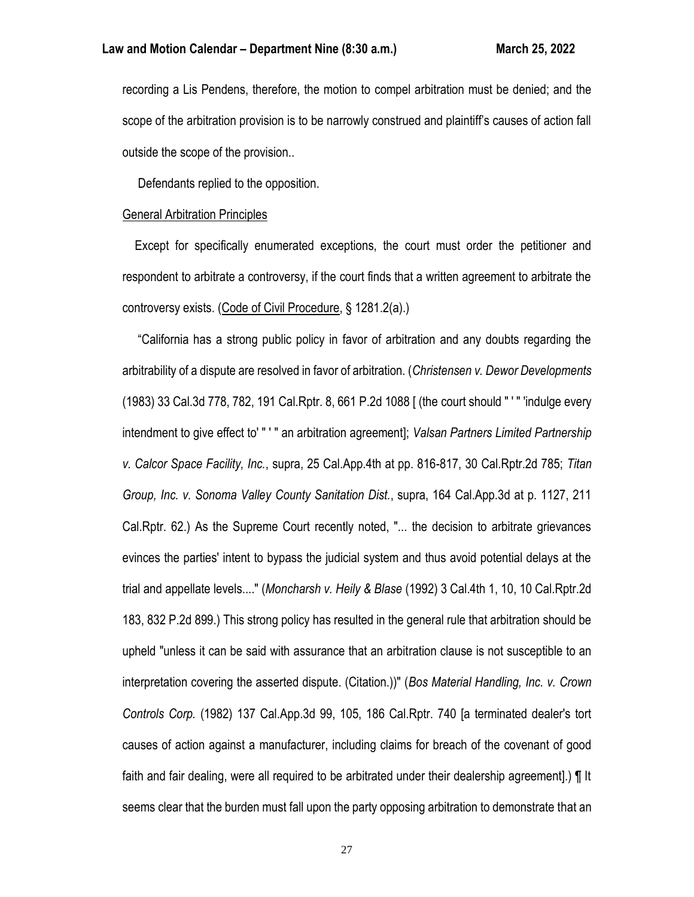recording a Lis Pendens, therefore, the motion to compel arbitration must be denied; and the scope of the arbitration provision is to be narrowly construed and plaintiff's causes of action fall outside the scope of the provision..

Defendants replied to the opposition.

### General Arbitration Principles

 Except for specifically enumerated exceptions, the court must order the petitioner and respondent to arbitrate a controversy, if the court finds that a written agreement to arbitrate the controversy exists. (Code of Civil Procedure, § 1281.2(a).)

 "California has a strong public policy in favor of arbitration and any doubts regarding the arbitrability of a dispute are resolved in favor of arbitration. (*Christensen v. Dewor Developments* (1983) 33 Cal.3d 778, 782, 191 Cal.Rptr. 8, 661 P.2d 1088 [ (the court should " ' " 'indulge every intendment to give effect to' " ' " an arbitration agreement]; *Valsan Partners Limited Partnership v. Calcor Space Facility, Inc.*, supra, 25 Cal.App.4th at pp. 816-817, 30 Cal.Rptr.2d 785; *Titan Group, Inc. v. Sonoma Valley County Sanitation Dist.*, supra, 164 Cal.App.3d at p. 1127, 211 Cal.Rptr. 62.) As the Supreme Court recently noted, "... the decision to arbitrate grievances evinces the parties' intent to bypass the judicial system and thus avoid potential delays at the trial and appellate levels...." (*Moncharsh v. Heily & Blase* (1992) 3 Cal.4th 1, 10, 10 Cal.Rptr.2d 183, 832 P.2d 899.) This strong policy has resulted in the general rule that arbitration should be upheld "unless it can be said with assurance that an arbitration clause is not susceptible to an interpretation covering the asserted dispute. (Citation.))" (*Bos Material Handling, Inc. v. Crown Controls Corp.* (1982) 137 Cal.App.3d 99, 105, 186 Cal.Rptr. 740 [a terminated dealer's tort causes of action against a manufacturer, including claims for breach of the covenant of good faith and fair dealing, were all required to be arbitrated under their dealership agreement].) ¶ It seems clear that the burden must fall upon the party opposing arbitration to demonstrate that an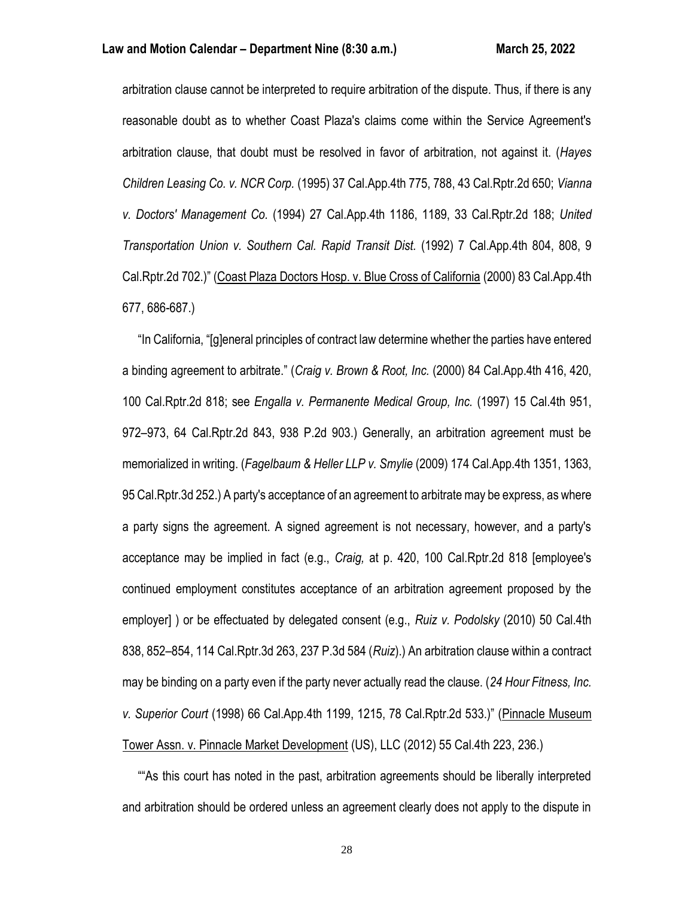arbitration clause cannot be interpreted to require arbitration of the dispute. Thus, if there is any reasonable doubt as to whether Coast Plaza's claims come within the Service Agreement's arbitration clause, that doubt must be resolved in favor of arbitration, not against it. (*Hayes Children Leasing Co. v. NCR Corp.* (1995) 37 Cal.App.4th 775, 788, 43 Cal.Rptr.2d 650; *Vianna v. Doctors' Management Co.* (1994) 27 Cal.App.4th 1186, 1189, 33 Cal.Rptr.2d 188; *United Transportation Union v. Southern Cal. Rapid Transit Dist.* (1992) 7 Cal.App.4th 804, 808, 9 Cal.Rptr.2d 702.)" (Coast Plaza Doctors Hosp. v. Blue Cross of California (2000) 83 Cal.App.4th 677, 686-687.)

 "In California, "[g]eneral principles of contract law determine whether the parties have entered a binding agreement to arbitrate." (*Craig v. Brown & Root, Inc.* (2000) 84 Cal.App.4th 416, 420, 100 Cal.Rptr.2d 818; see *Engalla v. Permanente Medical Group, Inc.* (1997) 15 Cal.4th 951, 972–973, 64 Cal.Rptr.2d 843, 938 P.2d 903.) Generally, an arbitration agreement must be memorialized in writing. (*Fagelbaum & Heller LLP v. Smylie* (2009) 174 Cal.App.4th 1351, 1363, 95 Cal.Rptr.3d 252.) A party's acceptance of an agreement to arbitrate may be express, as where a party signs the agreement. A signed agreement is not necessary, however, and a party's acceptance may be implied in fact (e.g., *Craig,* at p. 420, 100 Cal.Rptr.2d 818 [employee's continued employment constitutes acceptance of an arbitration agreement proposed by the employer] ) or be effectuated by delegated consent (e.g., *Ruiz v. Podolsky* (2010) 50 Cal.4th 838, 852–854, 114 Cal.Rptr.3d 263, 237 P.3d 584 (*Ruiz*).) An arbitration clause within a contract may be binding on a party even if the party never actually read the clause. (*24 Hour Fitness, Inc. v. Superior Court* (1998) 66 Cal.App.4th 1199, 1215, 78 Cal.Rptr.2d 533.)" (Pinnacle Museum Tower Assn. v. Pinnacle Market Development (US), LLC (2012) 55 Cal.4th 223, 236.)

 ""As this court has noted in the past, arbitration agreements should be liberally interpreted and arbitration should be ordered unless an agreement clearly does not apply to the dispute in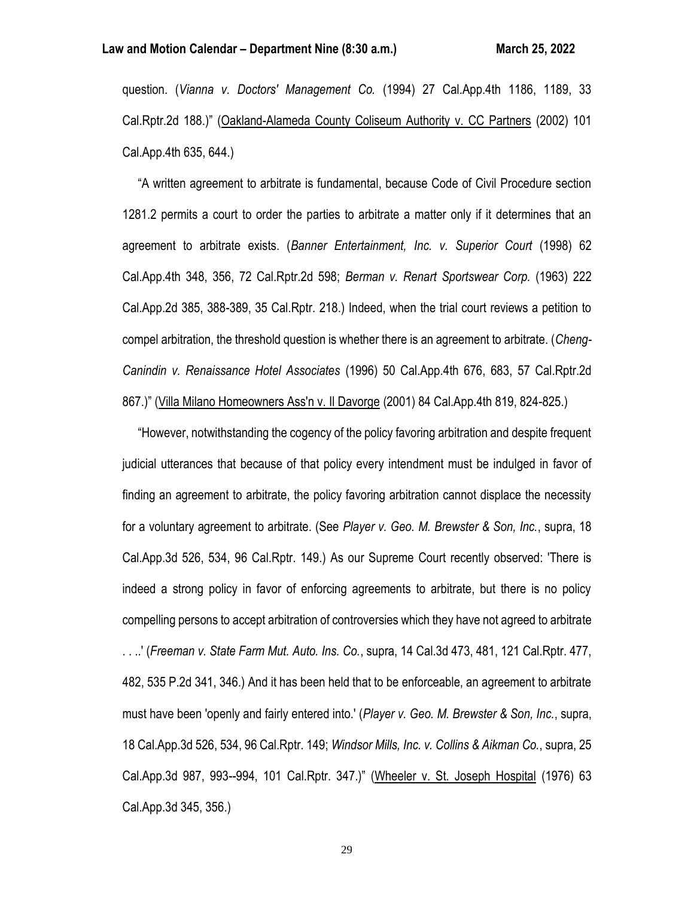question. (*Vianna v. Doctors' Management Co.* (1994) 27 Cal.App.4th 1186, 1189, 33 Cal.Rptr.2d 188.)" (Oakland-Alameda County Coliseum Authority v. CC Partners (2002) 101 Cal.App.4th 635, 644.)

 "A written agreement to arbitrate is fundamental, because Code of Civil Procedure section 1281.2 permits a court to order the parties to arbitrate a matter only if it determines that an agreement to arbitrate exists. (*Banner Entertainment, Inc. v. Superior Court* (1998) 62 Cal.App.4th 348, 356, 72 Cal.Rptr.2d 598; *Berman v. Renart Sportswear Corp.* (1963) 222 Cal.App.2d 385, 388-389, 35 Cal.Rptr. 218.) Indeed, when the trial court reviews a petition to compel arbitration, the threshold question is whether there is an agreement to arbitrate. (*Cheng-Canindin v. Renaissance Hotel Associates* (1996) 50 Cal.App.4th 676, 683, 57 Cal.Rptr.2d 867.)" (Villa Milano Homeowners Ass'n v. Il Davorge (2001) 84 Cal.App.4th 819, 824-825.)

 "However, notwithstanding the cogency of the policy favoring arbitration and despite frequent judicial utterances that because of that policy every intendment must be indulged in favor of finding an agreement to arbitrate, the policy favoring arbitration cannot displace the necessity for a voluntary agreement to arbitrate. (See *Player v. Geo. M. Brewster & Son, Inc.*, supra, 18 Cal.App.3d 526, 534, 96 Cal.Rptr. 149.) As our Supreme Court recently observed: 'There is indeed a strong policy in favor of enforcing agreements to arbitrate, but there is no policy compelling persons to accept arbitration of controversies which they have not agreed to arbitrate

. . ..' (*Freeman v. State Farm Mut. Auto. Ins. Co.*, supra, 14 Cal.3d 473, 481, 121 Cal.Rptr. 477, 482, 535 P.2d 341, 346.) And it has been held that to be enforceable, an agreement to arbitrate must have been 'openly and fairly entered into.' (*Player v. Geo. M. Brewster & Son, Inc.*, supra, 18 Cal.App.3d 526, 534, 96 Cal.Rptr. 149; *Windsor Mills, Inc. v. Collins & Aikman Co.*, supra, 25 Cal.App.3d 987, 993--994, 101 Cal.Rptr. 347.)" (Wheeler v. St. Joseph Hospital (1976) 63 Cal.App.3d 345, 356.)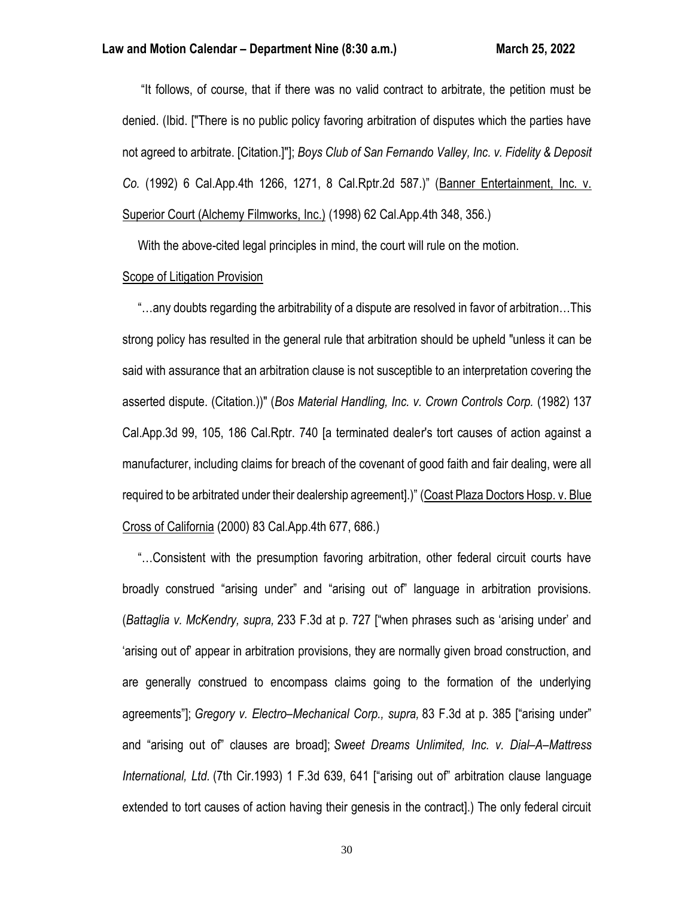"It follows, of course, that if there was no valid contract to arbitrate, the petition must be denied. (Ibid. ["There is no public policy favoring arbitration of disputes which the parties have not agreed to arbitrate. [Citation.]"]; *Boys Club of San Fernando Valley, Inc. v. Fidelity & Deposit Co.* (1992) 6 Cal.App.4th 1266, 1271, 8 Cal.Rptr.2d 587.)" (Banner Entertainment, Inc. v. Superior Court (Alchemy Filmworks, Inc.) (1998) 62 Cal.App.4th 348, 356.)

With the above-cited legal principles in mind, the court will rule on the motion.

## Scope of Litigation Provision

 "…any doubts regarding the arbitrability of a dispute are resolved in favor of arbitration…This strong policy has resulted in the general rule that arbitration should be upheld "unless it can be said with assurance that an arbitration clause is not susceptible to an interpretation covering the asserted dispute. (Citation.))" (*Bos Material Handling, Inc. v. Crown Controls Corp.* (1982) 137 Cal.App.3d 99, 105, 186 Cal.Rptr. 740 [a terminated dealer's tort causes of action against a manufacturer, including claims for breach of the covenant of good faith and fair dealing, were all required to be arbitrated under their dealership agreement].)" (Coast Plaza Doctors Hosp. v. Blue Cross of California (2000) 83 Cal.App.4th 677, 686.)

 "…Consistent with the presumption favoring arbitration, other federal circuit courts have broadly construed "arising under" and "arising out of" language in arbitration provisions. (*Battaglia v. McKendry, supra,* 233 F.3d at p. 727 ["when phrases such as 'arising under' and 'arising out of' appear in arbitration provisions, they are normally given broad construction, and are generally construed to encompass claims going to the formation of the underlying agreements"]; *Gregory v. Electro–Mechanical Corp., supra,* 83 F.3d at p. 385 ["arising under" and "arising out of" clauses are broad]; *Sweet Dreams Unlimited, Inc. v. Dial–A–Mattress International, Ltd.* (7th Cir.1993) 1 F.3d 639, 641 ["arising out of" arbitration clause language extended to tort causes of action having their genesis in the contract].) The only federal circuit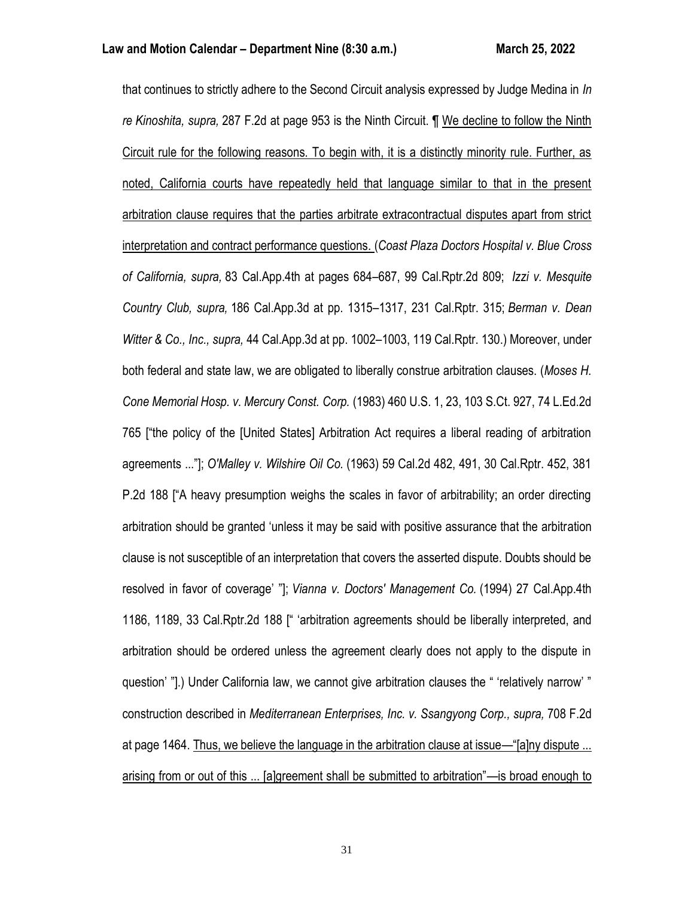that continues to strictly adhere to the Second Circuit analysis expressed by Judge Medina in *In re Kinoshita, supra,* 287 F.2d at page 953 is the Ninth Circuit. ¶ We decline to follow the Ninth Circuit rule for the following reasons. To begin with, it is a distinctly minority rule. Further, as noted, California courts have repeatedly held that language similar to that in the present arbitration clause requires that the parties arbitrate extracontractual disputes apart from strict interpretation and contract performance questions. (*Coast Plaza Doctors Hospital v. Blue Cross of California, supra,* 83 Cal.App.4th at pages 684–687, 99 Cal.Rptr.2d 809; *Izzi v. Mesquite Country Club, supra,* 186 Cal.App.3d at pp. 1315–1317, 231 Cal.Rptr. 315; *Berman v. Dean Witter & Co., Inc., supra,* 44 Cal.App.3d at pp. 1002–1003, 119 Cal.Rptr. 130.) Moreover, under both federal and state law, we are obligated to liberally construe arbitration clauses. (*Moses H. Cone Memorial Hosp. v. Mercury Const. Corp.* (1983) 460 U.S. 1, 23, 103 S.Ct. 927, 74 L.Ed.2d 765 ["the policy of the [United States] Arbitration Act requires a liberal reading of arbitration agreements ..."]; *O'Malley v. Wilshire Oil Co.* (1963) 59 Cal.2d 482, 491, 30 Cal.Rptr. 452, 381 P.2d 188 ["A heavy presumption weighs the scales in favor of arbitrability; an order directing arbitration should be granted 'unless it may be said with positive assurance that the arbitration clause is not susceptible of an interpretation that covers the asserted dispute. Doubts should be resolved in favor of coverage' "]; *Vianna v. Doctors' Management Co.* (1994) 27 Cal.App.4th 1186, 1189, 33 Cal.Rptr.2d 188 [" 'arbitration agreements should be liberally interpreted, and arbitration should be ordered unless the agreement clearly does not apply to the dispute in question' "].) Under California law, we cannot give arbitration clauses the " 'relatively narrow' " construction described in *Mediterranean Enterprises, Inc. v. Ssangyong Corp., supra,* 708 F.2d at page 1464. Thus, we believe the language in the arbitration clause at issue—"[a]ny dispute ... arising from or out of this ... [a]greement shall be submitted to arbitration"—is broad enough to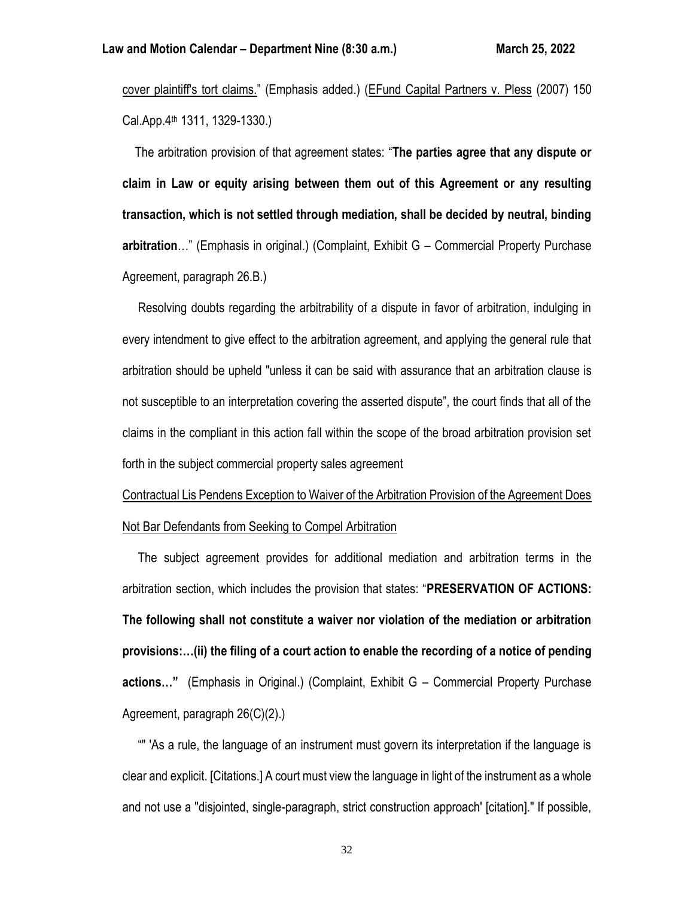cover plaintiff's tort claims." (Emphasis added.) (EFund Capital Partners v. Pless (2007) 150 Cal.App.4th 1311, 1329-1330.)

 The arbitration provision of that agreement states: "**The parties agree that any dispute or claim in Law or equity arising between them out of this Agreement or any resulting transaction, which is not settled through mediation, shall be decided by neutral, binding arbitration**…" (Emphasis in original.) (Complaint, Exhibit G – Commercial Property Purchase Agreement, paragraph 26.B.)

 Resolving doubts regarding the arbitrability of a dispute in favor of arbitration, indulging in every intendment to give effect to the arbitration agreement, and applying the general rule that arbitration should be upheld "unless it can be said with assurance that an arbitration clause is not susceptible to an interpretation covering the asserted dispute", the court finds that all of the claims in the compliant in this action fall within the scope of the broad arbitration provision set forth in the subject commercial property sales agreement

Contractual Lis Pendens Exception to Waiver of the Arbitration Provision of the Agreement Does Not Bar Defendants from Seeking to Compel Arbitration

 The subject agreement provides for additional mediation and arbitration terms in the arbitration section, which includes the provision that states: "**PRESERVATION OF ACTIONS: The following shall not constitute a waiver nor violation of the mediation or arbitration provisions:…(ii) the filing of a court action to enable the recording of a notice of pending actions…"** (Emphasis in Original.) (Complaint, Exhibit G – Commercial Property Purchase Agreement, paragraph 26(C)(2).)

 "" 'As a rule, the language of an instrument must govern its interpretation if the language is clear and explicit. [Citations.] A court must view the language in light of the instrument as a whole and not use a "disjointed, single-paragraph, strict construction approach' [citation]." If possible,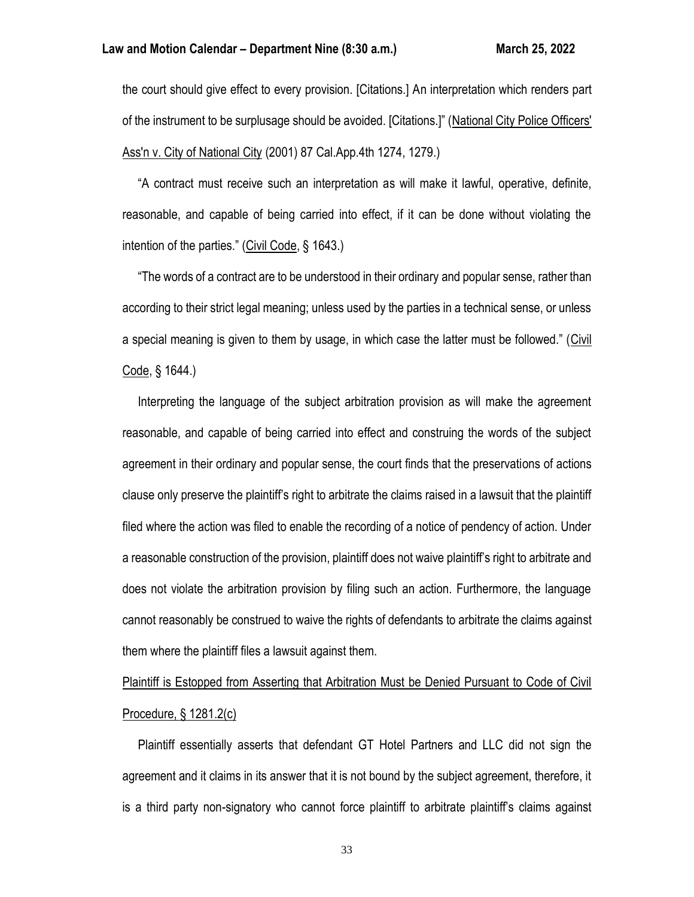the court should give effect to every provision. [Citations.] An interpretation which renders part of the instrument to be surplusage should be avoided. [Citations.]" (National City Police Officers' Ass'n v. City of National City (2001) 87 Cal.App.4th 1274, 1279.)

 "A contract must receive such an interpretation as will make it lawful, operative, definite, reasonable, and capable of being carried into effect, if it can be done without violating the intention of the parties." (Civil Code, § 1643.)

 "The words of a contract are to be understood in their ordinary and popular sense, rather than according to their strict legal meaning; unless used by the parties in a technical sense, or unless a special meaning is given to them by usage, in which case the latter must be followed." (Civil Code, § 1644.)

 Interpreting the language of the subject arbitration provision as will make the agreement reasonable, and capable of being carried into effect and construing the words of the subject agreement in their ordinary and popular sense, the court finds that the preservations of actions clause only preserve the plaintiff's right to arbitrate the claims raised in a lawsuit that the plaintiff filed where the action was filed to enable the recording of a notice of pendency of action. Under a reasonable construction of the provision, plaintiff does not waive plaintiff's right to arbitrate and does not violate the arbitration provision by filing such an action. Furthermore, the language cannot reasonably be construed to waive the rights of defendants to arbitrate the claims against them where the plaintiff files a lawsuit against them.

Plaintiff is Estopped from Asserting that Arbitration Must be Denied Pursuant to Code of Civil Procedure, § 1281.2(c)

 Plaintiff essentially asserts that defendant GT Hotel Partners and LLC did not sign the agreement and it claims in its answer that it is not bound by the subject agreement, therefore, it is a third party non-signatory who cannot force plaintiff to arbitrate plaintiff's claims against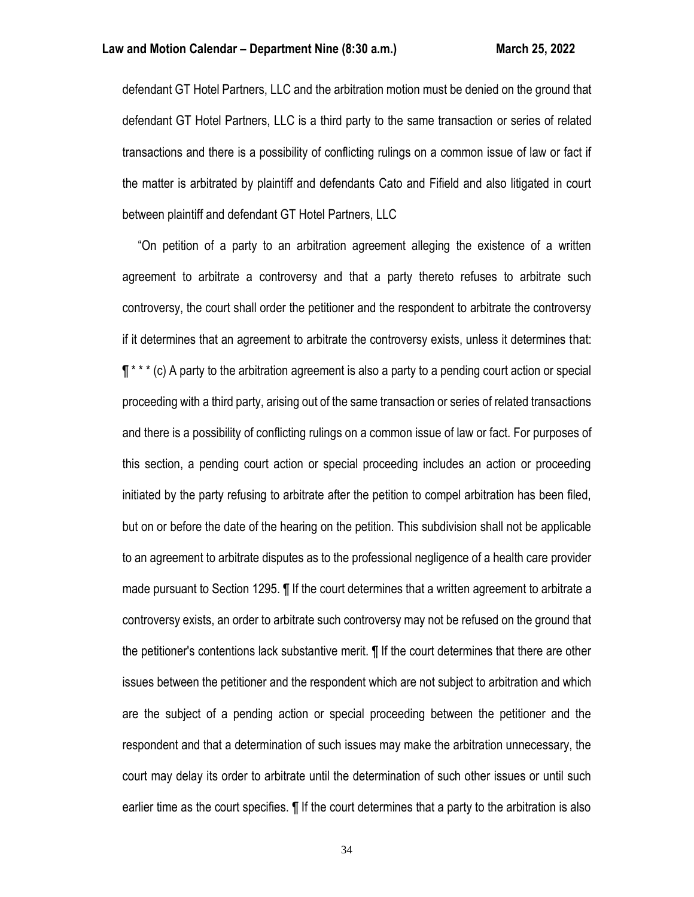defendant GT Hotel Partners, LLC and the arbitration motion must be denied on the ground that defendant GT Hotel Partners, LLC is a third party to the same transaction or series of related transactions and there is a possibility of conflicting rulings on a common issue of law or fact if the matter is arbitrated by plaintiff and defendants Cato and Fifield and also litigated in court between plaintiff and defendant GT Hotel Partners, LLC

 "On petition of a party to an arbitration agreement alleging the existence of a written agreement to arbitrate a controversy and that a party thereto refuses to arbitrate such controversy, the court shall order the petitioner and the respondent to arbitrate the controversy if it determines that an agreement to arbitrate the controversy exists, unless it determines that:  $\P$ <sup>\*\*\*</sup> (c) A party to the arbitration agreement is also a party to a pending court action or special proceeding with a third party, arising out of the same transaction or series of related transactions and there is a possibility of conflicting rulings on a common issue of law or fact. For purposes of this section, a pending court action or special proceeding includes an action or proceeding initiated by the party refusing to arbitrate after the petition to compel arbitration has been filed, but on or before the date of the hearing on the petition. This subdivision shall not be applicable to an agreement to arbitrate disputes as to the professional negligence of a health care provider made pursuant to Section 1295. ¶ If the court determines that a written agreement to arbitrate a controversy exists, an order to arbitrate such controversy may not be refused on the ground that the petitioner's contentions lack substantive merit. ¶ If the court determines that there are other issues between the petitioner and the respondent which are not subject to arbitration and which are the subject of a pending action or special proceeding between the petitioner and the respondent and that a determination of such issues may make the arbitration unnecessary, the court may delay its order to arbitrate until the determination of such other issues or until such earlier time as the court specifies. ¶ If the court determines that a party to the arbitration is also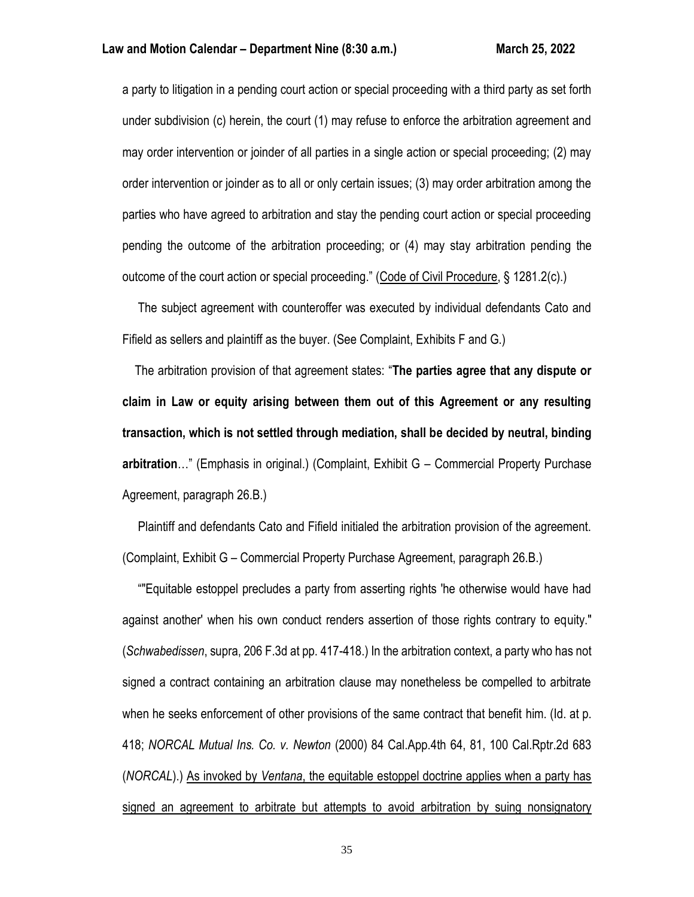a party to litigation in a pending court action or special proceeding with a third party as set forth under subdivision (c) herein, the court (1) may refuse to enforce the arbitration agreement and may order intervention or joinder of all parties in a single action or special proceeding; (2) may order intervention or joinder as to all or only certain issues; (3) may order arbitration among the parties who have agreed to arbitration and stay the pending court action or special proceeding pending the outcome of the arbitration proceeding; or (4) may stay arbitration pending the outcome of the court action or special proceeding." (Code of Civil Procedure, § 1281.2(c).)

 The subject agreement with counteroffer was executed by individual defendants Cato and Fifield as sellers and plaintiff as the buyer. (See Complaint, Exhibits F and G.)

 The arbitration provision of that agreement states: "**The parties agree that any dispute or claim in Law or equity arising between them out of this Agreement or any resulting transaction, which is not settled through mediation, shall be decided by neutral, binding arbitration**…" (Emphasis in original.) (Complaint, Exhibit G – Commercial Property Purchase Agreement, paragraph 26.B.)

 Plaintiff and defendants Cato and Fifield initialed the arbitration provision of the agreement. (Complaint, Exhibit G – Commercial Property Purchase Agreement, paragraph 26.B.)

 ""Equitable estoppel precludes a party from asserting rights 'he otherwise would have had against another' when his own conduct renders assertion of those rights contrary to equity." (*Schwabedissen*, supra, 206 F.3d at pp. 417-418.) In the arbitration context, a party who has not signed a contract containing an arbitration clause may nonetheless be compelled to arbitrate when he seeks enforcement of other provisions of the same contract that benefit him. (Id. at p. 418; *NORCAL Mutual Ins. Co. v. Newton* (2000) 84 Cal.App.4th 64, 81, 100 Cal.Rptr.2d 683 (*NORCAL*).) As invoked by *Ventana*, the equitable estoppel doctrine applies when a party has signed an agreement to arbitrate but attempts to avoid arbitration by suing nonsignatory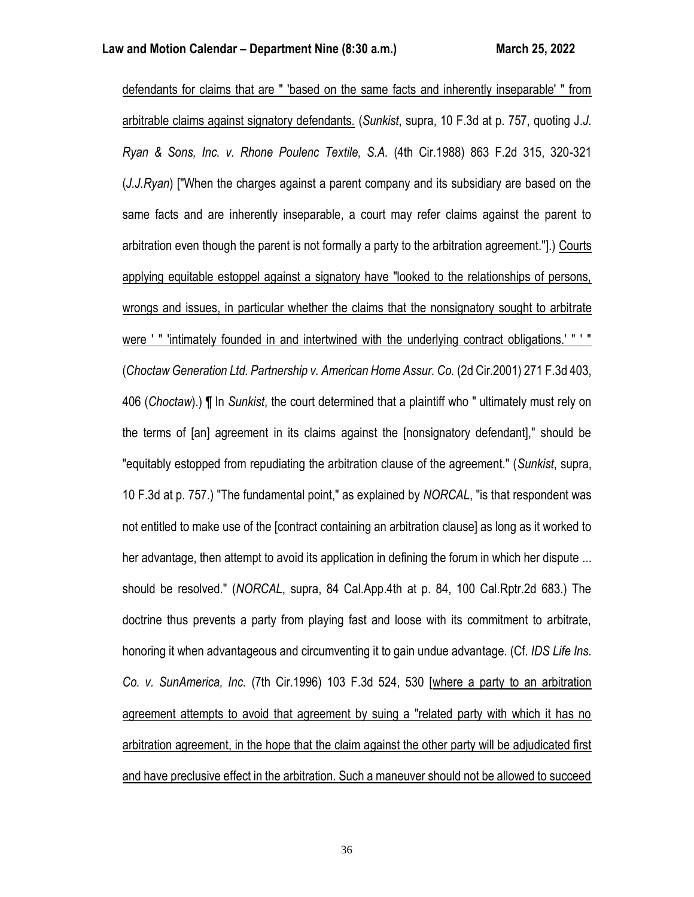defendants for claims that are " 'based on the same facts and inherently inseparable' " from arbitrable claims against signatory defendants. (*Sunkist*, supra, 10 F.3d at p. 757, quoting J*.J. Ryan & Sons, Inc. v. Rhone Poulenc Textile, S.A.* (4th Cir.1988) 863 F.2d 315, 320-321 (*J.J.Ryan*) ["When the charges against a parent company and its subsidiary are based on the same facts and are inherently inseparable, a court may refer claims against the parent to arbitration even though the parent is not formally a party to the arbitration agreement."].) Courts applying equitable estoppel against a signatory have "looked to the relationships of persons, wrongs and issues, in particular whether the claims that the nonsignatory sought to arbitrate were ' " 'intimately founded in and intertwined with the underlying contract obligations.' " ' " (*Choctaw Generation Ltd. Partnership v. American Home Assur. Co.* (2d Cir.2001) 271 F.3d 403, 406 (*Choctaw*).) ¶ In *Sunkist*, the court determined that a plaintiff who " ultimately must rely on the terms of [an] agreement in its claims against the [nonsignatory defendant]," should be "equitably estopped from repudiating the arbitration clause of the agreement." (*Sunkist*, supra, 10 F.3d at p. 757.) "The fundamental point," as explained by *NORCAL*, "is that respondent was not entitled to make use of the [contract containing an arbitration clause] as long as it worked to her advantage, then attempt to avoid its application in defining the forum in which her dispute ... should be resolved." (*NORCAL*, supra, 84 Cal.App.4th at p. 84, 100 Cal.Rptr.2d 683.) The doctrine thus prevents a party from playing fast and loose with its commitment to arbitrate, honoring it when advantageous and circumventing it to gain undue advantage. (Cf. *IDS Life Ins. Co. v. SunAmerica, Inc.* (7th Cir.1996) 103 F.3d 524, 530 [where a party to an arbitration agreement attempts to avoid that agreement by suing a "related party with which it has no arbitration agreement, in the hope that the claim against the other party will be adjudicated first and have preclusive effect in the arbitration. Such a maneuver should not be allowed to succeed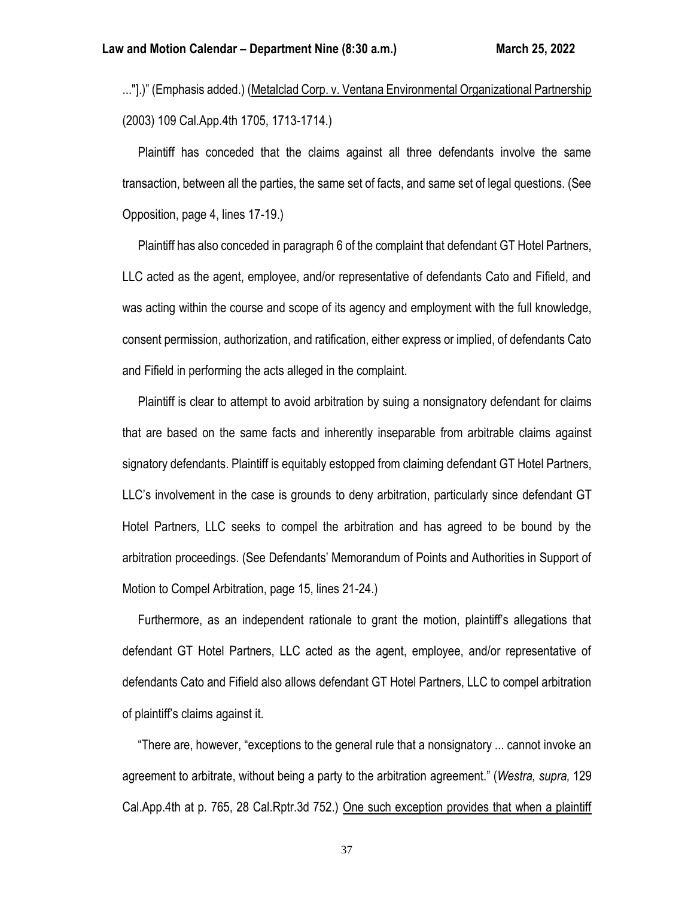..."].)" (Emphasis added.) (Metalclad Corp. v. Ventana Environmental Organizational Partnership (2003) 109 Cal.App.4th 1705, 1713-1714.)

 Plaintiff has conceded that the claims against all three defendants involve the same transaction, between all the parties, the same set of facts, and same set of legal questions. (See Opposition, page 4, lines 17-19.)

 Plaintiff has also conceded in paragraph 6 of the complaint that defendant GT Hotel Partners, LLC acted as the agent, employee, and/or representative of defendants Cato and Fifield, and was acting within the course and scope of its agency and employment with the full knowledge, consent permission, authorization, and ratification, either express or implied, of defendants Cato and Fifield in performing the acts alleged in the complaint.

 Plaintiff is clear to attempt to avoid arbitration by suing a nonsignatory defendant for claims that are based on the same facts and inherently inseparable from arbitrable claims against signatory defendants. Plaintiff is equitably estopped from claiming defendant GT Hotel Partners, LLC's involvement in the case is grounds to deny arbitration, particularly since defendant GT Hotel Partners, LLC seeks to compel the arbitration and has agreed to be bound by the arbitration proceedings. (See Defendants' Memorandum of Points and Authorities in Support of Motion to Compel Arbitration, page 15, lines 21-24.)

 Furthermore, as an independent rationale to grant the motion, plaintiff's allegations that defendant GT Hotel Partners, LLC acted as the agent, employee, and/or representative of defendants Cato and Fifield also allows defendant GT Hotel Partners, LLC to compel arbitration of plaintiff's claims against it.

 "There are, however, "exceptions to the general rule that a nonsignatory ... cannot invoke an agreement to arbitrate, without being a party to the arbitration agreement." (*Westra, supra,* 129 Cal.App.4th at p. 765, 28 Cal.Rptr.3d 752.) One such exception provides that when a plaintiff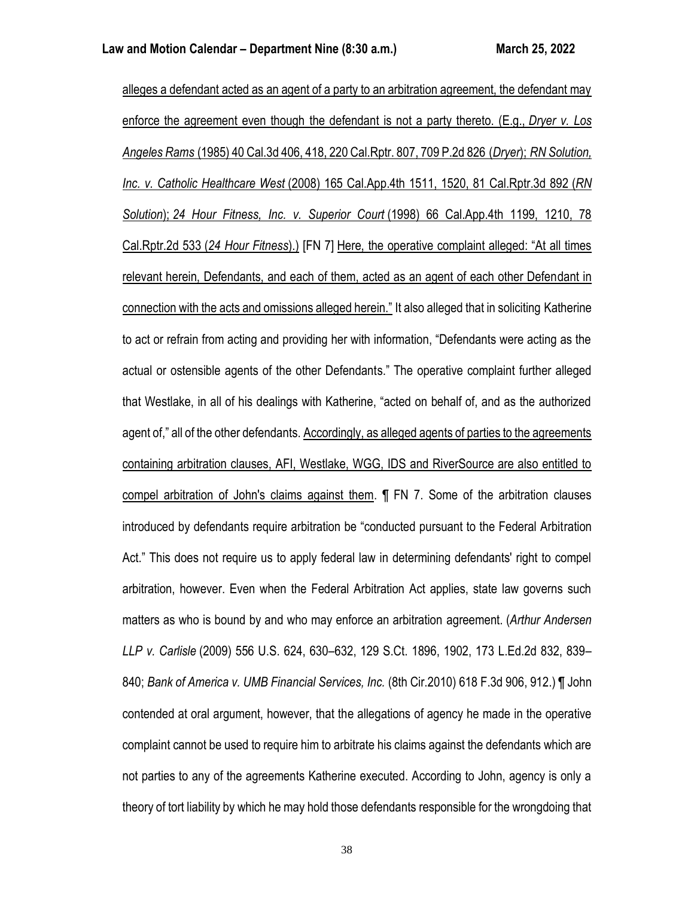alleges a defendant acted as an agent of a party to an arbitration agreement, the defendant may enforce the agreement even though the defendant is not a party thereto. (E.g., *Dryer v. Los Angeles Rams* (1985) 40 Cal.3d 406, 418, 220 Cal.Rptr. 807, 709 P.2d 826 (*Dryer*); *RN Solution, Inc. v. Catholic Healthcare West* (2008) 165 Cal.App.4th 1511, 1520, 81 Cal.Rptr.3d 892 (*RN Solution*); *24 Hour Fitness, Inc. v. Superior Court* (1998) 66 Cal.App.4th 1199, 1210, 78 Cal.Rptr.2d 533 (*24 Hour Fitness*).) [FN 7] Here, the operative complaint alleged: "At all times relevant herein, Defendants, and each of them, acted as an agent of each other Defendant in connection with the acts and omissions alleged herein." It also alleged that in soliciting Katherine to act or refrain from acting and providing her with information, "Defendants were acting as the actual or ostensible agents of the other Defendants." The operative complaint further alleged that Westlake, in all of his dealings with Katherine, "acted on behalf of, and as the authorized agent of," all of the other defendants. Accordingly, as alleged agents of parties to the agreements containing arbitration clauses, AFI, Westlake, WGG, IDS and RiverSource are also entitled to compel arbitration of John's claims against them. ¶ FN 7. Some of the arbitration clauses introduced by defendants require arbitration be "conducted pursuant to the Federal Arbitration Act." This does not require us to apply federal law in determining defendants' right to compel arbitration, however. Even when the Federal Arbitration Act applies, state law governs such matters as who is bound by and who may enforce an arbitration agreement. (*Arthur Andersen LLP v. Carlisle* (2009) 556 U.S. 624, 630–632, 129 S.Ct. 1896, 1902, 173 L.Ed.2d 832, 839– 840; *Bank of America v. UMB Financial Services, Inc.* (8th Cir.2010) 618 F.3d 906, 912.) ¶ John contended at oral argument, however, that the allegations of agency he made in the operative complaint cannot be used to require him to arbitrate his claims against the defendants which are not parties to any of the agreements Katherine executed. According to John, agency is only a theory of tort liability by which he may hold those defendants responsible for the wrongdoing that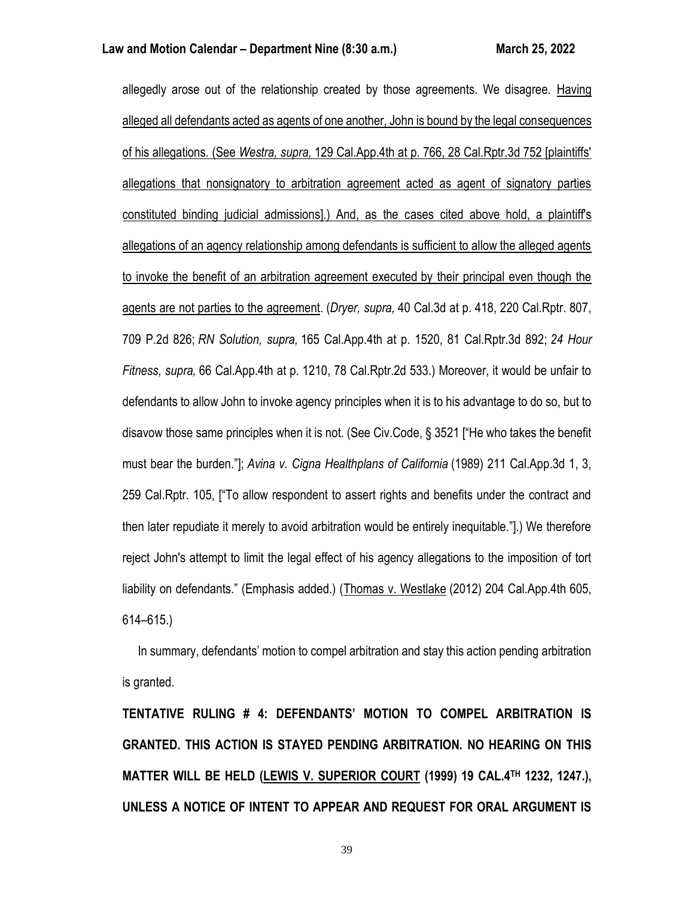allegedly arose out of the relationship created by those agreements. We disagree. Having alleged all defendants acted as agents of one another, John is bound by the legal consequences of his allegations. (See *Westra, supra,* 129 Cal.App.4th at p. 766, 28 Cal.Rptr.3d 752 [plaintiffs' allegations that nonsignatory to arbitration agreement acted as agent of signatory parties constituted binding judicial admissions].) And, as the cases cited above hold, a plaintiff's allegations of an agency relationship among defendants is sufficient to allow the alleged agents to invoke the benefit of an arbitration agreement executed by their principal even though the agents are not parties to the agreement. (*Dryer, supra,* 40 Cal.3d at p. 418, 220 Cal.Rptr. 807, 709 P.2d 826; *RN Solution, supra,* 165 Cal.App.4th at p. 1520, 81 Cal.Rptr.3d 892; *24 Hour Fitness, supra,* 66 Cal.App.4th at p. 1210, 78 Cal.Rptr.2d 533.) Moreover, it would be unfair to defendants to allow John to invoke agency principles when it is to his advantage to do so, but to disavow those same principles when it is not. (See Civ.Code, § 3521 ["He who takes the benefit must bear the burden."]; *Avina v. Cigna Healthplans of California* (1989) 211 Cal.App.3d 1, 3, 259 Cal.Rptr. 105, ["To allow respondent to assert rights and benefits under the contract and then later repudiate it merely to avoid arbitration would be entirely inequitable."].) We therefore reject John's attempt to limit the legal effect of his agency allegations to the imposition of tort liability on defendants." (Emphasis added.) (Thomas v. Westlake (2012) 204 Cal.App.4th 605, 614–615.)

 In summary, defendants' motion to compel arbitration and stay this action pending arbitration is granted.

**TENTATIVE RULING # 4: DEFENDANTS' MOTION TO COMPEL ARBITRATION IS GRANTED. THIS ACTION IS STAYED PENDING ARBITRATION. NO HEARING ON THIS MATTER WILL BE HELD (LEWIS V. SUPERIOR COURT (1999) 19 CAL.4TH 1232, 1247.), UNLESS A NOTICE OF INTENT TO APPEAR AND REQUEST FOR ORAL ARGUMENT IS**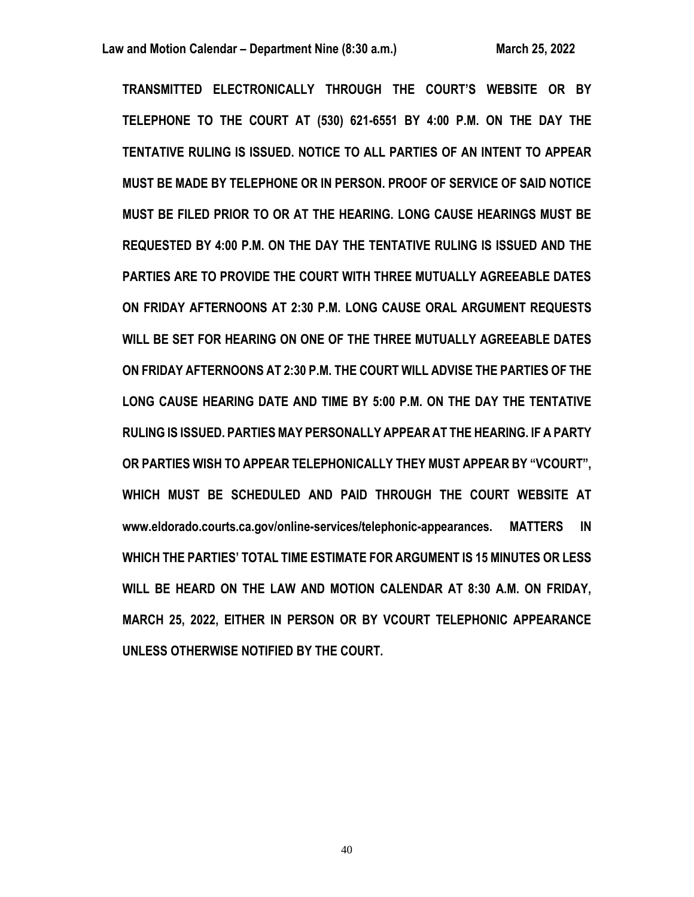**TRANSMITTED ELECTRONICALLY THROUGH THE COURT'S WEBSITE OR BY TELEPHONE TO THE COURT AT (530) 621-6551 BY 4:00 P.M. ON THE DAY THE TENTATIVE RULING IS ISSUED. NOTICE TO ALL PARTIES OF AN INTENT TO APPEAR MUST BE MADE BY TELEPHONE OR IN PERSON. PROOF OF SERVICE OF SAID NOTICE MUST BE FILED PRIOR TO OR AT THE HEARING. LONG CAUSE HEARINGS MUST BE REQUESTED BY 4:00 P.M. ON THE DAY THE TENTATIVE RULING IS ISSUED AND THE PARTIES ARE TO PROVIDE THE COURT WITH THREE MUTUALLY AGREEABLE DATES ON FRIDAY AFTERNOONS AT 2:30 P.M. LONG CAUSE ORAL ARGUMENT REQUESTS WILL BE SET FOR HEARING ON ONE OF THE THREE MUTUALLY AGREEABLE DATES ON FRIDAY AFTERNOONS AT 2:30 P.M. THE COURT WILL ADVISE THE PARTIES OF THE LONG CAUSE HEARING DATE AND TIME BY 5:00 P.M. ON THE DAY THE TENTATIVE RULING IS ISSUED. PARTIES MAY PERSONALLY APPEAR AT THE HEARING. IF A PARTY OR PARTIES WISH TO APPEAR TELEPHONICALLY THEY MUST APPEAR BY "VCOURT", WHICH MUST BE SCHEDULED AND PAID THROUGH THE COURT WEBSITE AT www.eldorado.courts.ca.gov/online-services/telephonic-appearances. MATTERS IN WHICH THE PARTIES' TOTAL TIME ESTIMATE FOR ARGUMENT IS 15 MINUTES OR LESS WILL BE HEARD ON THE LAW AND MOTION CALENDAR AT 8:30 A.M. ON FRIDAY, MARCH 25, 2022, EITHER IN PERSON OR BY VCOURT TELEPHONIC APPEARANCE UNLESS OTHERWISE NOTIFIED BY THE COURT.**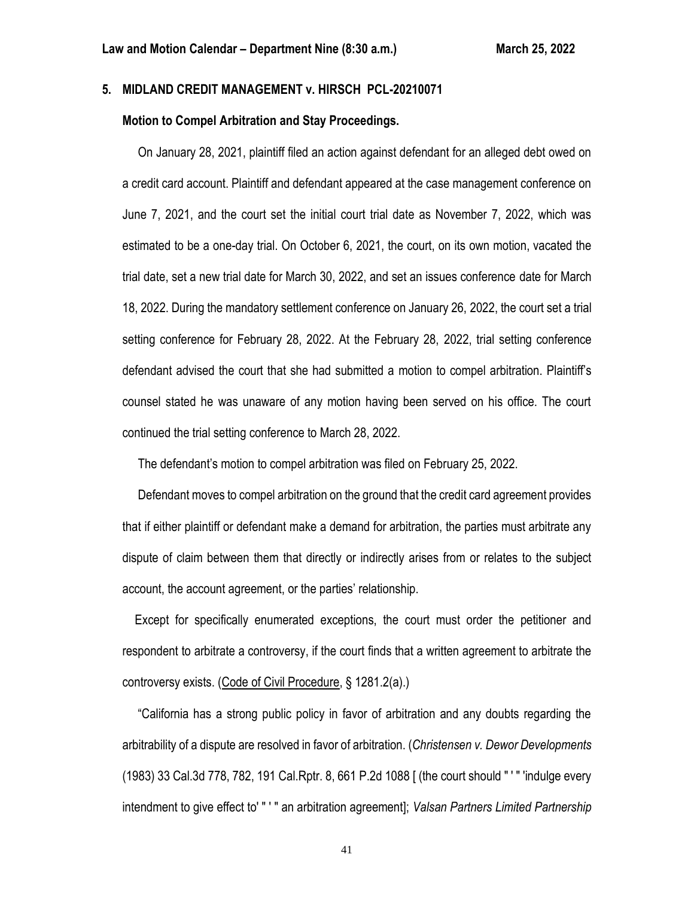# **5. MIDLAND CREDIT MANAGEMENT v. HIRSCH PCL-20210071**

## **Motion to Compel Arbitration and Stay Proceedings.**

 On January 28, 2021, plaintiff filed an action against defendant for an alleged debt owed on a credit card account. Plaintiff and defendant appeared at the case management conference on June 7, 2021, and the court set the initial court trial date as November 7, 2022, which was estimated to be a one-day trial. On October 6, 2021, the court, on its own motion, vacated the trial date, set a new trial date for March 30, 2022, and set an issues conference date for March 18, 2022. During the mandatory settlement conference on January 26, 2022, the court set a trial setting conference for February 28, 2022. At the February 28, 2022, trial setting conference defendant advised the court that she had submitted a motion to compel arbitration. Plaintiff's counsel stated he was unaware of any motion having been served on his office. The court continued the trial setting conference to March 28, 2022.

The defendant's motion to compel arbitration was filed on February 25, 2022.

 Defendant moves to compel arbitration on the ground that the credit card agreement provides that if either plaintiff or defendant make a demand for arbitration, the parties must arbitrate any dispute of claim between them that directly or indirectly arises from or relates to the subject account, the account agreement, or the parties' relationship.

 Except for specifically enumerated exceptions, the court must order the petitioner and respondent to arbitrate a controversy, if the court finds that a written agreement to arbitrate the controversy exists. (Code of Civil Procedure, § 1281.2(a).)

 "California has a strong public policy in favor of arbitration and any doubts regarding the arbitrability of a dispute are resolved in favor of arbitration. (*Christensen v. Dewor Developments* (1983) 33 Cal.3d 778, 782, 191 Cal.Rptr. 8, 661 P.2d 1088 [ (the court should " ' " 'indulge every intendment to give effect to' " ' " an arbitration agreement]; *Valsan Partners Limited Partnership*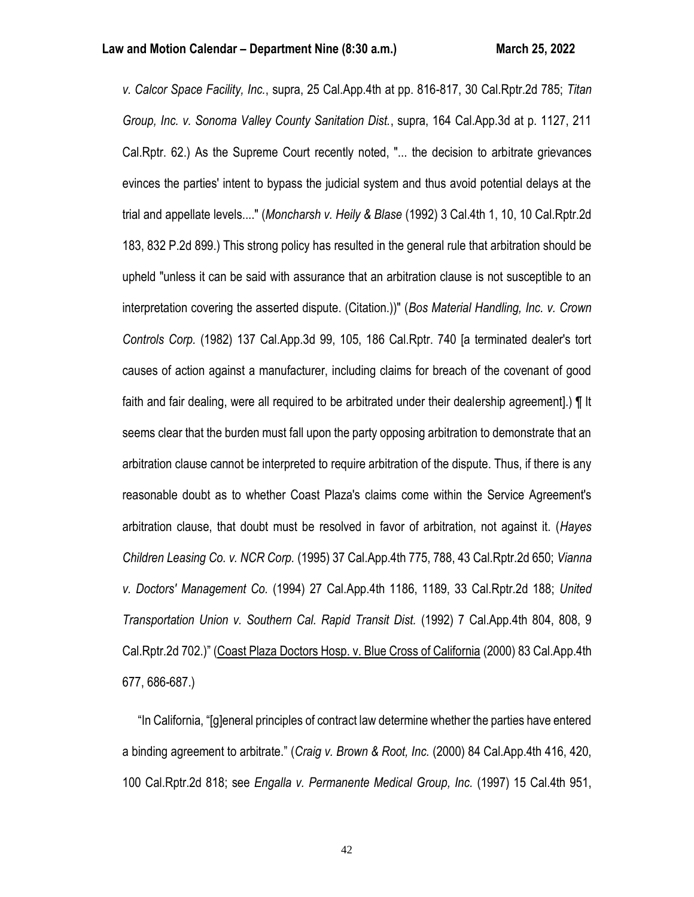*v. Calcor Space Facility, Inc.*, supra, 25 Cal.App.4th at pp. 816-817, 30 Cal.Rptr.2d 785; *Titan Group, Inc. v. Sonoma Valley County Sanitation Dist.*, supra, 164 Cal.App.3d at p. 1127, 211 Cal.Rptr. 62.) As the Supreme Court recently noted, "... the decision to arbitrate grievances evinces the parties' intent to bypass the judicial system and thus avoid potential delays at the trial and appellate levels...." (*Moncharsh v. Heily & Blase* (1992) 3 Cal.4th 1, 10, 10 Cal.Rptr.2d 183, 832 P.2d 899.) This strong policy has resulted in the general rule that arbitration should be upheld "unless it can be said with assurance that an arbitration clause is not susceptible to an interpretation covering the asserted dispute. (Citation.))" (*Bos Material Handling, Inc. v. Crown Controls Corp.* (1982) 137 Cal.App.3d 99, 105, 186 Cal.Rptr. 740 [a terminated dealer's tort causes of action against a manufacturer, including claims for breach of the covenant of good faith and fair dealing, were all required to be arbitrated under their dealership agreement].) ¶ It seems clear that the burden must fall upon the party opposing arbitration to demonstrate that an arbitration clause cannot be interpreted to require arbitration of the dispute. Thus, if there is any reasonable doubt as to whether Coast Plaza's claims come within the Service Agreement's arbitration clause, that doubt must be resolved in favor of arbitration, not against it. (*Hayes Children Leasing Co. v. NCR Corp.* (1995) 37 Cal.App.4th 775, 788, 43 Cal.Rptr.2d 650; *Vianna v. Doctors' Management Co.* (1994) 27 Cal.App.4th 1186, 1189, 33 Cal.Rptr.2d 188; *United Transportation Union v. Southern Cal. Rapid Transit Dist.* (1992) 7 Cal.App.4th 804, 808, 9 Cal.Rptr.2d 702.)" (Coast Plaza Doctors Hosp. v. Blue Cross of California (2000) 83 Cal.App.4th 677, 686-687.)

 "In California, "[g]eneral principles of contract law determine whether the parties have entered a binding agreement to arbitrate." (*Craig v. Brown & Root, Inc.* (2000) 84 Cal.App.4th 416, 420, 100 Cal.Rptr.2d 818; see *Engalla v. Permanente Medical Group, Inc.* (1997) 15 Cal.4th 951,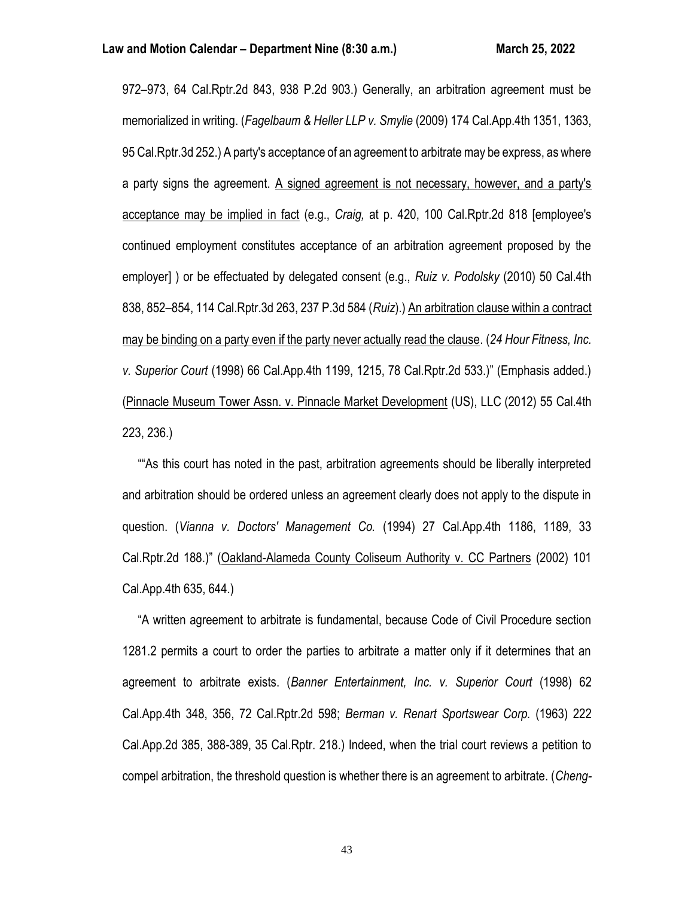972–973, 64 Cal.Rptr.2d 843, 938 P.2d 903.) Generally, an arbitration agreement must be memorialized in writing. (*Fagelbaum & Heller LLP v. Smylie* (2009) 174 Cal.App.4th 1351, 1363, 95 Cal.Rptr.3d 252.) A party's acceptance of an agreement to arbitrate may be express, as where a party signs the agreement. A signed agreement is not necessary, however, and a party's acceptance may be implied in fact (e.g., *Craig,* at p. 420, 100 Cal.Rptr.2d 818 [employee's continued employment constitutes acceptance of an arbitration agreement proposed by the employer] ) or be effectuated by delegated consent (e.g., *Ruiz v. Podolsky* (2010) 50 Cal.4th 838, 852–854, 114 Cal.Rptr.3d 263, 237 P.3d 584 (*Ruiz*).) An arbitration clause within a contract may be binding on a party even if the party never actually read the clause. (*24 Hour Fitness, Inc. v. Superior Court* (1998) 66 Cal.App.4th 1199, 1215, 78 Cal.Rptr.2d 533.)" (Emphasis added.) (Pinnacle Museum Tower Assn. v. Pinnacle Market Development (US), LLC (2012) 55 Cal.4th 223, 236.)

 ""As this court has noted in the past, arbitration agreements should be liberally interpreted and arbitration should be ordered unless an agreement clearly does not apply to the dispute in question. (*Vianna v. Doctors' Management Co.* (1994) 27 Cal.App.4th 1186, 1189, 33 Cal.Rptr.2d 188.)" (Oakland-Alameda County Coliseum Authority v. CC Partners (2002) 101 Cal.App.4th 635, 644.)

 "A written agreement to arbitrate is fundamental, because Code of Civil Procedure section 1281.2 permits a court to order the parties to arbitrate a matter only if it determines that an agreement to arbitrate exists. (*Banner Entertainment, Inc. v. Superior Court* (1998) 62 Cal.App.4th 348, 356, 72 Cal.Rptr.2d 598; *Berman v. Renart Sportswear Corp.* (1963) 222 Cal.App.2d 385, 388-389, 35 Cal.Rptr. 218.) Indeed, when the trial court reviews a petition to compel arbitration, the threshold question is whether there is an agreement to arbitrate. (*Cheng-*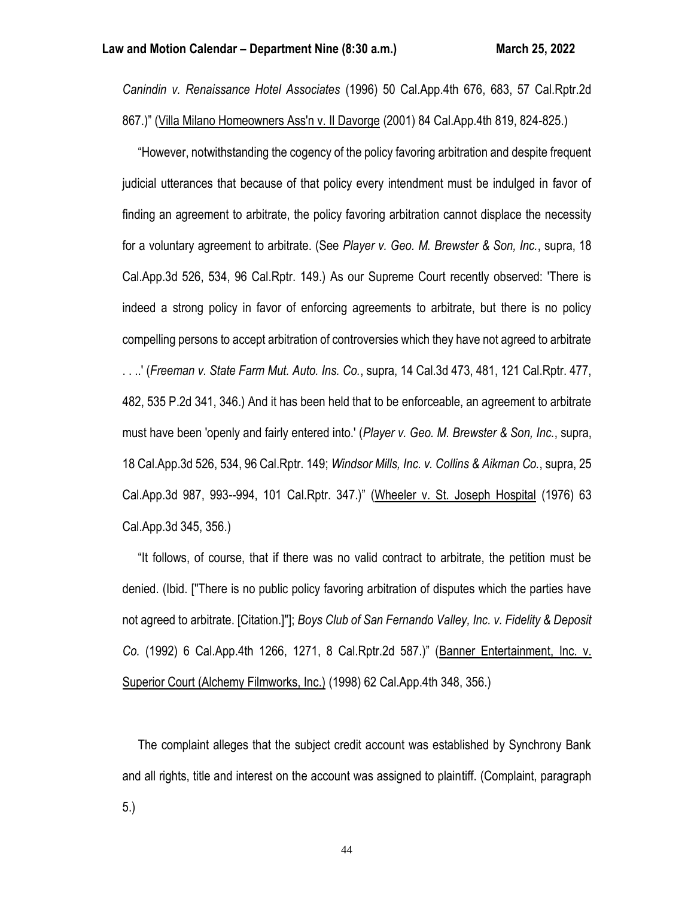*Canindin v. Renaissance Hotel Associates* (1996) 50 Cal.App.4th 676, 683, 57 Cal.Rptr.2d 867.)" (Villa Milano Homeowners Ass'n v. Il Davorge (2001) 84 Cal.App.4th 819, 824-825.)

 "However, notwithstanding the cogency of the policy favoring arbitration and despite frequent judicial utterances that because of that policy every intendment must be indulged in favor of finding an agreement to arbitrate, the policy favoring arbitration cannot displace the necessity for a voluntary agreement to arbitrate. (See *Player v. Geo. M. Brewster & Son, Inc.*, supra, 18 Cal.App.3d 526, 534, 96 Cal.Rptr. 149.) As our Supreme Court recently observed: 'There is indeed a strong policy in favor of enforcing agreements to arbitrate, but there is no policy compelling persons to accept arbitration of controversies which they have not agreed to arbitrate

. . ..' (*Freeman v. State Farm Mut. Auto. Ins. Co.*, supra, 14 Cal.3d 473, 481, 121 Cal.Rptr. 477, 482, 535 P.2d 341, 346.) And it has been held that to be enforceable, an agreement to arbitrate must have been 'openly and fairly entered into.' (*Player v. Geo. M. Brewster & Son, Inc.*, supra, 18 Cal.App.3d 526, 534, 96 Cal.Rptr. 149; *Windsor Mills, Inc. v. Collins & Aikman Co.*, supra, 25 Cal.App.3d 987, 993--994, 101 Cal.Rptr. 347.)" (Wheeler v. St. Joseph Hospital (1976) 63 Cal.App.3d 345, 356.)

 "It follows, of course, that if there was no valid contract to arbitrate, the petition must be denied. (Ibid. ["There is no public policy favoring arbitration of disputes which the parties have not agreed to arbitrate. [Citation.]"]; *Boys Club of San Fernando Valley, Inc. v. Fidelity & Deposit Co.* (1992) 6 Cal.App.4th 1266, 1271, 8 Cal.Rptr.2d 587.)" (Banner Entertainment, Inc. v. Superior Court (Alchemy Filmworks, Inc.) (1998) 62 Cal.App.4th 348, 356.)

 The complaint alleges that the subject credit account was established by Synchrony Bank and all rights, title and interest on the account was assigned to plaintiff. (Complaint, paragraph 5.)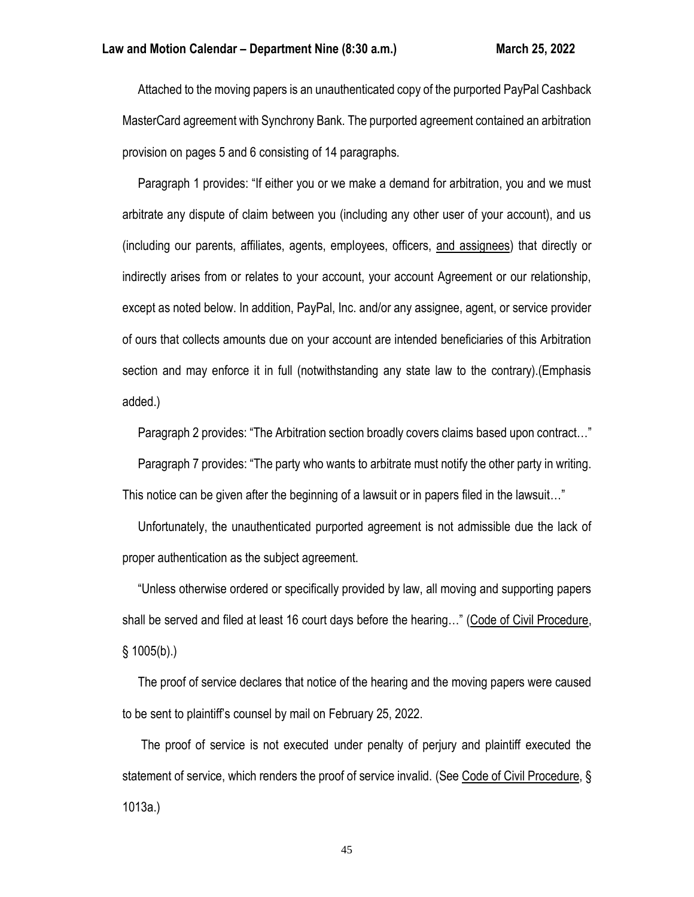Attached to the moving papers is an unauthenticated copy of the purported PayPal Cashback MasterCard agreement with Synchrony Bank. The purported agreement contained an arbitration provision on pages 5 and 6 consisting of 14 paragraphs.

 Paragraph 1 provides: "If either you or we make a demand for arbitration, you and we must arbitrate any dispute of claim between you (including any other user of your account), and us (including our parents, affiliates, agents, employees, officers, and assignees) that directly or indirectly arises from or relates to your account, your account Agreement or our relationship, except as noted below. In addition, PayPal, Inc. and/or any assignee, agent, or service provider of ours that collects amounts due on your account are intended beneficiaries of this Arbitration section and may enforce it in full (notwithstanding any state law to the contrary).(Emphasis added.)

Paragraph 2 provides: "The Arbitration section broadly covers claims based upon contract…"

 Paragraph 7 provides: "The party who wants to arbitrate must notify the other party in writing. This notice can be given after the beginning of a lawsuit or in papers filed in the lawsuit…"

 Unfortunately, the unauthenticated purported agreement is not admissible due the lack of proper authentication as the subject agreement.

 "Unless otherwise ordered or specifically provided by law, all moving and supporting papers shall be served and filed at least 16 court days before the hearing…" (Code of Civil Procedure,  $§ 1005(b).$ 

 The proof of service declares that notice of the hearing and the moving papers were caused to be sent to plaintiff's counsel by mail on February 25, 2022.

 The proof of service is not executed under penalty of perjury and plaintiff executed the statement of service, which renders the proof of service invalid. (See Code of Civil Procedure, § 1013a.)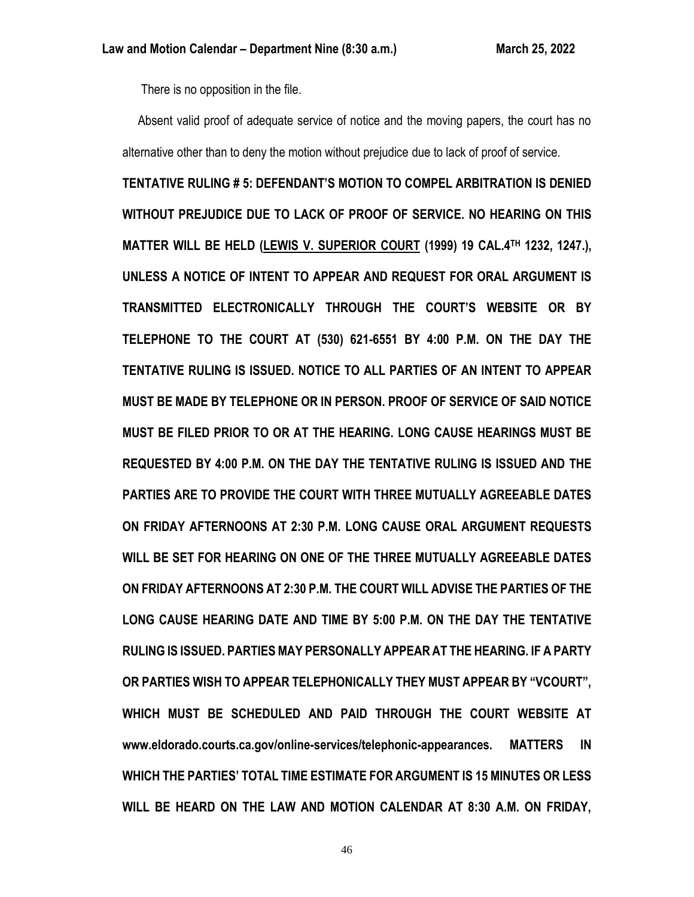There is no opposition in the file.

 Absent valid proof of adequate service of notice and the moving papers, the court has no alternative other than to deny the motion without prejudice due to lack of proof of service.

**TENTATIVE RULING # 5: DEFENDANT'S MOTION TO COMPEL ARBITRATION IS DENIED WITHOUT PREJUDICE DUE TO LACK OF PROOF OF SERVICE. NO HEARING ON THIS MATTER WILL BE HELD (LEWIS V. SUPERIOR COURT (1999) 19 CAL.4TH 1232, 1247.), UNLESS A NOTICE OF INTENT TO APPEAR AND REQUEST FOR ORAL ARGUMENT IS TRANSMITTED ELECTRONICALLY THROUGH THE COURT'S WEBSITE OR BY TELEPHONE TO THE COURT AT (530) 621-6551 BY 4:00 P.M. ON THE DAY THE TENTATIVE RULING IS ISSUED. NOTICE TO ALL PARTIES OF AN INTENT TO APPEAR MUST BE MADE BY TELEPHONE OR IN PERSON. PROOF OF SERVICE OF SAID NOTICE MUST BE FILED PRIOR TO OR AT THE HEARING. LONG CAUSE HEARINGS MUST BE REQUESTED BY 4:00 P.M. ON THE DAY THE TENTATIVE RULING IS ISSUED AND THE PARTIES ARE TO PROVIDE THE COURT WITH THREE MUTUALLY AGREEABLE DATES ON FRIDAY AFTERNOONS AT 2:30 P.M. LONG CAUSE ORAL ARGUMENT REQUESTS WILL BE SET FOR HEARING ON ONE OF THE THREE MUTUALLY AGREEABLE DATES ON FRIDAY AFTERNOONS AT 2:30 P.M. THE COURT WILL ADVISE THE PARTIES OF THE LONG CAUSE HEARING DATE AND TIME BY 5:00 P.M. ON THE DAY THE TENTATIVE RULING IS ISSUED. PARTIES MAY PERSONALLY APPEAR AT THE HEARING. IF A PARTY OR PARTIES WISH TO APPEAR TELEPHONICALLY THEY MUST APPEAR BY "VCOURT", WHICH MUST BE SCHEDULED AND PAID THROUGH THE COURT WEBSITE AT www.eldorado.courts.ca.gov/online-services/telephonic-appearances. MATTERS IN WHICH THE PARTIES' TOTAL TIME ESTIMATE FOR ARGUMENT IS 15 MINUTES OR LESS WILL BE HEARD ON THE LAW AND MOTION CALENDAR AT 8:30 A.M. ON FRIDAY,**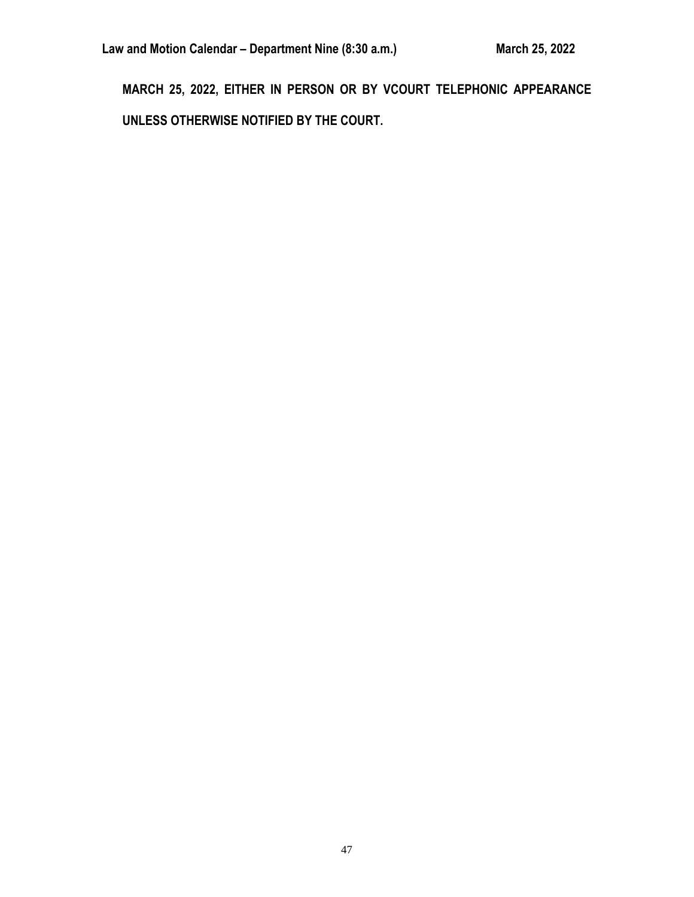**MARCH 25, 2022, EITHER IN PERSON OR BY VCOURT TELEPHONIC APPEARANCE UNLESS OTHERWISE NOTIFIED BY THE COURT.**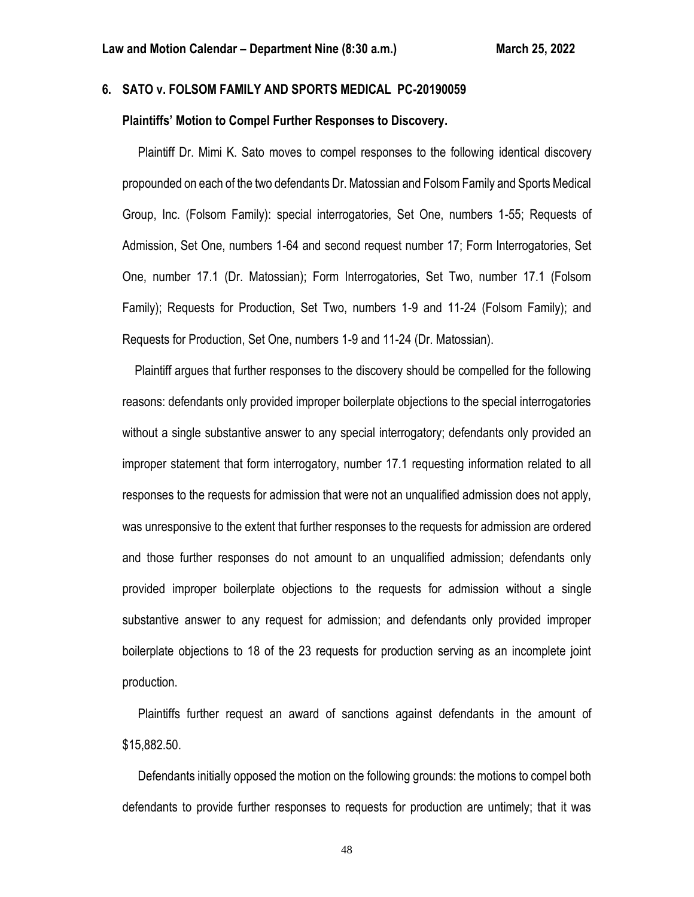# **6. SATO v. FOLSOM FAMILY AND SPORTS MEDICAL PC-20190059**

## **Plaintiffs' Motion to Compel Further Responses to Discovery.**

 Plaintiff Dr. Mimi K. Sato moves to compel responses to the following identical discovery propounded on each of the two defendants Dr. Matossian and Folsom Family and Sports Medical Group, Inc. (Folsom Family): special interrogatories, Set One, numbers 1-55; Requests of Admission, Set One, numbers 1-64 and second request number 17; Form Interrogatories, Set One, number 17.1 (Dr. Matossian); Form Interrogatories, Set Two, number 17.1 (Folsom Family); Requests for Production, Set Two, numbers 1-9 and 11-24 (Folsom Family); and Requests for Production, Set One, numbers 1-9 and 11-24 (Dr. Matossian).

 Plaintiff argues that further responses to the discovery should be compelled for the following reasons: defendants only provided improper boilerplate objections to the special interrogatories without a single substantive answer to any special interrogatory; defendants only provided an improper statement that form interrogatory, number 17.1 requesting information related to all responses to the requests for admission that were not an unqualified admission does not apply, was unresponsive to the extent that further responses to the requests for admission are ordered and those further responses do not amount to an unqualified admission; defendants only provided improper boilerplate objections to the requests for admission without a single substantive answer to any request for admission; and defendants only provided improper boilerplate objections to 18 of the 23 requests for production serving as an incomplete joint production.

 Plaintiffs further request an award of sanctions against defendants in the amount of \$15,882.50.

 Defendants initially opposed the motion on the following grounds: the motions to compel both defendants to provide further responses to requests for production are untimely; that it was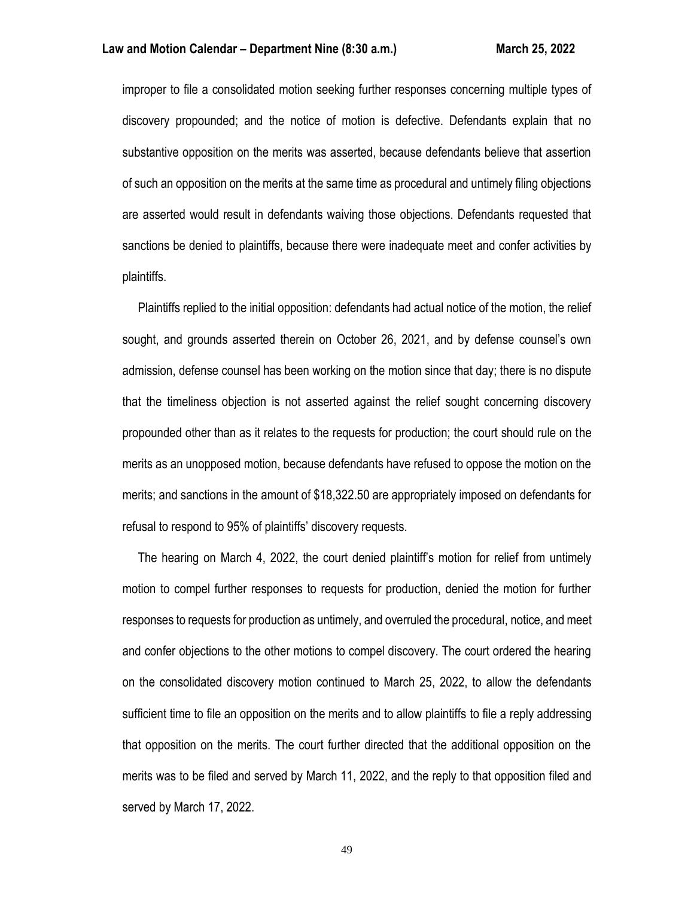## **Law and Motion Calendar – Department Nine (8:30 a.m.) March 25, 2022**

improper to file a consolidated motion seeking further responses concerning multiple types of discovery propounded; and the notice of motion is defective. Defendants explain that no substantive opposition on the merits was asserted, because defendants believe that assertion of such an opposition on the merits at the same time as procedural and untimely filing objections are asserted would result in defendants waiving those objections. Defendants requested that sanctions be denied to plaintiffs, because there were inadequate meet and confer activities by plaintiffs.

 Plaintiffs replied to the initial opposition: defendants had actual notice of the motion, the relief sought, and grounds asserted therein on October 26, 2021, and by defense counsel's own admission, defense counsel has been working on the motion since that day; there is no dispute that the timeliness objection is not asserted against the relief sought concerning discovery propounded other than as it relates to the requests for production; the court should rule on the merits as an unopposed motion, because defendants have refused to oppose the motion on the merits; and sanctions in the amount of \$18,322.50 are appropriately imposed on defendants for refusal to respond to 95% of plaintiffs' discovery requests.

 The hearing on March 4, 2022, the court denied plaintiff's motion for relief from untimely motion to compel further responses to requests for production, denied the motion for further responses to requests for production as untimely, and overruled the procedural, notice, and meet and confer objections to the other motions to compel discovery. The court ordered the hearing on the consolidated discovery motion continued to March 25, 2022, to allow the defendants sufficient time to file an opposition on the merits and to allow plaintiffs to file a reply addressing that opposition on the merits. The court further directed that the additional opposition on the merits was to be filed and served by March 11, 2022, and the reply to that opposition filed and served by March 17, 2022.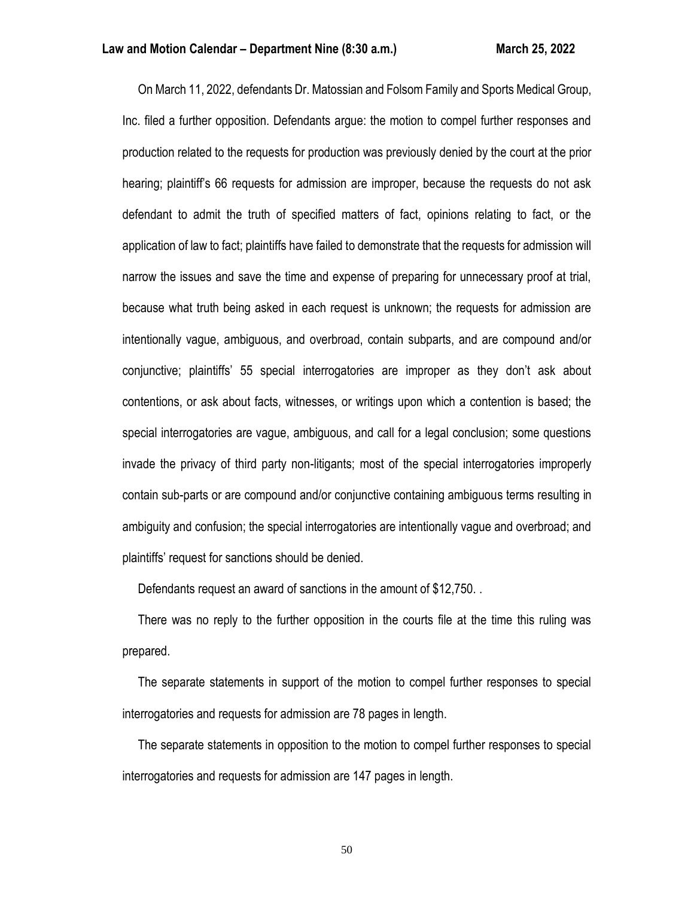On March 11, 2022, defendants Dr. Matossian and Folsom Family and Sports Medical Group, Inc. filed a further opposition. Defendants argue: the motion to compel further responses and production related to the requests for production was previously denied by the court at the prior hearing; plaintiff's 66 requests for admission are improper, because the requests do not ask defendant to admit the truth of specified matters of fact, opinions relating to fact, or the application of law to fact; plaintiffs have failed to demonstrate that the requests for admission will narrow the issues and save the time and expense of preparing for unnecessary proof at trial, because what truth being asked in each request is unknown; the requests for admission are intentionally vague, ambiguous, and overbroad, contain subparts, and are compound and/or conjunctive; plaintiffs' 55 special interrogatories are improper as they don't ask about contentions, or ask about facts, witnesses, or writings upon which a contention is based; the special interrogatories are vague, ambiguous, and call for a legal conclusion; some questions invade the privacy of third party non-litigants; most of the special interrogatories improperly contain sub-parts or are compound and/or conjunctive containing ambiguous terms resulting in ambiguity and confusion; the special interrogatories are intentionally vague and overbroad; and plaintiffs' request for sanctions should be denied.

Defendants request an award of sanctions in the amount of \$12,750. .

 There was no reply to the further opposition in the courts file at the time this ruling was prepared.

 The separate statements in support of the motion to compel further responses to special interrogatories and requests for admission are 78 pages in length.

 The separate statements in opposition to the motion to compel further responses to special interrogatories and requests for admission are 147 pages in length.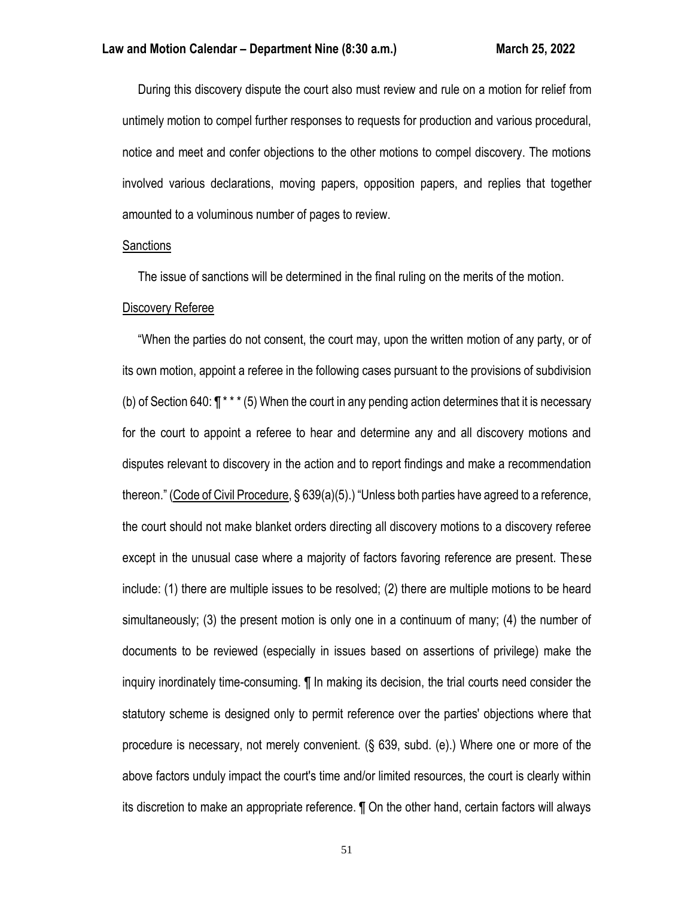During this discovery dispute the court also must review and rule on a motion for relief from untimely motion to compel further responses to requests for production and various procedural, notice and meet and confer objections to the other motions to compel discovery. The motions involved various declarations, moving papers, opposition papers, and replies that together amounted to a voluminous number of pages to review.

## **Sanctions**

The issue of sanctions will be determined in the final ruling on the merits of the motion.

#### Discovery Referee

 "When the parties do not consent, the court may, upon the written motion of any party, or of its own motion, appoint a referee in the following cases pursuant to the provisions of subdivision (b) of Section 640: ¶ \* \* \* (5) When the court in any pending action determines that it is necessary for the court to appoint a referee to hear and determine any and all discovery motions and disputes relevant to discovery in the action and to report findings and make a recommendation thereon." (Code of Civil Procedure, § 639(a)(5).) "Unless both parties have agreed to a reference, the court should not make blanket orders directing all discovery motions to a discovery referee except in the unusual case where a majority of factors favoring reference are present. These include: (1) there are multiple issues to be resolved; (2) there are multiple motions to be heard simultaneously; (3) the present motion is only one in a continuum of many; (4) the number of documents to be reviewed (especially in issues based on assertions of privilege) make the inquiry inordinately time-consuming. ¶ In making its decision, the trial courts need consider the statutory scheme is designed only to permit reference over the parties' objections where that procedure is necessary, not merely convenient. (§ 639, subd. (e).) Where one or more of the above factors unduly impact the court's time and/or limited resources, the court is clearly within its discretion to make an appropriate reference. ¶ On the other hand, certain factors will always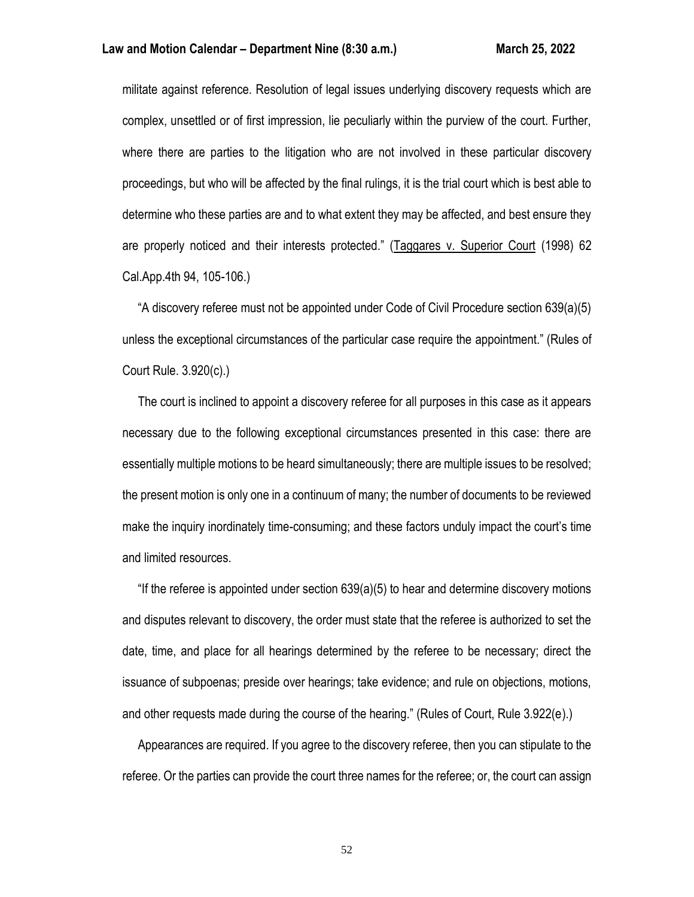militate against reference. Resolution of legal issues underlying discovery requests which are complex, unsettled or of first impression, lie peculiarly within the purview of the court. Further, where there are parties to the litigation who are not involved in these particular discovery proceedings, but who will be affected by the final rulings, it is the trial court which is best able to determine who these parties are and to what extent they may be affected, and best ensure they are properly noticed and their interests protected." (Taggares v. Superior Court (1998) 62 Cal.App.4th 94, 105-106.)

 "A discovery referee must not be appointed under Code of Civil Procedure section 639(a)(5) unless the exceptional circumstances of the particular case require the appointment." (Rules of Court Rule. 3.920(c).)

 The court is inclined to appoint a discovery referee for all purposes in this case as it appears necessary due to the following exceptional circumstances presented in this case: there are essentially multiple motions to be heard simultaneously; there are multiple issues to be resolved; the present motion is only one in a continuum of many; the number of documents to be reviewed make the inquiry inordinately time-consuming; and these factors unduly impact the court's time and limited resources.

 "If the referee is appointed under section 639(a)(5) to hear and determine discovery motions and disputes relevant to discovery, the order must state that the referee is authorized to set the date, time, and place for all hearings determined by the referee to be necessary; direct the issuance of subpoenas; preside over hearings; take evidence; and rule on objections, motions, and other requests made during the course of the hearing." (Rules of Court, Rule 3.922(e).)

 Appearances are required. If you agree to the discovery referee, then you can stipulate to the referee. Or the parties can provide the court three names for the referee; or, the court can assign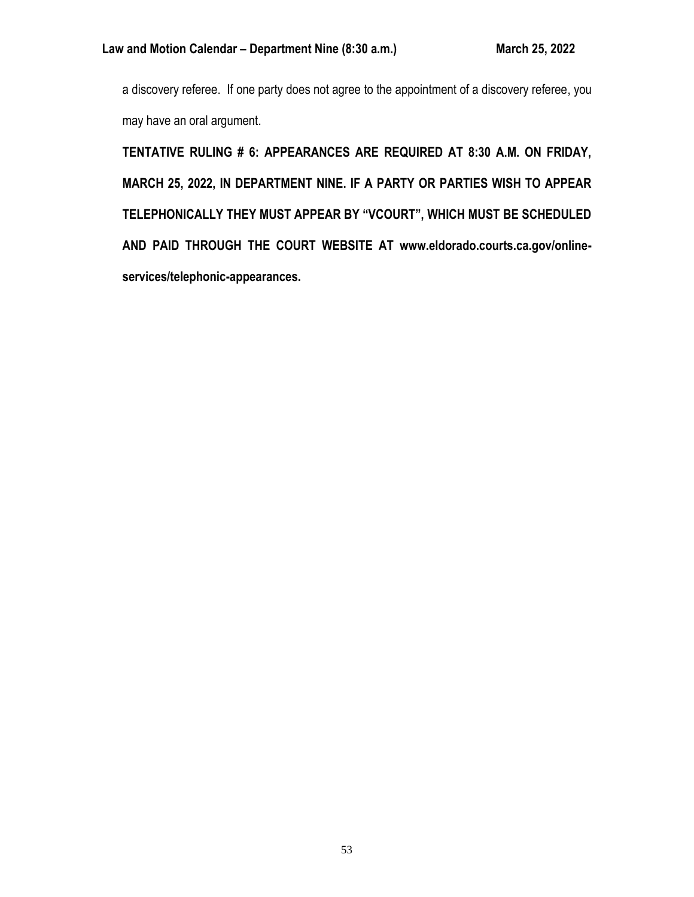a discovery referee. If one party does not agree to the appointment of a discovery referee, you may have an oral argument.

**TENTATIVE RULING # 6: APPEARANCES ARE REQUIRED AT 8:30 A.M. ON FRIDAY, MARCH 25, 2022, IN DEPARTMENT NINE. IF A PARTY OR PARTIES WISH TO APPEAR TELEPHONICALLY THEY MUST APPEAR BY "VCOURT", WHICH MUST BE SCHEDULED AND PAID THROUGH THE COURT WEBSITE AT www.eldorado.courts.ca.gov/onlineservices/telephonic-appearances.**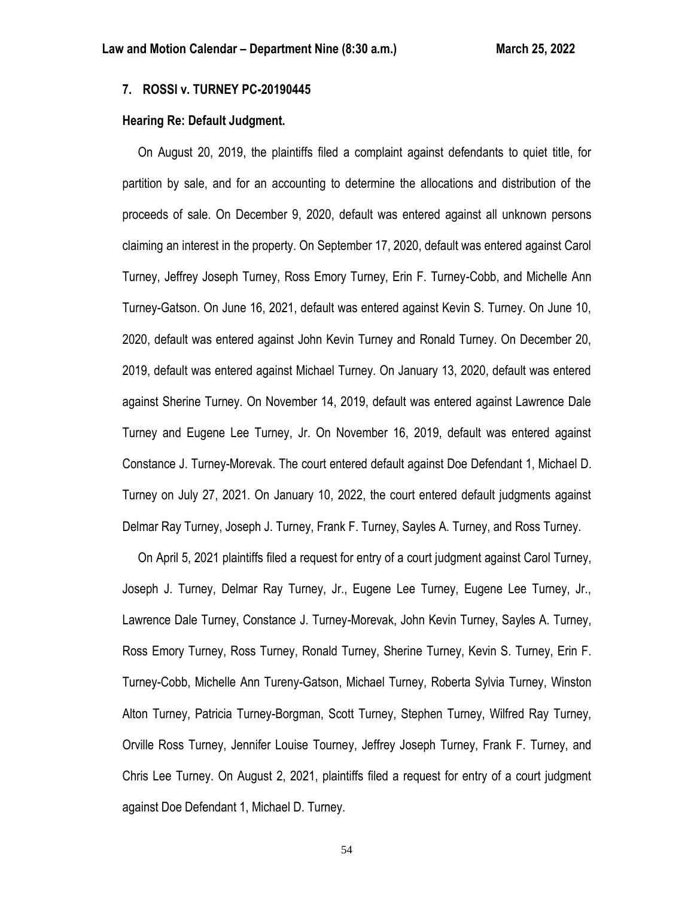# **7. ROSSI v. TURNEY PC-20190445**

## **Hearing Re: Default Judgment.**

 On August 20, 2019, the plaintiffs filed a complaint against defendants to quiet title, for partition by sale, and for an accounting to determine the allocations and distribution of the proceeds of sale. On December 9, 2020, default was entered against all unknown persons claiming an interest in the property. On September 17, 2020, default was entered against Carol Turney, Jeffrey Joseph Turney, Ross Emory Turney, Erin F. Turney-Cobb, and Michelle Ann Turney-Gatson. On June 16, 2021, default was entered against Kevin S. Turney. On June 10, 2020, default was entered against John Kevin Turney and Ronald Turney. On December 20, 2019, default was entered against Michael Turney. On January 13, 2020, default was entered against Sherine Turney. On November 14, 2019, default was entered against Lawrence Dale Turney and Eugene Lee Turney, Jr. On November 16, 2019, default was entered against Constance J. Turney-Morevak. The court entered default against Doe Defendant 1, Michael D. Turney on July 27, 2021. On January 10, 2022, the court entered default judgments against Delmar Ray Turney, Joseph J. Turney, Frank F. Turney, Sayles A. Turney, and Ross Turney.

 On April 5, 2021 plaintiffs filed a request for entry of a court judgment against Carol Turney, Joseph J. Turney, Delmar Ray Turney, Jr., Eugene Lee Turney, Eugene Lee Turney, Jr., Lawrence Dale Turney, Constance J. Turney-Morevak, John Kevin Turney, Sayles A. Turney, Ross Emory Turney, Ross Turney, Ronald Turney, Sherine Turney, Kevin S. Turney, Erin F. Turney-Cobb, Michelle Ann Tureny-Gatson, Michael Turney, Roberta Sylvia Turney, Winston Alton Turney, Patricia Turney-Borgman, Scott Turney, Stephen Turney, Wilfred Ray Turney, Orville Ross Turney, Jennifer Louise Tourney, Jeffrey Joseph Turney, Frank F. Turney, and Chris Lee Turney. On August 2, 2021, plaintiffs filed a request for entry of a court judgment against Doe Defendant 1, Michael D. Turney.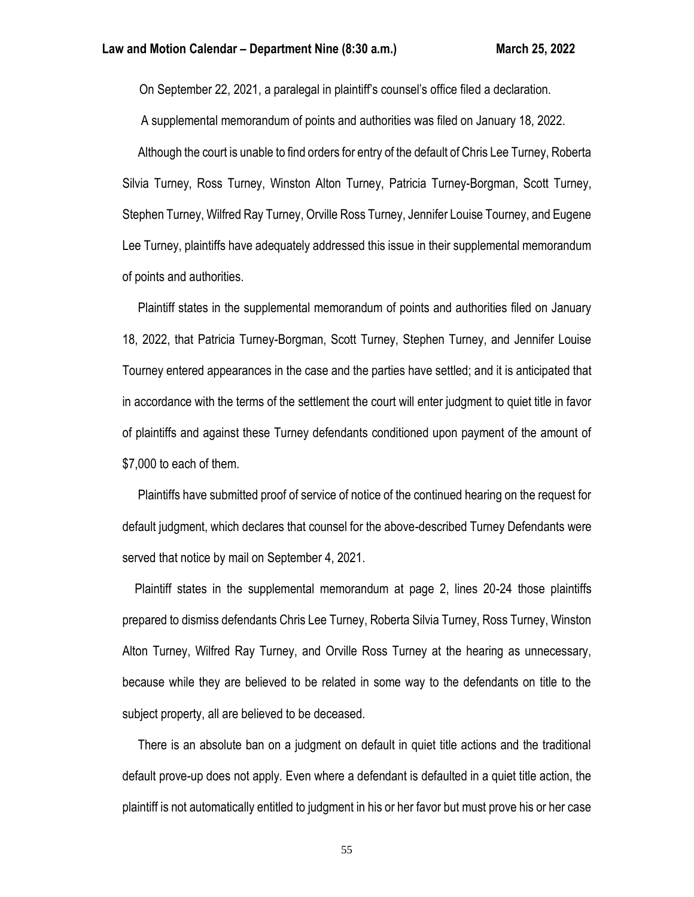On September 22, 2021, a paralegal in plaintiff's counsel's office filed a declaration.

A supplemental memorandum of points and authorities was filed on January 18, 2022.

 Although the court is unable to find orders for entry of the default of Chris Lee Turney, Roberta Silvia Turney, Ross Turney, Winston Alton Turney, Patricia Turney-Borgman, Scott Turney, Stephen Turney, Wilfred Ray Turney, Orville Ross Turney, Jennifer Louise Tourney, and Eugene Lee Turney, plaintiffs have adequately addressed this issue in their supplemental memorandum of points and authorities.

 Plaintiff states in the supplemental memorandum of points and authorities filed on January 18, 2022, that Patricia Turney-Borgman, Scott Turney, Stephen Turney, and Jennifer Louise Tourney entered appearances in the case and the parties have settled; and it is anticipated that in accordance with the terms of the settlement the court will enter judgment to quiet title in favor of plaintiffs and against these Turney defendants conditioned upon payment of the amount of \$7,000 to each of them.

 Plaintiffs have submitted proof of service of notice of the continued hearing on the request for default judgment, which declares that counsel for the above-described Turney Defendants were served that notice by mail on September 4, 2021.

 Plaintiff states in the supplemental memorandum at page 2, lines 20-24 those plaintiffs prepared to dismiss defendants Chris Lee Turney, Roberta Silvia Turney, Ross Turney, Winston Alton Turney, Wilfred Ray Turney, and Orville Ross Turney at the hearing as unnecessary, because while they are believed to be related in some way to the defendants on title to the subject property, all are believed to be deceased.

 There is an absolute ban on a judgment on default in quiet title actions and the traditional default prove-up does not apply. Even where a defendant is defaulted in a quiet title action, the plaintiff is not automatically entitled to judgment in his or her favor but must prove his or her case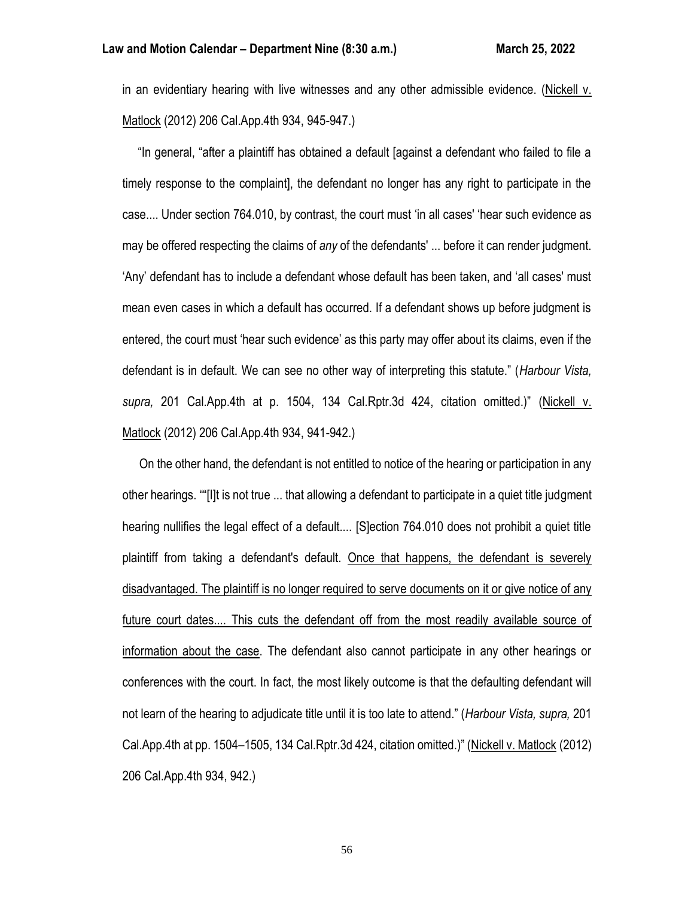in an evidentiary hearing with live witnesses and any other admissible evidence. (Nickell v. Matlock (2012) 206 Cal.App.4th 934, 945-947.)

 "In general, "after a plaintiff has obtained a default [against a defendant who failed to file a timely response to the complaint], the defendant no longer has any right to participate in the case.... Under section 764.010, by contrast, the court must 'in all cases' 'hear such evidence as may be offered respecting the claims of *any* of the defendants' ... before it can render judgment. 'Any' defendant has to include a defendant whose default has been taken, and 'all cases' must mean even cases in which a default has occurred. If a defendant shows up before judgment is entered, the court must 'hear such evidence' as this party may offer about its claims, even if the defendant is in default. We can see no other way of interpreting this statute." (*Harbour Vista, supra,* 201 Cal.App.4th at p. 1504, 134 Cal.Rptr.3d 424, citation omitted.)" (Nickell v. Matlock (2012) 206 Cal.App.4th 934, 941-942.)

On the other hand, the defendant is not entitled to notice of the hearing or participation in any other hearings. ""[I]t is not true ... that allowing a defendant to participate in a quiet title judgment hearing nullifies the legal effect of a default.... [S]ection 764.010 does not prohibit a quiet title plaintiff from taking a defendant's default. Once that happens, the defendant is severely disadvantaged. The plaintiff is no longer required to serve documents on it or give notice of any future court dates.... This cuts the defendant off from the most readily available source of information about the case. The defendant also cannot participate in any other hearings or conferences with the court. In fact, the most likely outcome is that the defaulting defendant will not learn of the hearing to adjudicate title until it is too late to attend." (*Harbour Vista, supra,* 201 Cal.App.4th at pp. 1504–1505, 134 Cal.Rptr.3d 424, citation omitted.)" (Nickell v. Matlock (2012) 206 Cal.App.4th 934, 942.)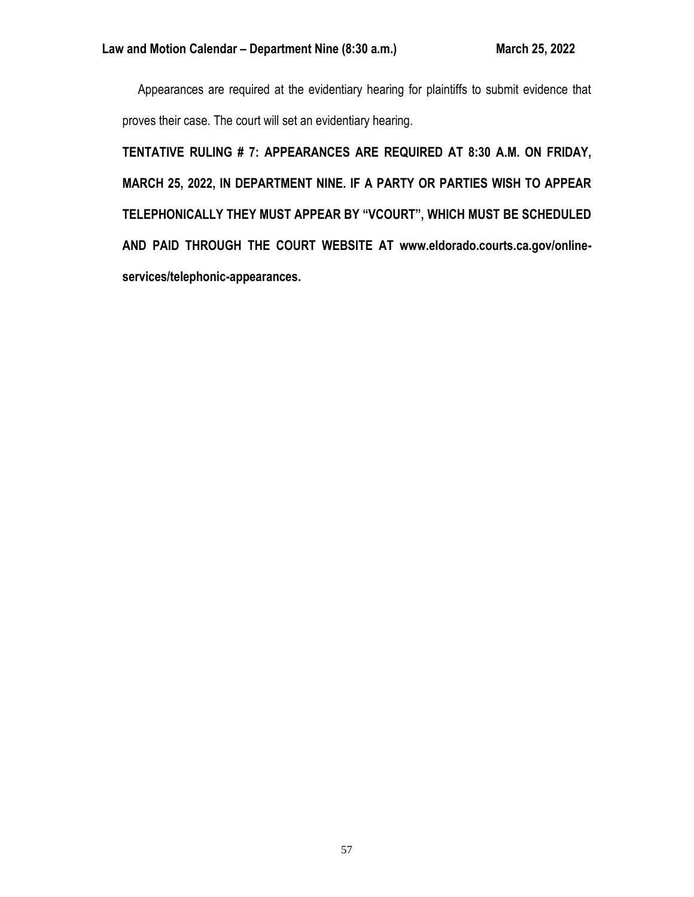Appearances are required at the evidentiary hearing for plaintiffs to submit evidence that proves their case. The court will set an evidentiary hearing.

**TENTATIVE RULING # 7: APPEARANCES ARE REQUIRED AT 8:30 A.M. ON FRIDAY, MARCH 25, 2022, IN DEPARTMENT NINE. IF A PARTY OR PARTIES WISH TO APPEAR TELEPHONICALLY THEY MUST APPEAR BY "VCOURT", WHICH MUST BE SCHEDULED AND PAID THROUGH THE COURT WEBSITE AT www.eldorado.courts.ca.gov/onlineservices/telephonic-appearances.**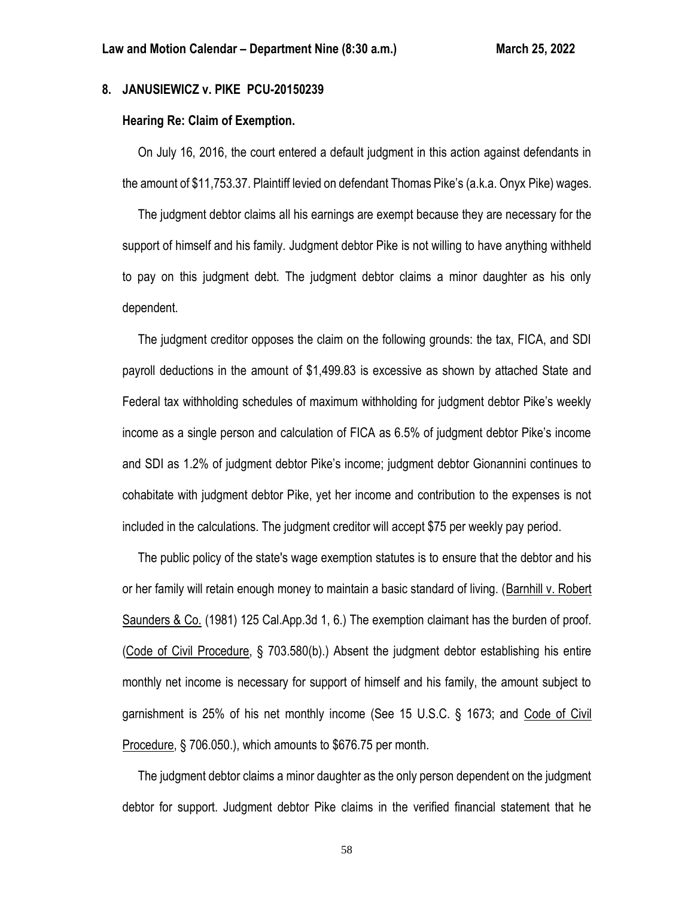## **8. JANUSIEWICZ v. PIKE PCU-20150239**

## **Hearing Re: Claim of Exemption.**

 On July 16, 2016, the court entered a default judgment in this action against defendants in the amount of \$11,753.37. Plaintiff levied on defendant Thomas Pike's (a.k.a. Onyx Pike) wages. The judgment debtor claims all his earnings are exempt because they are necessary for the support of himself and his family. Judgment debtor Pike is not willing to have anything withheld to pay on this judgment debt. The judgment debtor claims a minor daughter as his only dependent.

 The judgment creditor opposes the claim on the following grounds: the tax, FICA, and SDI payroll deductions in the amount of \$1,499.83 is excessive as shown by attached State and Federal tax withholding schedules of maximum withholding for judgment debtor Pike's weekly income as a single person and calculation of FICA as 6.5% of judgment debtor Pike's income and SDI as 1.2% of judgment debtor Pike's income; judgment debtor Gionannini continues to cohabitate with judgment debtor Pike, yet her income and contribution to the expenses is not included in the calculations. The judgment creditor will accept \$75 per weekly pay period.

 The public policy of the state's wage exemption statutes is to ensure that the debtor and his or her family will retain enough money to maintain a basic standard of living. (Barnhill v. Robert Saunders & Co. (1981) 125 Cal.App.3d 1, 6.) The exemption claimant has the burden of proof. (Code of Civil Procedure, § 703.580(b).) Absent the judgment debtor establishing his entire monthly net income is necessary for support of himself and his family, the amount subject to garnishment is 25% of his net monthly income (See 15 U.S.C. § 1673; and Code of Civil Procedure, § 706.050.), which amounts to \$676.75 per month.

 The judgment debtor claims a minor daughter as the only person dependent on the judgment debtor for support. Judgment debtor Pike claims in the verified financial statement that he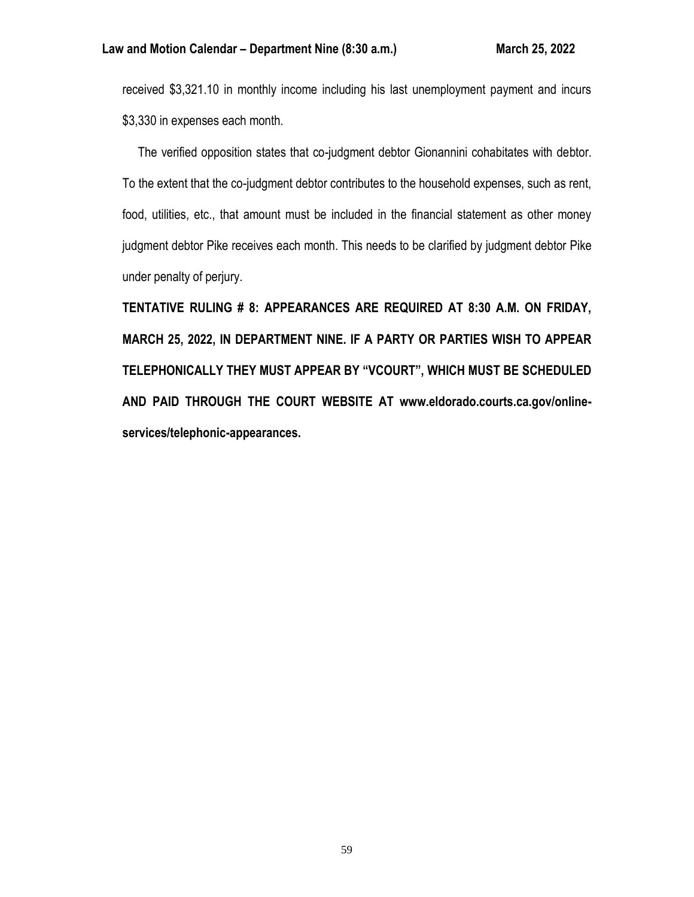received \$3,321.10 in monthly income including his last unemployment payment and incurs \$3,330 in expenses each month.

 The verified opposition states that co-judgment debtor Gionannini cohabitates with debtor. To the extent that the co-judgment debtor contributes to the household expenses, such as rent, food, utilities, etc., that amount must be included in the financial statement as other money judgment debtor Pike receives each month. This needs to be clarified by judgment debtor Pike under penalty of perjury.

**TENTATIVE RULING # 8: APPEARANCES ARE REQUIRED AT 8:30 A.M. ON FRIDAY, MARCH 25, 2022, IN DEPARTMENT NINE. IF A PARTY OR PARTIES WISH TO APPEAR TELEPHONICALLY THEY MUST APPEAR BY "VCOURT", WHICH MUST BE SCHEDULED AND PAID THROUGH THE COURT WEBSITE AT www.eldorado.courts.ca.gov/onlineservices/telephonic-appearances.**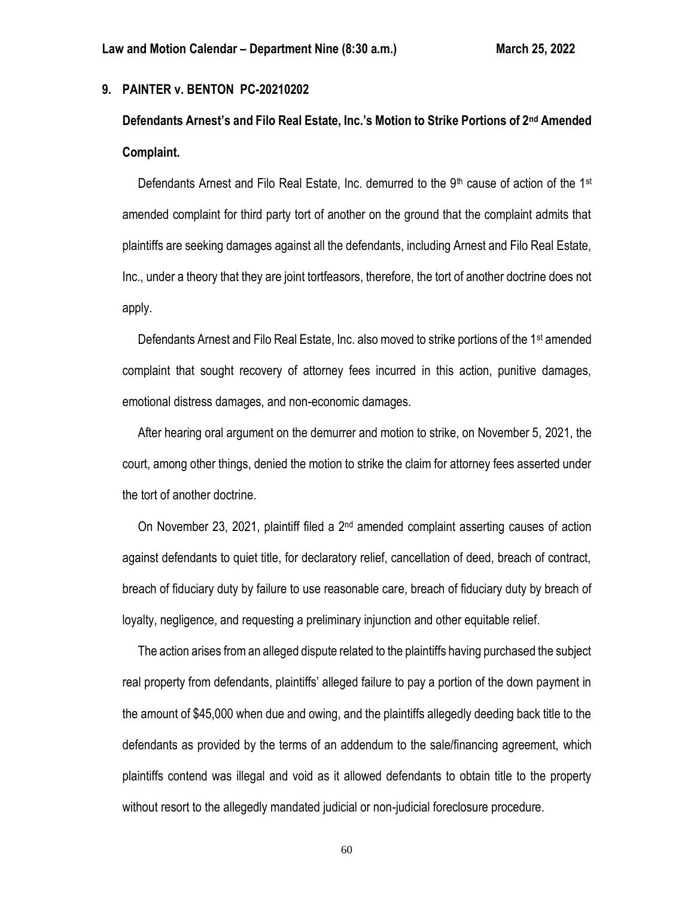# **9. PAINTER v. BENTON PC-20210202**

# **Defendants Arnest's and Filo Real Estate, Inc.'s Motion to Strike Portions of 2nd Amended Complaint.**

Defendants Arnest and Filo Real Estate, Inc. demurred to the  $9<sup>th</sup>$  cause of action of the 1<sup>st</sup> amended complaint for third party tort of another on the ground that the complaint admits that plaintiffs are seeking damages against all the defendants, including Arnest and Filo Real Estate, Inc., under a theory that they are joint tortfeasors, therefore, the tort of another doctrine does not apply.

 Defendants Arnest and Filo Real Estate, Inc. also moved to strike portions of the 1st amended complaint that sought recovery of attorney fees incurred in this action, punitive damages, emotional distress damages, and non-economic damages.

 After hearing oral argument on the demurrer and motion to strike, on November 5, 2021, the court, among other things, denied the motion to strike the claim for attorney fees asserted under the tort of another doctrine.

On November 23, 2021, plaintiff filed a  $2<sup>nd</sup>$  amended complaint asserting causes of action against defendants to quiet title, for declaratory relief, cancellation of deed, breach of contract, breach of fiduciary duty by failure to use reasonable care, breach of fiduciary duty by breach of loyalty, negligence, and requesting a preliminary injunction and other equitable relief.

 The action arises from an alleged dispute related to the plaintiffs having purchased the subject real property from defendants, plaintiffs' alleged failure to pay a portion of the down payment in the amount of \$45,000 when due and owing, and the plaintiffs allegedly deeding back title to the defendants as provided by the terms of an addendum to the sale/financing agreement, which plaintiffs contend was illegal and void as it allowed defendants to obtain title to the property without resort to the allegedly mandated judicial or non-judicial foreclosure procedure.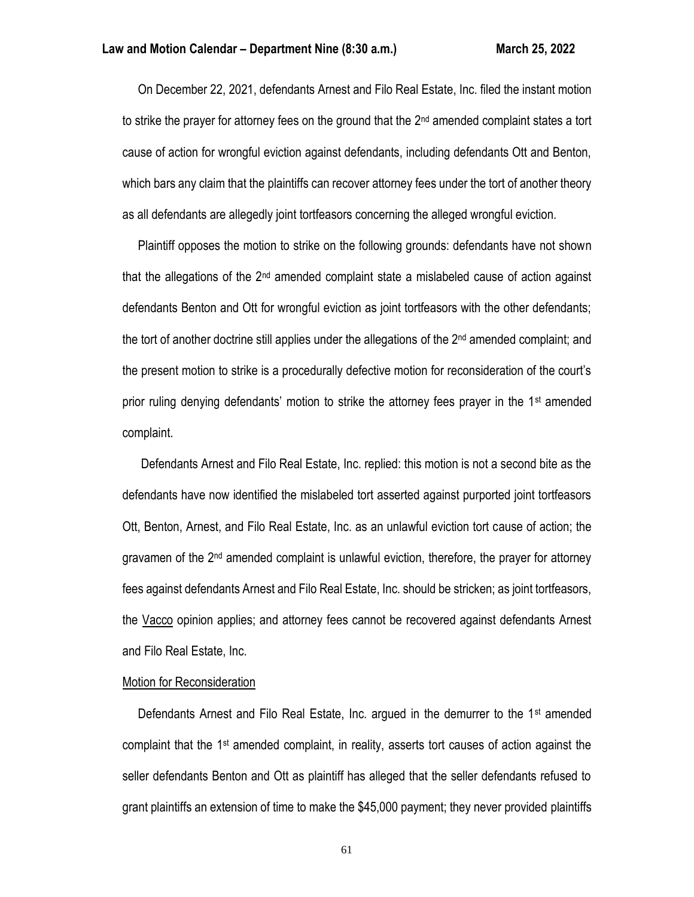On December 22, 2021, defendants Arnest and Filo Real Estate, Inc. filed the instant motion to strike the prayer for attorney fees on the ground that the  $2<sup>nd</sup>$  amended complaint states a tort cause of action for wrongful eviction against defendants, including defendants Ott and Benton, which bars any claim that the plaintiffs can recover attorney fees under the tort of another theory as all defendants are allegedly joint tortfeasors concerning the alleged wrongful eviction.

 Plaintiff opposes the motion to strike on the following grounds: defendants have not shown that the allegations of the  $2<sup>nd</sup>$  amended complaint state a mislabeled cause of action against defendants Benton and Ott for wrongful eviction as joint tortfeasors with the other defendants; the tort of another doctrine still applies under the allegations of the 2<sup>nd</sup> amended complaint; and the present motion to strike is a procedurally defective motion for reconsideration of the court's prior ruling denying defendants' motion to strike the attorney fees prayer in the 1<sup>st</sup> amended complaint.

 Defendants Arnest and Filo Real Estate, Inc. replied: this motion is not a second bite as the defendants have now identified the mislabeled tort asserted against purported joint tortfeasors Ott, Benton, Arnest, and Filo Real Estate, Inc. as an unlawful eviction tort cause of action; the gravamen of the 2<sup>nd</sup> amended complaint is unlawful eviction, therefore, the prayer for attorney fees against defendants Arnest and Filo Real Estate, Inc. should be stricken; as joint tortfeasors, the Vacco opinion applies; and attorney fees cannot be recovered against defendants Arnest and Filo Real Estate, Inc.

#### Motion for Reconsideration

Defendants Arnest and Filo Real Estate, Inc. argued in the demurrer to the 1<sup>st</sup> amended complaint that the 1st amended complaint, in reality, asserts tort causes of action against the seller defendants Benton and Ott as plaintiff has alleged that the seller defendants refused to grant plaintiffs an extension of time to make the \$45,000 payment; they never provided plaintiffs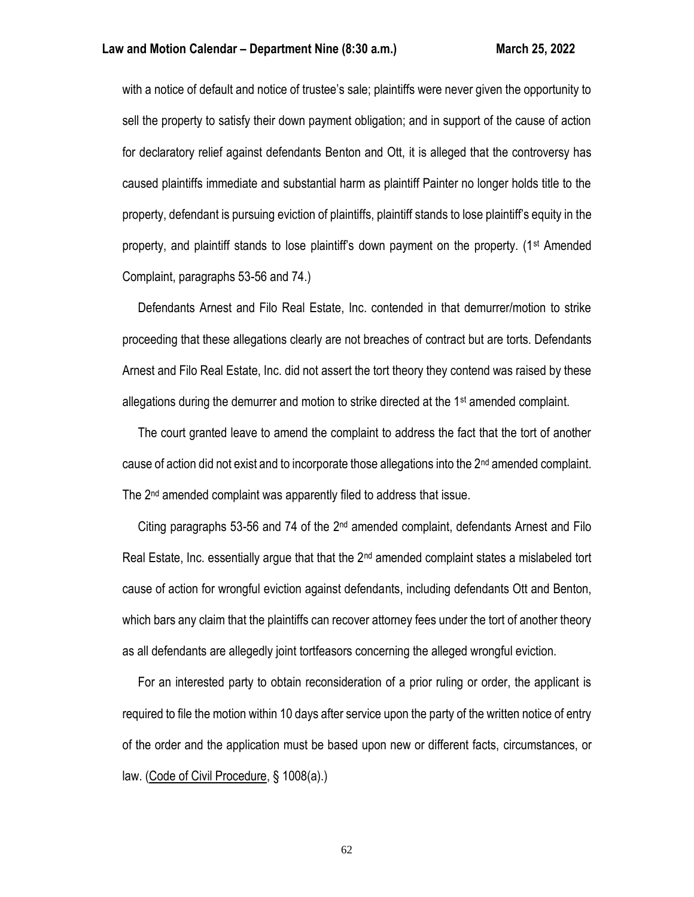with a notice of default and notice of trustee's sale; plaintiffs were never given the opportunity to sell the property to satisfy their down payment obligation; and in support of the cause of action for declaratory relief against defendants Benton and Ott, it is alleged that the controversy has caused plaintiffs immediate and substantial harm as plaintiff Painter no longer holds title to the property, defendant is pursuing eviction of plaintiffs, plaintiff stands to lose plaintiff's equity in the property, and plaintiff stands to lose plaintiff's down payment on the property. (1<sup>st</sup> Amended Complaint, paragraphs 53-56 and 74.)

 Defendants Arnest and Filo Real Estate, Inc. contended in that demurrer/motion to strike proceeding that these allegations clearly are not breaches of contract but are torts. Defendants Arnest and Filo Real Estate, Inc. did not assert the tort theory they contend was raised by these allegations during the demurrer and motion to strike directed at the 1st amended complaint.

 The court granted leave to amend the complaint to address the fact that the tort of another cause of action did not exist and to incorporate those allegations into the  $2<sup>nd</sup>$  amended complaint. The 2<sup>nd</sup> amended complaint was apparently filed to address that issue.

Citing paragraphs 53-56 and 74 of the  $2<sup>nd</sup>$  amended complaint, defendants Arnest and Filo Real Estate, Inc. essentially argue that that the 2<sup>nd</sup> amended complaint states a mislabeled tort cause of action for wrongful eviction against defendants, including defendants Ott and Benton, which bars any claim that the plaintiffs can recover attorney fees under the tort of another theory as all defendants are allegedly joint tortfeasors concerning the alleged wrongful eviction.

 For an interested party to obtain reconsideration of a prior ruling or order, the applicant is required to file the motion within 10 days after service upon the party of the written notice of entry of the order and the application must be based upon new or different facts, circumstances, or law. (Code of Civil Procedure, § 1008(a).)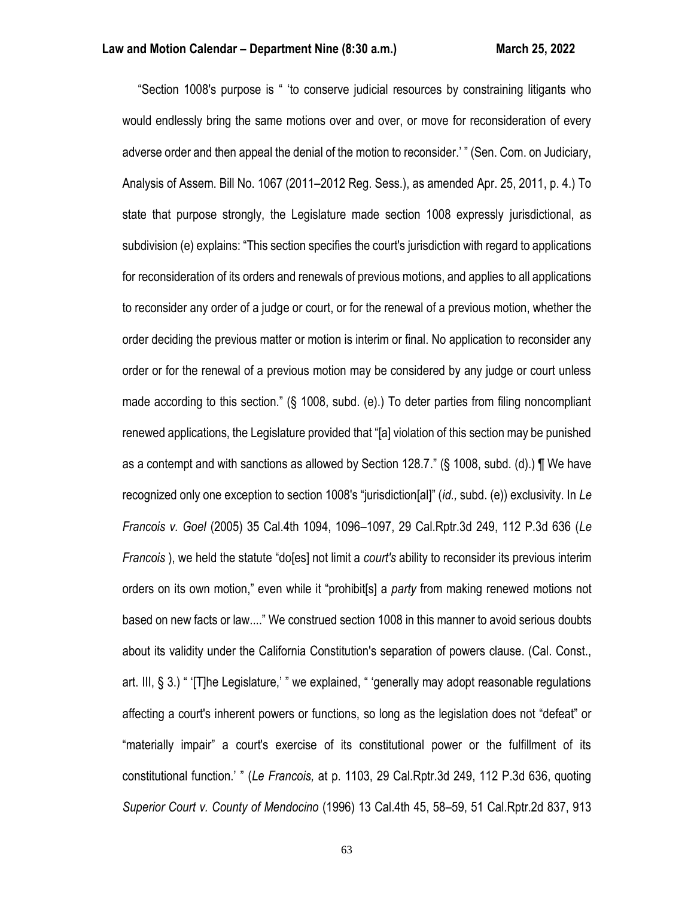"Section 1008's purpose is " 'to conserve judicial resources by constraining litigants who would endlessly bring the same motions over and over, or move for reconsideration of every adverse order and then appeal the denial of the motion to reconsider.' " (Sen. Com. on Judiciary, Analysis of Assem. Bill No. 1067 (2011–2012 Reg. Sess.), as amended Apr. 25, 2011, p. 4.) To state that purpose strongly, the Legislature made section 1008 expressly jurisdictional, as subdivision (e) explains: "This section specifies the court's jurisdiction with regard to applications for reconsideration of its orders and renewals of previous motions, and applies to all applications to reconsider any order of a judge or court, or for the renewal of a previous motion, whether the order deciding the previous matter or motion is interim or final. No application to reconsider any order or for the renewal of a previous motion may be considered by any judge or court unless made according to this section." (§ 1008, subd. (e).) To deter parties from filing noncompliant renewed applications, the Legislature provided that "[a] violation of this section may be punished as a contempt and with sanctions as allowed by Section 128.7." (§ 1008, subd. (d).) ¶ We have recognized only one exception to section 1008's "jurisdiction[al]" (*id.,* subd. (e)) exclusivity. In *Le Francois v. Goel* (2005) 35 Cal.4th 1094, 1096–1097, 29 Cal.Rptr.3d 249, 112 P.3d 636 (*Le Francois* ), we held the statute "do[es] not limit a *court's* ability to reconsider its previous interim orders on its own motion," even while it "prohibit[s] a *party* from making renewed motions not based on new facts or law...." We construed section 1008 in this manner to avoid serious doubts about its validity under the California Constitution's separation of powers clause. (Cal. Const., art. III, § 3.) " '[T]he Legislature,' " we explained, " 'generally may adopt reasonable regulations affecting a court's inherent powers or functions, so long as the legislation does not "defeat" or "materially impair" a court's exercise of its constitutional power or the fulfillment of its constitutional function.' " (*Le Francois,* at p. 1103, 29 Cal.Rptr.3d 249, 112 P.3d 636, quoting *Superior Court v. County of Mendocino* (1996) 13 Cal.4th 45, 58–59, 51 Cal.Rptr.2d 837, 913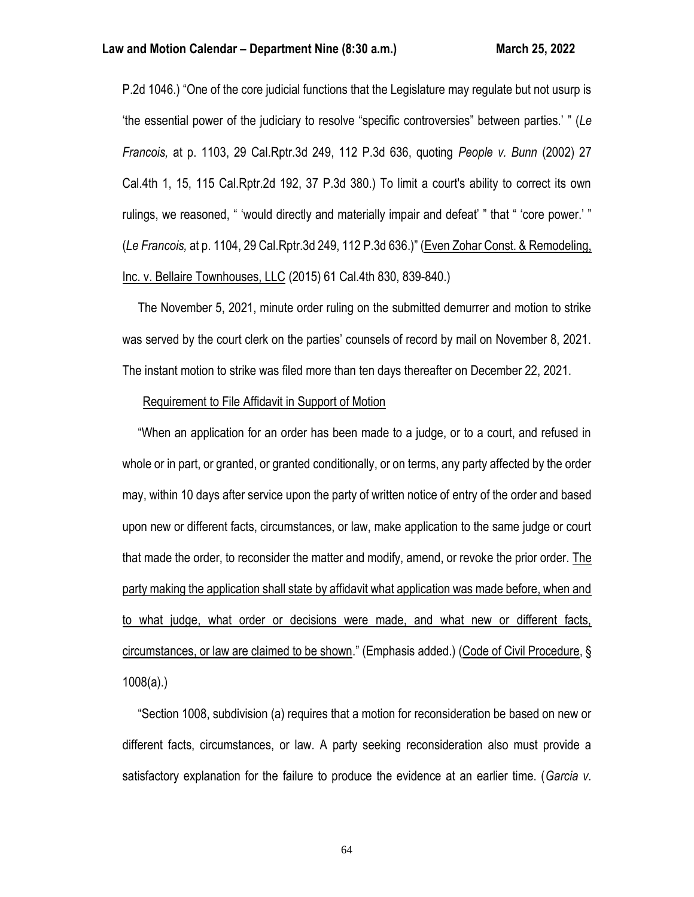P.2d 1046.) "One of the core judicial functions that the Legislature may regulate but not usurp is 'the essential power of the judiciary to resolve "specific controversies" between parties.' " (*Le Francois,* at p. 1103, 29 Cal.Rptr.3d 249, 112 P.3d 636, quoting *People v. Bunn* (2002) 27 Cal.4th 1, 15, 115 Cal.Rptr.2d 192, 37 P.3d 380.) To limit a court's ability to correct its own rulings, we reasoned, " 'would directly and materially impair and defeat' " that " 'core power.' " (*Le Francois,* at p. 1104, 29 Cal.Rptr.3d 249, 112 P.3d 636.)" (Even Zohar Const. & Remodeling, Inc. v. Bellaire Townhouses, LLC (2015) 61 Cal.4th 830, 839-840.)

 The November 5, 2021, minute order ruling on the submitted demurrer and motion to strike was served by the court clerk on the parties' counsels of record by mail on November 8, 2021. The instant motion to strike was filed more than ten days thereafter on December 22, 2021.

## Requirement to File Affidavit in Support of Motion

 "When an application for an order has been made to a judge, or to a court, and refused in whole or in part, or granted, or granted conditionally, or on terms, any party affected by the order may, within 10 days after service upon the party of written notice of entry of the order and based upon new or different facts, circumstances, or law, make application to the same judge or court that made the order, to reconsider the matter and modify, amend, or revoke the prior order. The party making the application shall state by affidavit what application was made before, when and to what judge, what order or decisions were made, and what new or different facts, circumstances, or law are claimed to be shown." (Emphasis added.) (Code of Civil Procedure, § 1008(a).)

 "Section 1008, subdivision (a) requires that a motion for reconsideration be based on new or different facts, circumstances, or law. A party seeking reconsideration also must provide a satisfactory explanation for the failure to produce the evidence at an earlier time. (*Garcia v.*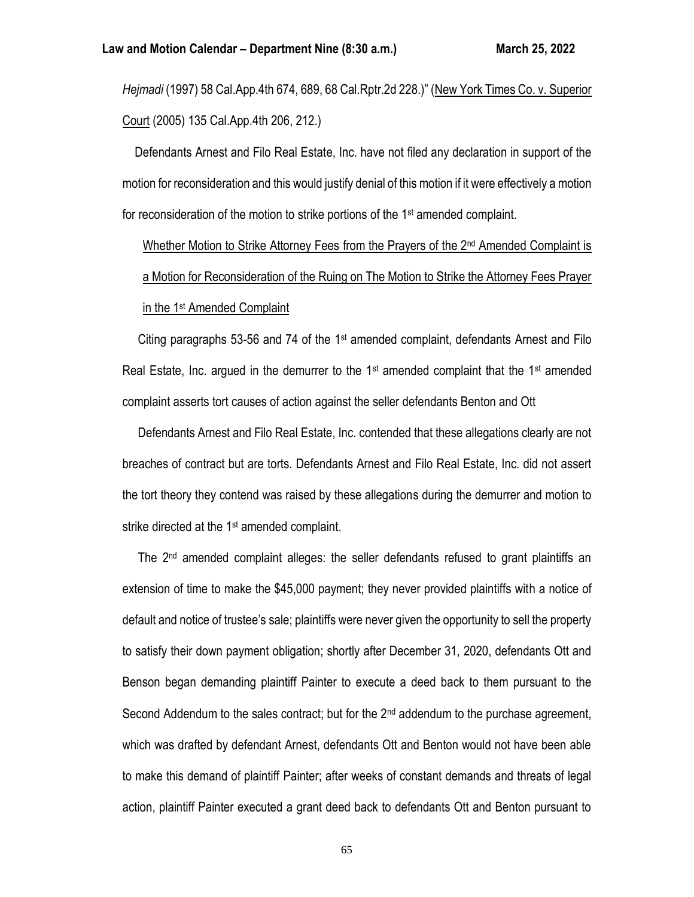*Hejmadi* (1997) 58 Cal.App.4th 674, 689, 68 Cal.Rptr.2d 228.)" (New York Times Co. v. Superior Court (2005) 135 Cal.App.4th 206, 212.)

 Defendants Arnest and Filo Real Estate, Inc. have not filed any declaration in support of the motion for reconsideration and this would justify denial of this motion if it were effectively a motion for reconsideration of the motion to strike portions of the 1<sup>st</sup> amended complaint.

Whether Motion to Strike Attorney Fees from the Prayers of the 2<sup>nd</sup> Amended Complaint is a Motion for Reconsideration of the Ruing on The Motion to Strike the Attorney Fees Prayer in the 1st Amended Complaint

Citing paragraphs 53-56 and 74 of the 1<sup>st</sup> amended complaint, defendants Arnest and Filo Real Estate, Inc. argued in the demurrer to the 1<sup>st</sup> amended complaint that the 1<sup>st</sup> amended complaint asserts tort causes of action against the seller defendants Benton and Ott

 Defendants Arnest and Filo Real Estate, Inc. contended that these allegations clearly are not breaches of contract but are torts. Defendants Arnest and Filo Real Estate, Inc. did not assert the tort theory they contend was raised by these allegations during the demurrer and motion to strike directed at the 1<sup>st</sup> amended complaint.

The  $2<sup>nd</sup>$  amended complaint alleges: the seller defendants refused to grant plaintiffs an extension of time to make the \$45,000 payment; they never provided plaintiffs with a notice of default and notice of trustee's sale; plaintiffs were never given the opportunity to sell the property to satisfy their down payment obligation; shortly after December 31, 2020, defendants Ott and Benson began demanding plaintiff Painter to execute a deed back to them pursuant to the Second Addendum to the sales contract; but for the  $2<sup>nd</sup>$  addendum to the purchase agreement, which was drafted by defendant Arnest, defendants Ott and Benton would not have been able to make this demand of plaintiff Painter; after weeks of constant demands and threats of legal action, plaintiff Painter executed a grant deed back to defendants Ott and Benton pursuant to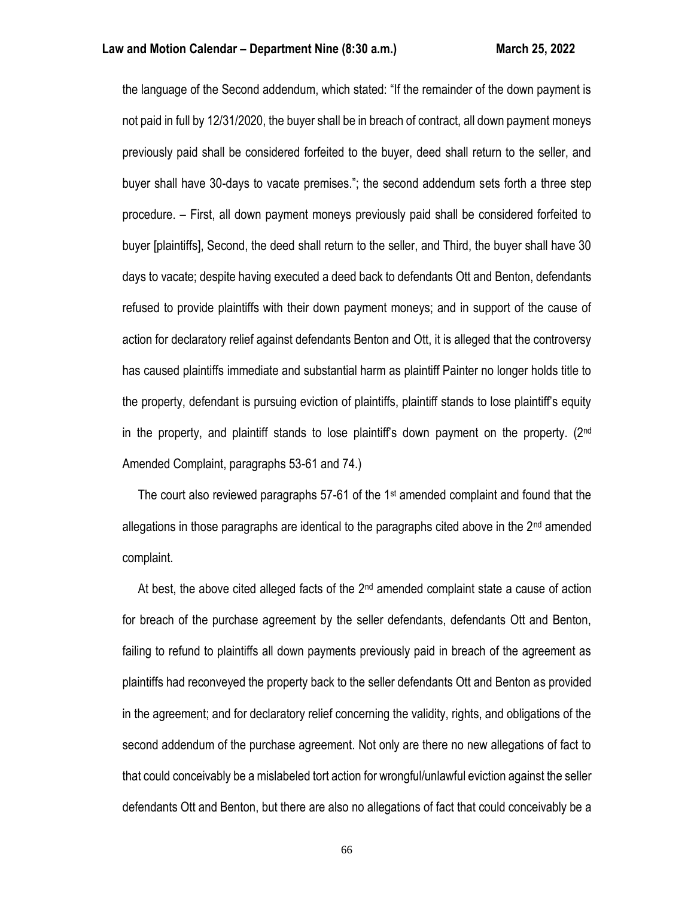the language of the Second addendum, which stated: "If the remainder of the down payment is not paid in full by 12/31/2020, the buyer shall be in breach of contract, all down payment moneys previously paid shall be considered forfeited to the buyer, deed shall return to the seller, and buyer shall have 30-days to vacate premises."; the second addendum sets forth a three step procedure. – First, all down payment moneys previously paid shall be considered forfeited to buyer [plaintiffs], Second, the deed shall return to the seller, and Third, the buyer shall have 30 days to vacate; despite having executed a deed back to defendants Ott and Benton, defendants refused to provide plaintiffs with their down payment moneys; and in support of the cause of action for declaratory relief against defendants Benton and Ott, it is alleged that the controversy has caused plaintiffs immediate and substantial harm as plaintiff Painter no longer holds title to the property, defendant is pursuing eviction of plaintiffs, plaintiff stands to lose plaintiff's equity in the property, and plaintiff stands to lose plaintiff's down payment on the property.  $(2^{nd}$ Amended Complaint, paragraphs 53-61 and 74.)

The court also reviewed paragraphs 57-61 of the 1<sup>st</sup> amended complaint and found that the allegations in those paragraphs are identical to the paragraphs cited above in the  $2<sup>nd</sup>$  amended complaint.

At best, the above cited alleged facts of the  $2<sup>nd</sup>$  amended complaint state a cause of action for breach of the purchase agreement by the seller defendants, defendants Ott and Benton, failing to refund to plaintiffs all down payments previously paid in breach of the agreement as plaintiffs had reconveyed the property back to the seller defendants Ott and Benton as provided in the agreement; and for declaratory relief concerning the validity, rights, and obligations of the second addendum of the purchase agreement. Not only are there no new allegations of fact to that could conceivably be a mislabeled tort action for wrongful/unlawful eviction against the seller defendants Ott and Benton, but there are also no allegations of fact that could conceivably be a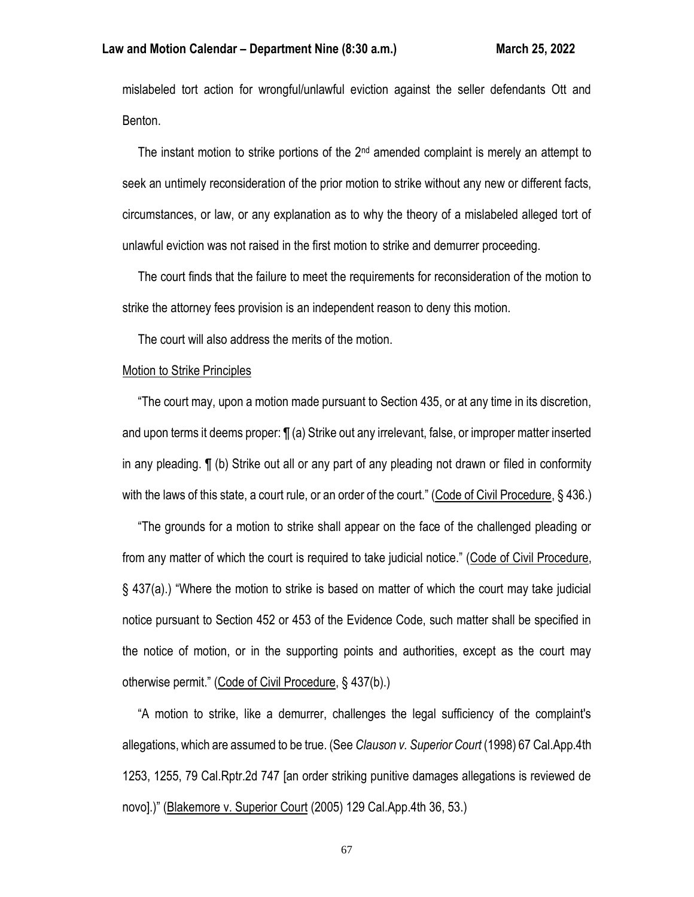mislabeled tort action for wrongful/unlawful eviction against the seller defendants Ott and Benton.

The instant motion to strike portions of the  $2<sup>nd</sup>$  amended complaint is merely an attempt to seek an untimely reconsideration of the prior motion to strike without any new or different facts, circumstances, or law, or any explanation as to why the theory of a mislabeled alleged tort of unlawful eviction was not raised in the first motion to strike and demurrer proceeding.

 The court finds that the failure to meet the requirements for reconsideration of the motion to strike the attorney fees provision is an independent reason to deny this motion.

The court will also address the merits of the motion.

## Motion to Strike Principles

 "The court may, upon a motion made pursuant to Section 435, or at any time in its discretion, and upon terms it deems proper: ¶ (a) Strike out any irrelevant, false, or improper matter inserted in any pleading. ¶ (b) Strike out all or any part of any pleading not drawn or filed in conformity with the laws of this state, a court rule, or an order of the court." (Code of Civil Procedure, § 436.)

 "The grounds for a motion to strike shall appear on the face of the challenged pleading or from any matter of which the court is required to take judicial notice." (Code of Civil Procedure, § 437(a).) "Where the motion to strike is based on matter of which the court may take judicial notice pursuant to Section 452 or 453 of the Evidence Code, such matter shall be specified in the notice of motion, or in the supporting points and authorities, except as the court may otherwise permit." (Code of Civil Procedure, § 437(b).)

 "A motion to strike, like a demurrer, challenges the legal sufficiency of the complaint's allegations, which are assumed to be true. (See *Clauson v. Superior Court* (1998) 67 Cal.App.4th 1253, 1255, 79 Cal.Rptr.2d 747 [an order striking punitive damages allegations is reviewed de novo].)" (Blakemore v. Superior Court (2005) 129 Cal.App.4th 36, 53.)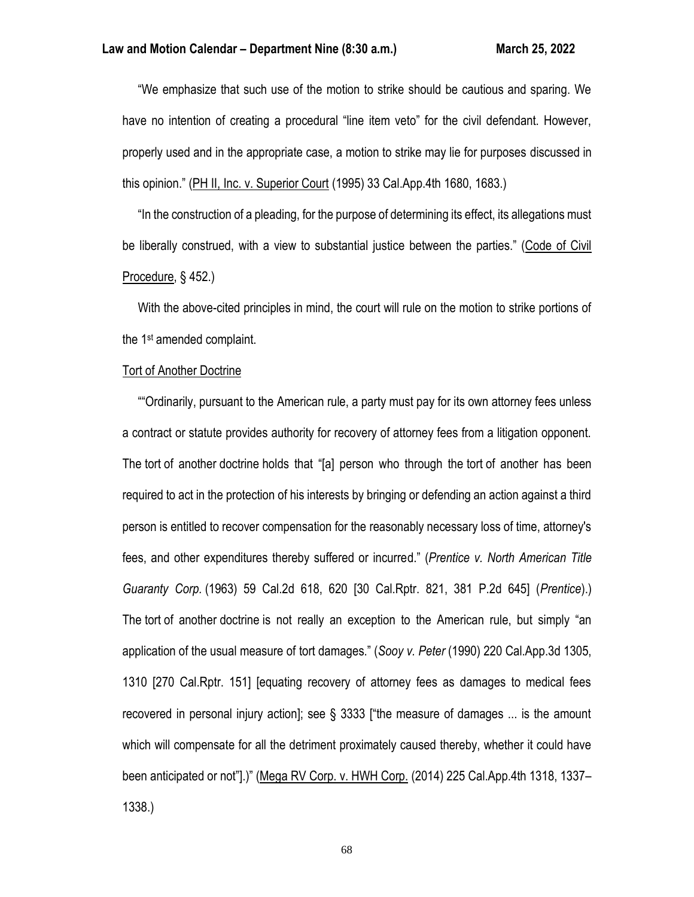"We emphasize that such use of the motion to strike should be cautious and sparing. We have no intention of creating a procedural "line item veto" for the civil defendant. However, properly used and in the appropriate case, a motion to strike may lie for purposes discussed in this opinion." (PH II, Inc. v. Superior Court (1995) 33 Cal.App.4th 1680, 1683.)

 "In the construction of a pleading, for the purpose of determining its effect, its allegations must be liberally construed, with a view to substantial justice between the parties." (Code of Civil Procedure, § 452.)

 With the above-cited principles in mind, the court will rule on the motion to strike portions of the 1st amended complaint.

#### Tort of Another Doctrine

 ""Ordinarily, pursuant to the American rule, a party must pay for its own attorney fees unless a contract or statute provides authority for recovery of attorney fees from a litigation opponent. The tort of another doctrine holds that "[a] person who through the tort of another has been required to act in the protection of his interests by bringing or defending an action against a third person is entitled to recover compensation for the reasonably necessary loss of time, attorney's fees, and other expenditures thereby suffered or incurred." (*Prentice v. North American Title Guaranty Corp.* (1963) 59 Cal.2d 618, 620 [30 Cal.Rptr. 821, 381 P.2d 645] (*Prentice*).) The tort of another doctrine is not really an exception to the American rule, but simply "an application of the usual measure of tort damages." (*Sooy v. Peter* (1990) 220 Cal.App.3d 1305, 1310 [270 Cal.Rptr. 151] [equating recovery of attorney fees as damages to medical fees recovered in personal injury action]; see § 3333 ["the measure of damages ... is the amount which will compensate for all the detriment proximately caused thereby, whether it could have been anticipated or not"].)" (Mega RV Corp. v. HWH Corp. (2014) 225 Cal.App.4th 1318, 1337– 1338.)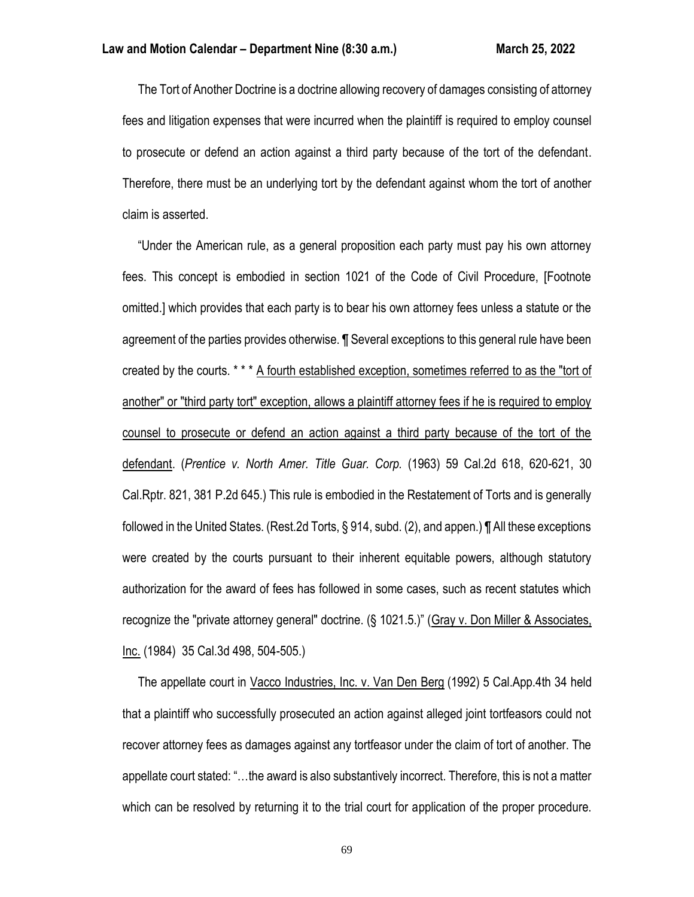The Tort of Another Doctrine is a doctrine allowing recovery of damages consisting of attorney fees and litigation expenses that were incurred when the plaintiff is required to employ counsel to prosecute or defend an action against a third party because of the tort of the defendant. Therefore, there must be an underlying tort by the defendant against whom the tort of another claim is asserted.

 "Under the American rule, as a general proposition each party must pay his own attorney fees. This concept is embodied in section 1021 of the Code of Civil Procedure, [Footnote omitted.] which provides that each party is to bear his own attorney fees unless a statute or the agreement of the parties provides otherwise. ¶ Several exceptions to this general rule have been created by the courts. \* \* \* A fourth established exception, sometimes referred to as the "tort of another" or "third party tort" exception, allows a plaintiff attorney fees if he is required to employ counsel to prosecute or defend an action against a third party because of the tort of the defendant. (*Prentice v. North Amer. Title Guar. Corp.* (1963) 59 Cal.2d 618, 620-621, 30 Cal.Rptr. 821, 381 P.2d 645.) This rule is embodied in the Restatement of Torts and is generally followed in the United States. (Rest.2d Torts, § 914, subd. (2), and appen.) ¶ All these exceptions were created by the courts pursuant to their inherent equitable powers, although statutory authorization for the award of fees has followed in some cases, such as recent statutes which recognize the "private attorney general" doctrine. (§ 1021.5.)" (Gray v. Don Miller & Associates, Inc. (1984) 35 Cal.3d 498, 504-505.)

 The appellate court in Vacco Industries, Inc. v. Van Den Berg (1992) 5 Cal.App.4th 34 held that a plaintiff who successfully prosecuted an action against alleged joint tortfeasors could not recover attorney fees as damages against any tortfeasor under the claim of tort of another. The appellate court stated: "…the award is also substantively incorrect. Therefore, this is not a matter which can be resolved by returning it to the trial court for application of the proper procedure.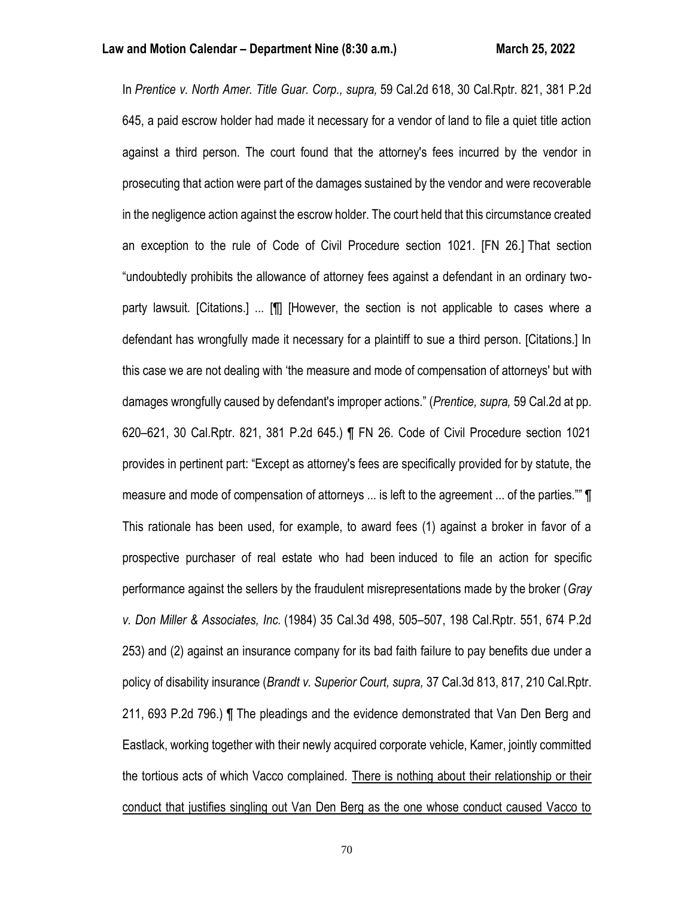In *Prentice v. North Amer. Title Guar. Corp., supra,* 59 Cal.2d 618, 30 Cal.Rptr. 821, 381 P.2d 645, a paid escrow holder had made it necessary for a vendor of land to file a quiet title action against a third person. The court found that the attorney's fees incurred by the vendor in prosecuting that action were part of the damages sustained by the vendor and were recoverable in the negligence action against the escrow holder. The court held that this circumstance created an exception to the rule of Code of Civil Procedure section 1021. [FN 26.] That section "undoubtedly prohibits the allowance of attorney fees against a defendant in an ordinary twoparty lawsuit. [Citations.] ... [¶] [However, the section is not applicable to cases where a defendant has wrongfully made it necessary for a plaintiff to sue a third person. [Citations.] In this case we are not dealing with 'the measure and mode of compensation of attorneys' but with damages wrongfully caused by defendant's improper actions." (*Prentice, supra,* 59 Cal.2d at pp. 620–621, 30 Cal.Rptr. 821, 381 P.2d 645.) ¶ FN 26. Code of Civil Procedure section 1021 provides in pertinent part: "Except as attorney's fees are specifically provided for by statute, the measure and mode of compensation of attorneys ... is left to the agreement ... of the parties."" ¶ This rationale has been used, for example, to award fees (1) against a broker in favor of a prospective purchaser of real estate who had been induced to file an action for specific performance against the sellers by the fraudulent misrepresentations made by the broker (*Gray v. Don Miller & Associates, Inc.* (1984) 35 Cal.3d 498, 505–507, 198 Cal.Rptr. 551, 674 P.2d 253) and (2) against an insurance company for its bad faith failure to pay benefits due under a policy of disability insurance (*Brandt v. Superior Court, supra,* 37 Cal.3d 813, 817, 210 Cal.Rptr. 211, 693 P.2d 796.) ¶ The pleadings and the evidence demonstrated that Van Den Berg and Eastlack, working together with their newly acquired corporate vehicle, Kamer, jointly committed the tortious acts of which Vacco complained. There is nothing about their relationship or their conduct that justifies singling out Van Den Berg as the one whose conduct caused Vacco to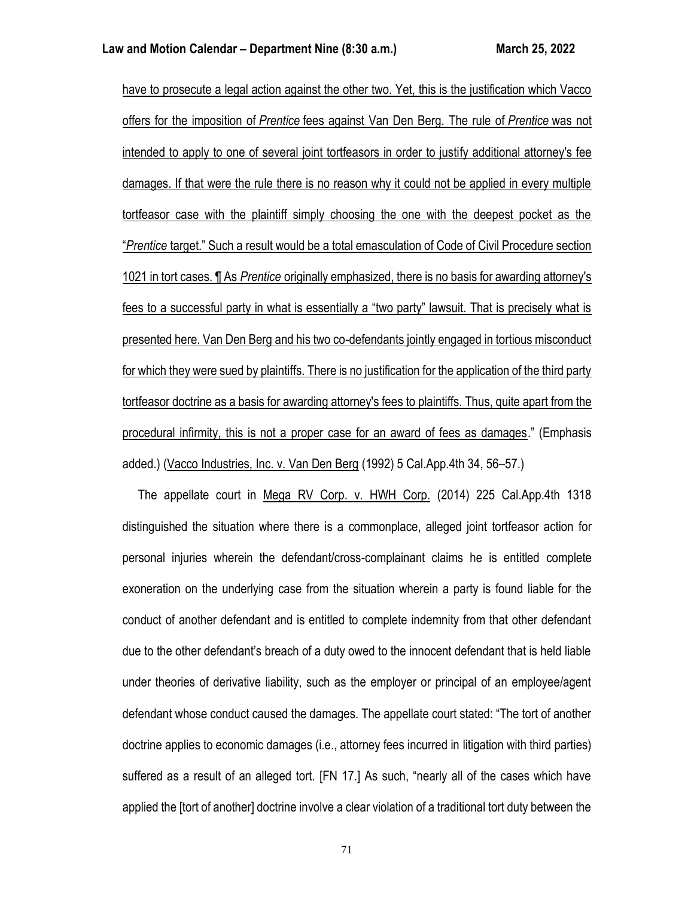have to prosecute a legal action against the other two. Yet, this is the justification which Vacco offers for the imposition of *Prentice* fees against Van Den Berg. The rule of *Prentice* was not intended to apply to one of several joint tortfeasors in order to justify additional attorney's fee damages. If that were the rule there is no reason why it could not be applied in every multiple tortfeasor case with the plaintiff simply choosing the one with the deepest pocket as the "*Prentice* target." Such a result would be a total emasculation of Code of Civil Procedure section 1021 in tort cases. ¶ As *Prentice* originally emphasized, there is no basis for awarding attorney's fees to a successful party in what is essentially a "two party" lawsuit. That is precisely what is presented here. Van Den Berg and his two co-defendants jointly engaged in tortious misconduct for which they were sued by plaintiffs. There is no justification for the application of the third party tortfeasor doctrine as a basis for awarding attorney's fees to plaintiffs. Thus, quite apart from the procedural infirmity, this is not a proper case for an award of fees as damages." (Emphasis added.) (Vacco Industries, Inc. v. Van Den Berg (1992) 5 Cal.App.4th 34, 56–57.)

 The appellate court in Mega RV Corp. v. HWH Corp. (2014) 225 Cal.App.4th 1318 distinguished the situation where there is a commonplace, alleged joint tortfeasor action for personal injuries wherein the defendant/cross-complainant claims he is entitled complete exoneration on the underlying case from the situation wherein a party is found liable for the conduct of another defendant and is entitled to complete indemnity from that other defendant due to the other defendant's breach of a duty owed to the innocent defendant that is held liable under theories of derivative liability, such as the employer or principal of an employee/agent defendant whose conduct caused the damages. The appellate court stated: "The tort of another doctrine applies to economic damages (i.e., attorney fees incurred in litigation with third parties) suffered as a result of an alleged tort. [FN 17.] As such, "nearly all of the cases which have applied the [tort of another] doctrine involve a clear violation of a traditional tort duty between the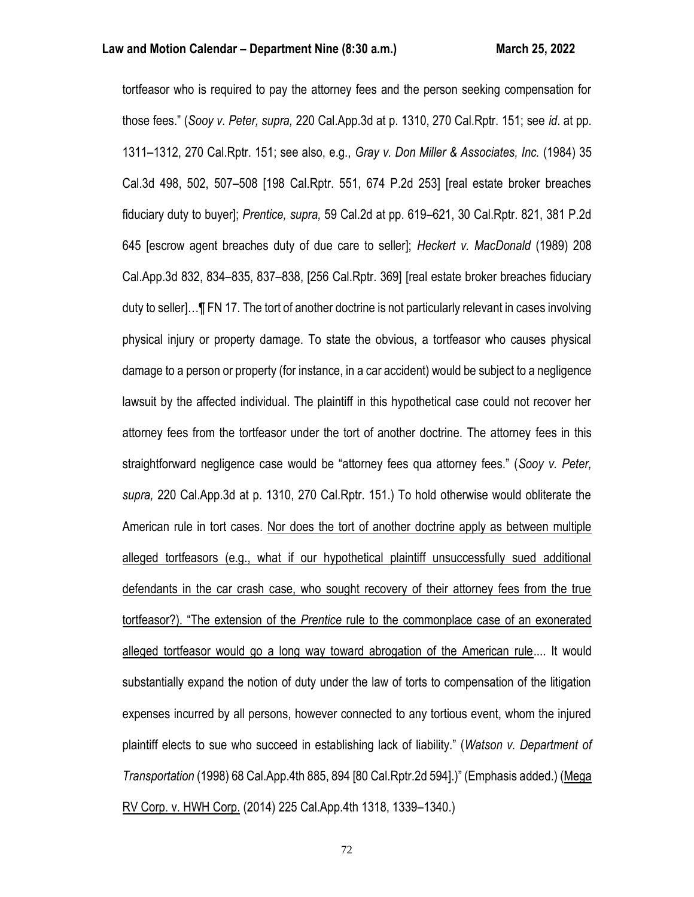tortfeasor who is required to pay the attorney fees and the person seeking compensation for those fees." (*Sooy v. Peter, supra,* 220 Cal.App.3d at p. 1310, 270 Cal.Rptr. 151; see *id*. at pp. 1311–1312, 270 Cal.Rptr. 151; see also, e.g., *Gray v. Don Miller & Associates, Inc.* (1984) 35 Cal.3d 498, 502, 507–508 [198 Cal.Rptr. 551, 674 P.2d 253] [real estate broker breaches fiduciary duty to buyer]; *Prentice, supra,* 59 Cal.2d at pp. 619–621, 30 Cal.Rptr. 821, 381 P.2d 645 [escrow agent breaches duty of due care to seller]; *Heckert v. MacDonald* (1989) 208 Cal.App.3d 832, 834–835, 837–838, [256 Cal.Rptr. 369] [real estate broker breaches fiduciary duty to seller]…¶ FN 17. The tort of another doctrine is not particularly relevant in cases involving physical injury or property damage. To state the obvious, a tortfeasor who causes physical damage to a person or property (for instance, in a car accident) would be subject to a negligence lawsuit by the affected individual. The plaintiff in this hypothetical case could not recover her attorney fees from the tortfeasor under the tort of another doctrine. The attorney fees in this straightforward negligence case would be "attorney fees qua attorney fees." (*Sooy v. Peter, supra,* 220 Cal.App.3d at p. 1310, 270 Cal.Rptr. 151.) To hold otherwise would obliterate the American rule in tort cases. Nor does the tort of another doctrine apply as between multiple alleged tortfeasors (e.g., what if our hypothetical plaintiff unsuccessfully sued additional defendants in the car crash case, who sought recovery of their attorney fees from the true tortfeasor?). "The extension of the *Prentice* rule to the commonplace case of an exonerated alleged tortfeasor would go a long way toward abrogation of the American rule.... It would substantially expand the notion of duty under the law of torts to compensation of the litigation expenses incurred by all persons, however connected to any tortious event, whom the injured plaintiff elects to sue who succeed in establishing lack of liability." (*Watson v. Department of Transportation* (1998) 68 Cal.App.4th 885, 894 [80 Cal.Rptr.2d 594].)" (Emphasis added.) (Mega RV Corp. v. HWH Corp. (2014) 225 Cal.App.4th 1318, 1339–1340.)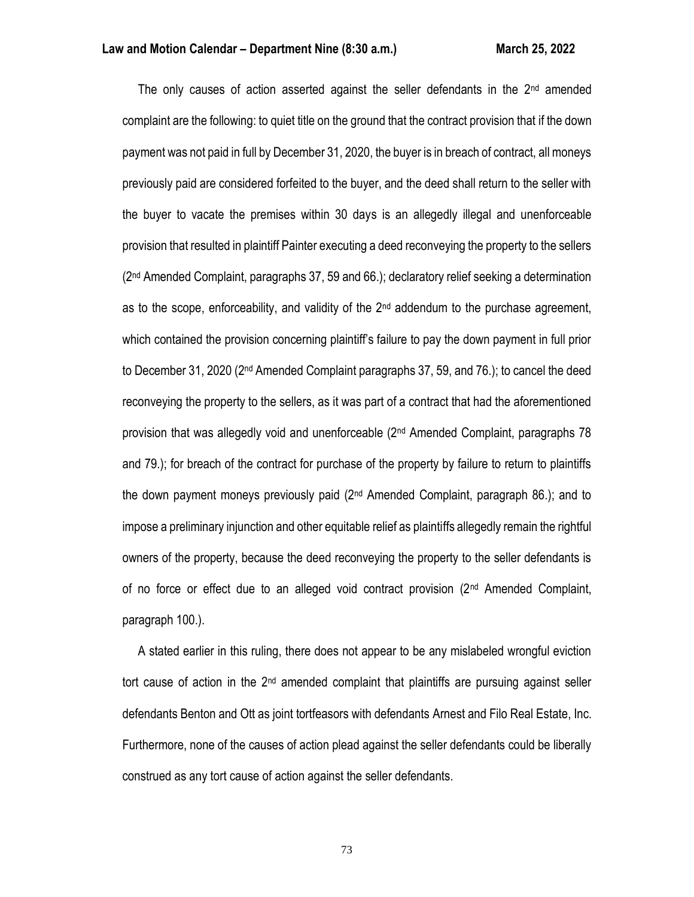The only causes of action asserted against the seller defendants in the  $2^{nd}$  amended complaint are the following: to quiet title on the ground that the contract provision that if the down payment was not paid in full by December 31, 2020, the buyer is in breach of contract, all moneys previously paid are considered forfeited to the buyer, and the deed shall return to the seller with the buyer to vacate the premises within 30 days is an allegedly illegal and unenforceable provision that resulted in plaintiff Painter executing a deed reconveying the property to the sellers (2nd Amended Complaint, paragraphs 37, 59 and 66.); declaratory relief seeking a determination as to the scope, enforceability, and validity of the  $2<sup>nd</sup>$  addendum to the purchase agreement, which contained the provision concerning plaintiff's failure to pay the down payment in full prior to December 31, 2020 (2nd Amended Complaint paragraphs 37, 59, and 76.); to cancel the deed reconveying the property to the sellers, as it was part of a contract that had the aforementioned provision that was allegedly void and unenforceable  $(2<sup>nd</sup>$  Amended Complaint, paragraphs 78 and 79.); for breach of the contract for purchase of the property by failure to return to plaintiffs the down payment moneys previously paid (2nd Amended Complaint, paragraph 86.); and to impose a preliminary injunction and other equitable relief as plaintiffs allegedly remain the rightful owners of the property, because the deed reconveying the property to the seller defendants is of no force or effect due to an alleged void contract provision (2<sup>nd</sup> Amended Complaint, paragraph 100.).

 A stated earlier in this ruling, there does not appear to be any mislabeled wrongful eviction tort cause of action in the  $2<sup>nd</sup>$  amended complaint that plaintiffs are pursuing against seller defendants Benton and Ott as joint tortfeasors with defendants Arnest and Filo Real Estate, Inc. Furthermore, none of the causes of action plead against the seller defendants could be liberally construed as any tort cause of action against the seller defendants.

73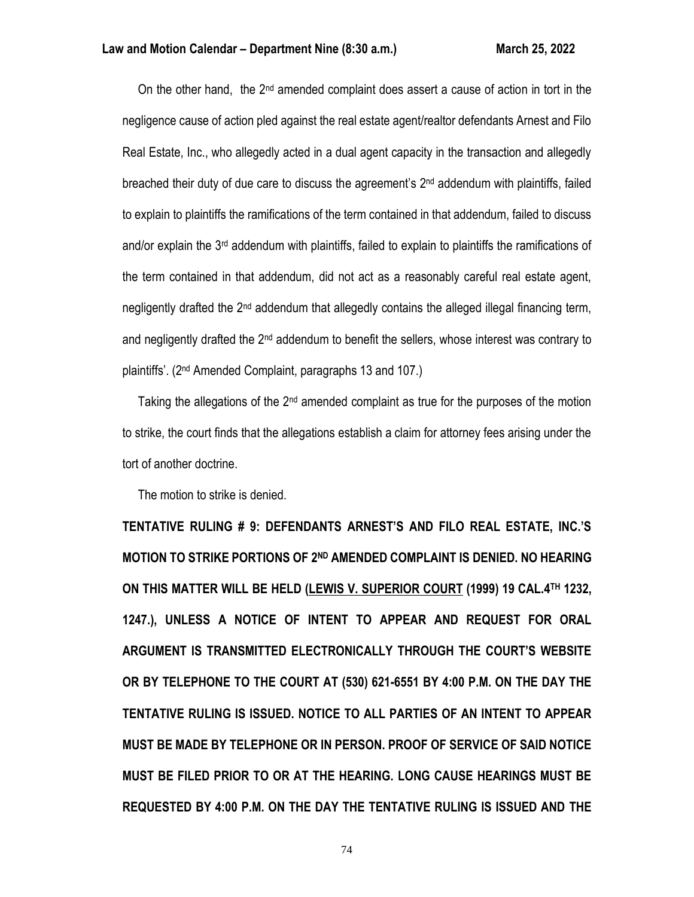On the other hand, the 2nd amended complaint does assert a cause of action in tort in the negligence cause of action pled against the real estate agent/realtor defendants Arnest and Filo Real Estate, Inc., who allegedly acted in a dual agent capacity in the transaction and allegedly breached their duty of due care to discuss the agreement's  $2<sup>nd</sup>$  addendum with plaintiffs, failed to explain to plaintiffs the ramifications of the term contained in that addendum, failed to discuss and/or explain the  $3<sup>rd</sup>$  addendum with plaintiffs, failed to explain to plaintiffs the ramifications of the term contained in that addendum, did not act as a reasonably careful real estate agent, negligently drafted the  $2<sup>nd</sup>$  addendum that allegedly contains the alleged illegal financing term, and negligently drafted the 2<sup>nd</sup> addendum to benefit the sellers, whose interest was contrary to plaintiffs'. (2nd Amended Complaint, paragraphs 13 and 107.)

Taking the allegations of the 2<sup>nd</sup> amended complaint as true for the purposes of the motion to strike, the court finds that the allegations establish a claim for attorney fees arising under the tort of another doctrine.

The motion to strike is denied.

**TENTATIVE RULING # 9: DEFENDANTS ARNEST'S AND FILO REAL ESTATE, INC.'S MOTION TO STRIKE PORTIONS OF 2ND AMENDED COMPLAINT IS DENIED. NO HEARING ON THIS MATTER WILL BE HELD (LEWIS V. SUPERIOR COURT (1999) 19 CAL.4TH 1232, 1247.), UNLESS A NOTICE OF INTENT TO APPEAR AND REQUEST FOR ORAL ARGUMENT IS TRANSMITTED ELECTRONICALLY THROUGH THE COURT'S WEBSITE OR BY TELEPHONE TO THE COURT AT (530) 621-6551 BY 4:00 P.M. ON THE DAY THE TENTATIVE RULING IS ISSUED. NOTICE TO ALL PARTIES OF AN INTENT TO APPEAR MUST BE MADE BY TELEPHONE OR IN PERSON. PROOF OF SERVICE OF SAID NOTICE MUST BE FILED PRIOR TO OR AT THE HEARING. LONG CAUSE HEARINGS MUST BE REQUESTED BY 4:00 P.M. ON THE DAY THE TENTATIVE RULING IS ISSUED AND THE**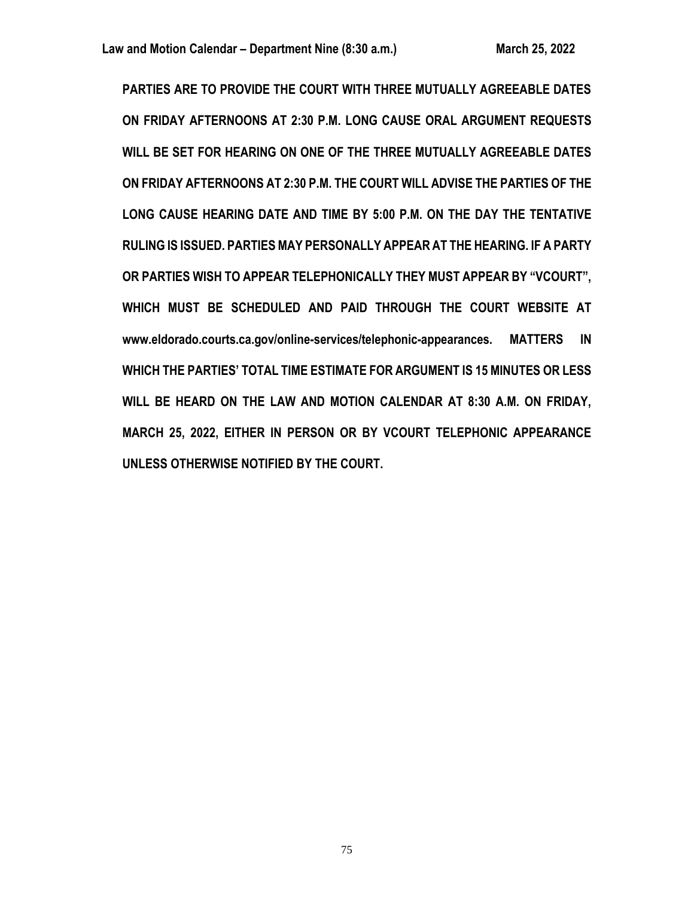**PARTIES ARE TO PROVIDE THE COURT WITH THREE MUTUALLY AGREEABLE DATES ON FRIDAY AFTERNOONS AT 2:30 P.M. LONG CAUSE ORAL ARGUMENT REQUESTS WILL BE SET FOR HEARING ON ONE OF THE THREE MUTUALLY AGREEABLE DATES ON FRIDAY AFTERNOONS AT 2:30 P.M. THE COURT WILL ADVISE THE PARTIES OF THE LONG CAUSE HEARING DATE AND TIME BY 5:00 P.M. ON THE DAY THE TENTATIVE RULING IS ISSUED. PARTIES MAY PERSONALLY APPEAR AT THE HEARING. IF A PARTY OR PARTIES WISH TO APPEAR TELEPHONICALLY THEY MUST APPEAR BY "VCOURT", WHICH MUST BE SCHEDULED AND PAID THROUGH THE COURT WEBSITE AT www.eldorado.courts.ca.gov/online-services/telephonic-appearances. MATTERS IN WHICH THE PARTIES' TOTAL TIME ESTIMATE FOR ARGUMENT IS 15 MINUTES OR LESS WILL BE HEARD ON THE LAW AND MOTION CALENDAR AT 8:30 A.M. ON FRIDAY, MARCH 25, 2022, EITHER IN PERSON OR BY VCOURT TELEPHONIC APPEARANCE UNLESS OTHERWISE NOTIFIED BY THE COURT.**